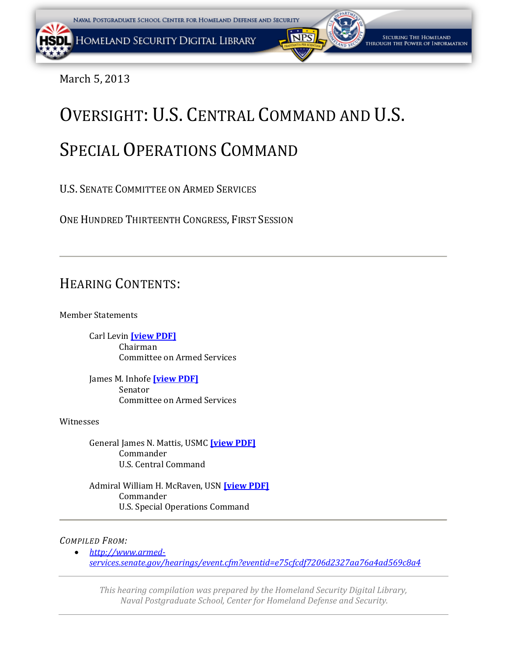March 5, 2013

# OVERSIGHT: U.S. CENTRAL COMMAND AND U.S. SPECIAL OPERATIONS COMMAND

U.S. SENATE COMMITTEE ON ARMED SERVICES

ONE HUNDRED THIRTEENTH CONGRESS, FIRST SESSION

# HEARING CONTENTS:

Member Statements

 Carl Levin **[\[view PDF\]](#page-1-0)** Chairman Committee on Armed Services

 James M. Inhofe **[\[view PDF\]](#page-1-0)** Senator Committee on Armed Services

Witnesses

 General James N. Mattis, USMC **[\[view PDF\]](#page-53-0)**  Commander U.S. Central Command

 Admiral William H. McRaven, USN **[\[view PDF\]](#page-82-0)** Commander U.S. Special Operations Command

### *COMPILED FROM:*

 *[http://www.armed](http://www.armed-services.senate.gov/hearings/event.cfm?eventid=e75cfcdf7206d2327aa76a4ad569c8a4)[services.senate.gov/hearings/event.cfm?eventid=e75cfcdf7206d2327aa76a4ad569c8a4](http://www.armed-services.senate.gov/hearings/event.cfm?eventid=e75cfcdf7206d2327aa76a4ad569c8a4)*

*This hearing compilation was prepared by the Homeland Security Digital Library, Naval Postgraduate School, Center for Homeland Defense and Security.*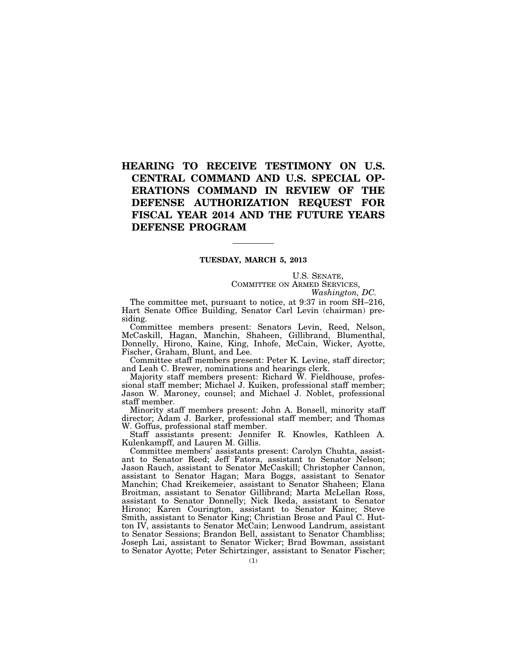## <span id="page-1-0"></span>**HEARING TO RECEIVE TESTIMONY ON U.S. CENTRAL COMMAND AND U.S. SPECIAL OP-ERATIONS COMMAND IN REVIEW OF THE DEFENSE AUTHORIZATION REQUEST FOR FISCAL YEAR 2014 AND THE FUTURE YEARS DEFENSE PROGRAM**

#### **TUESDAY, MARCH 5, 2013**

U.S. SENATE, COMMITTEE ON ARMED SERVICES,

*Washington, DC.* 

The committee met, pursuant to notice, at 9:37 in room SH–216, Hart Senate Office Building, Senator Carl Levin (chairman) presiding.

Committee members present: Senators Levin, Reed, Nelson, McCaskill, Hagan, Manchin, Shaheen, Gillibrand, Blumenthal, Donnelly, Hirono, Kaine, King, Inhofe, McCain, Wicker, Ayotte, Fischer, Graham, Blunt, and Lee.

Committee staff members present: Peter K. Levine, staff director; and Leah C. Brewer, nominations and hearings clerk.

Majority staff members present: Richard W. Fieldhouse, professional staff member; Michael J. Kuiken, professional staff member; Jason W. Maroney, counsel; and Michael J. Noblet, professional staff member.

Minority staff members present: John A. Bonsell, minority staff director; Adam J. Barker, professional staff member; and Thomas W. Goffus, professional staff member.

Staff assistants present: Jennifer R. Knowles, Kathleen A. Kulenkampff, and Lauren M. Gillis.

Committee members' assistants present: Carolyn Chuhta, assistant to Senator Reed; Jeff Fatora, assistant to Senator Nelson; Jason Rauch, assistant to Senator McCaskill; Christopher Cannon, assistant to Senator Hagan; Mara Boggs, assistant to Senator Manchin; Chad Kreikemeier, assistant to Senator Shaheen; Elana Broitman, assistant to Senator Gillibrand; Marta McLellan Ross, assistant to Senator Donnelly; Nick Ikeda, assistant to Senator Hirono; Karen Courington, assistant to Senator Kaine; Steve Smith, assistant to Senator King; Christian Brose and Paul C. Hutton IV, assistants to Senator McCain; Lenwood Landrum, assistant to Senator Sessions; Brandon Bell, assistant to Senator Chambliss; Joseph Lai, assistant to Senator Wicker; Brad Bowman, assistant to Senator Ayotte; Peter Schirtzinger, assistant to Senator Fischer;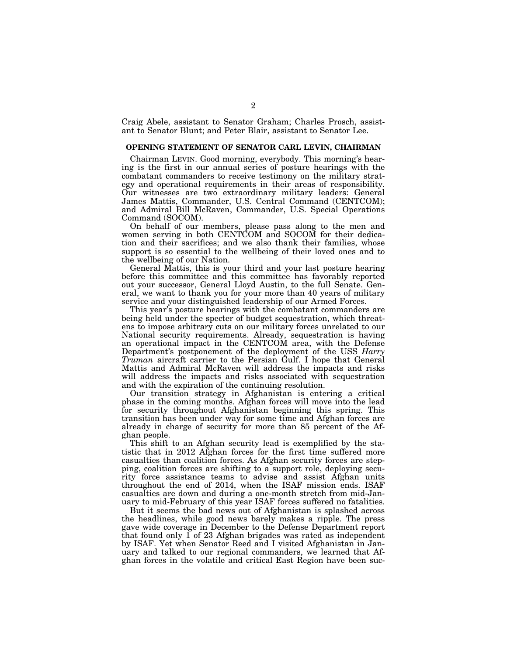Craig Abele, assistant to Senator Graham; Charles Prosch, assistant to Senator Blunt; and Peter Blair, assistant to Senator Lee.

#### **OPENING STATEMENT OF SENATOR CARL LEVIN, CHAIRMAN**

Chairman LEVIN. Good morning, everybody. This morning's hearing is the first in our annual series of posture hearings with the combatant commanders to receive testimony on the military strategy and operational requirements in their areas of responsibility. Our witnesses are two extraordinary military leaders: General James Mattis, Commander, U.S. Central Command (CENTCOM); and Admiral Bill McRaven, Commander, U.S. Special Operations Command (SOCOM).

On behalf of our members, please pass along to the men and women serving in both CENTCOM and SOCOM for their dedication and their sacrifices; and we also thank their families, whose support is so essential to the wellbeing of their loved ones and to the wellbeing of our Nation.

General Mattis, this is your third and your last posture hearing before this committee and this committee has favorably reported out your successor, General Lloyd Austin, to the full Senate. General, we want to thank you for your more than 40 years of military service and your distinguished leadership of our Armed Forces.

This year's posture hearings with the combatant commanders are being held under the specter of budget sequestration, which threatens to impose arbitrary cuts on our military forces unrelated to our National security requirements. Already, sequestration is having an operational impact in the CENTCOM area, with the Defense Department's postponement of the deployment of the USS *Harry Truman* aircraft carrier to the Persian Gulf. I hope that General Mattis and Admiral McRaven will address the impacts and risks will address the impacts and risks associated with sequestration and with the expiration of the continuing resolution.

Our transition strategy in Afghanistan is entering a critical phase in the coming months. Afghan forces will move into the lead for security throughout Afghanistan beginning this spring. This transition has been under way for some time and Afghan forces are already in charge of security for more than 85 percent of the Afghan people.

This shift to an Afghan security lead is exemplified by the statistic that in 2012 Afghan forces for the first time suffered more casualties than coalition forces. As Afghan security forces are stepping, coalition forces are shifting to a support role, deploying security force assistance teams to advise and assist Afghan units throughout the end of 2014, when the ISAF mission ends. ISAF casualties are down and during a one-month stretch from mid-January to mid-February of this year ISAF forces suffered no fatalities.

But it seems the bad news out of Afghanistan is splashed across the headlines, while good news barely makes a ripple. The press gave wide coverage in December to the Defense Department report that found only 1 of 23 Afghan brigades was rated as independent by ISAF. Yet when Senator Reed and I visited Afghanistan in January and talked to our regional commanders, we learned that Afghan forces in the volatile and critical East Region have been suc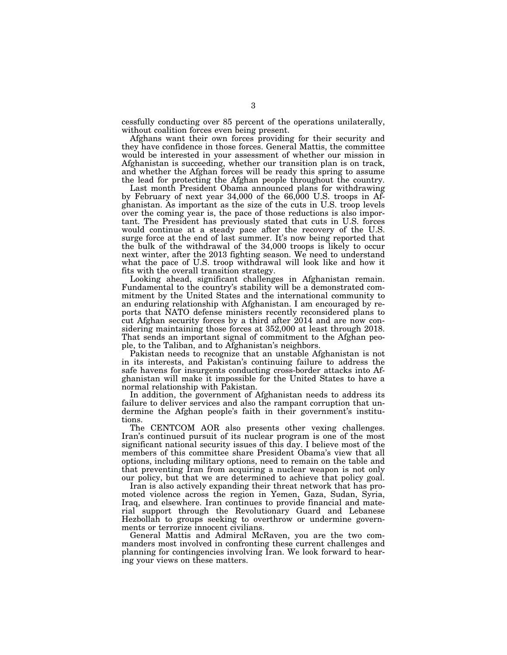cessfully conducting over 85 percent of the operations unilaterally, without coalition forces even being present.

Afghans want their own forces providing for their security and they have confidence in those forces. General Mattis, the committee would be interested in your assessment of whether our mission in Afghanistan is succeeding, whether our transition plan is on track, and whether the Afghan forces will be ready this spring to assume the lead for protecting the Afghan people throughout the country.

Last month President Obama announced plans for withdrawing by February of next year  $34,000$  of the  $66,000$  U.S. troops in Afghanistan. As important as the size of the cuts in U.S. troop levels over the coming year is, the pace of those reductions is also important. The President has previously stated that cuts in U.S. forces would continue at a steady pace after the recovery of the U.S. surge force at the end of last summer. It's now being reported that the bulk of the withdrawal of the 34,000 troops is likely to occur next winter, after the 2013 fighting season. We need to understand what the pace of U.S. troop withdrawal will look like and how it fits with the overall transition strategy.

Looking ahead, significant challenges in Afghanistan remain. Fundamental to the country's stability will be a demonstrated commitment by the United States and the international community to an enduring relationship with Afghanistan. I am encouraged by reports that NATO defense ministers recently reconsidered plans to cut Afghan security forces by a third after 2014 and are now considering maintaining those forces at 352,000 at least through 2018. That sends an important signal of commitment to the Afghan people, to the Taliban, and to Afghanistan's neighbors.

Pakistan needs to recognize that an unstable Afghanistan is not in its interests, and Pakistan's continuing failure to address the safe havens for insurgents conducting cross-border attacks into Afghanistan will make it impossible for the United States to have a normal relationship with Pakistan.

In addition, the government of Afghanistan needs to address its failure to deliver services and also the rampant corruption that undermine the Afghan people's faith in their government's institutions.

The CENTCOM AOR also presents other vexing challenges. Iran's continued pursuit of its nuclear program is one of the most significant national security issues of this day. I believe most of the members of this committee share President Obama's view that all options, including military options, need to remain on the table and that preventing Iran from acquiring a nuclear weapon is not only our policy, but that we are determined to achieve that policy goal.

Iran is also actively expanding their threat network that has promoted violence across the region in Yemen, Gaza, Sudan, Syria, Iraq, and elsewhere. Iran continues to provide financial and material support through the Revolutionary Guard and Lebanese Hezbollah to groups seeking to overthrow or undermine governments or terrorize innocent civilians.

General Mattis and Admiral McRaven, you are the two commanders most involved in confronting these current challenges and planning for contingencies involving Iran. We look forward to hearing your views on these matters.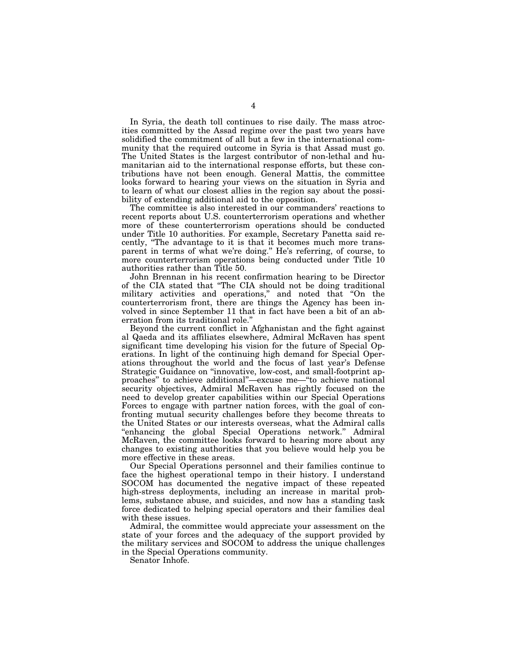In Syria, the death toll continues to rise daily. The mass atrocities committed by the Assad regime over the past two years have solidified the commitment of all but a few in the international community that the required outcome in Syria is that Assad must go. The United States is the largest contributor of non-lethal and humanitarian aid to the international response efforts, but these contributions have not been enough. General Mattis, the committee looks forward to hearing your views on the situation in Syria and to learn of what our closest allies in the region say about the possibility of extending additional aid to the opposition.

The committee is also interested in our commanders' reactions to recent reports about U.S. counterterrorism operations and whether more of these counterterrorism operations should be conducted under Title 10 authorities. For example, Secretary Panetta said recently, ''The advantage to it is that it becomes much more transparent in terms of what we're doing.'' He's referring, of course, to more counterterrorism operations being conducted under Title 10 authorities rather than Title 50.

John Brennan in his recent confirmation hearing to be Director of the CIA stated that ''The CIA should not be doing traditional military activities and operations," and noted that "On the counterterrorism front, there are things the Agency has been involved in since September 11 that in fact have been a bit of an aberration from its traditional role.''

Beyond the current conflict in Afghanistan and the fight against al Qaeda and its affiliates elsewhere, Admiral McRaven has spent significant time developing his vision for the future of Special Operations. In light of the continuing high demand for Special Operations throughout the world and the focus of last year's Defense Strategic Guidance on ''innovative, low-cost, and small-footprint approaches'' to achieve additional''—excuse me—''to achieve national security objectives, Admiral McRaven has rightly focused on the need to develop greater capabilities within our Special Operations Forces to engage with partner nation forces, with the goal of confronting mutual security challenges before they become threats to the United States or our interests overseas, what the Admiral calls ''enhancing the global Special Operations network.'' Admiral McRaven, the committee looks forward to hearing more about any changes to existing authorities that you believe would help you be more effective in these areas.

Our Special Operations personnel and their families continue to face the highest operational tempo in their history. I understand SOCOM has documented the negative impact of these repeated high-stress deployments, including an increase in marital problems, substance abuse, and suicides, and now has a standing task force dedicated to helping special operators and their families deal with these issues.

Admiral, the committee would appreciate your assessment on the state of your forces and the adequacy of the support provided by the military services and SOCOM to address the unique challenges in the Special Operations community.

Senator Inhofe.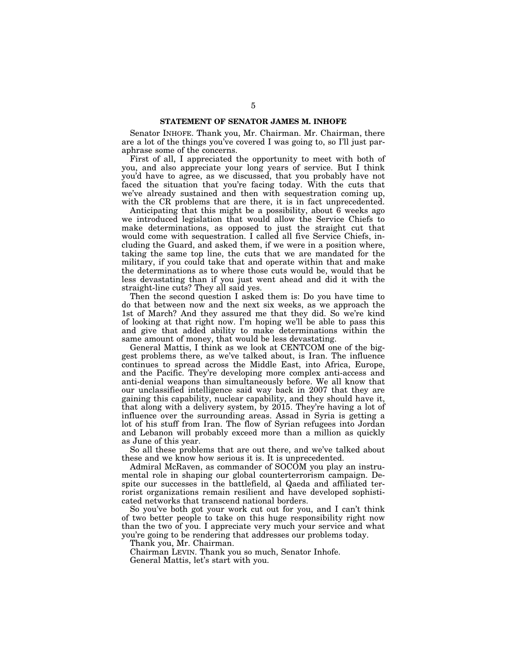#### **STATEMENT OF SENATOR JAMES M. INHOFE**

Senator INHOFE. Thank you, Mr. Chairman. Mr. Chairman, there are a lot of the things you've covered I was going to, so I'll just paraphrase some of the concerns.

First of all, I appreciated the opportunity to meet with both of you, and also appreciate your long years of service. But I think you'd have to agree, as we discussed, that you probably have not faced the situation that you're facing today. With the cuts that we've already sustained and then with sequestration coming up, with the CR problems that are there, it is in fact unprecedented.

Anticipating that this might be a possibility, about 6 weeks ago we introduced legislation that would allow the Service Chiefs to make determinations, as opposed to just the straight cut that would come with sequestration. I called all five Service Chiefs, including the Guard, and asked them, if we were in a position where, taking the same top line, the cuts that we are mandated for the military, if you could take that and operate within that and make the determinations as to where those cuts would be, would that be less devastating than if you just went ahead and did it with the straight-line cuts? They all said yes.

Then the second question I asked them is: Do you have time to do that between now and the next six weeks, as we approach the 1st of March? And they assured me that they did. So we're kind of looking at that right now. I'm hoping we'll be able to pass this and give that added ability to make determinations within the same amount of money, that would be less devastating.

General Mattis, I think as we look at CENTCOM one of the biggest problems there, as we've talked about, is Iran. The influence continues to spread across the Middle East, into Africa, Europe, and the Pacific. They're developing more complex anti-access and anti-denial weapons than simultaneously before. We all know that our unclassified intelligence said way back in 2007 that they are gaining this capability, nuclear capability, and they should have it, that along with a delivery system, by 2015. They're having a lot of influence over the surrounding areas. Assad in Syria is getting a lot of his stuff from Iran. The flow of Syrian refugees into Jordan and Lebanon will probably exceed more than a million as quickly as June of this year.

So all these problems that are out there, and we've talked about these and we know how serious it is. It is unprecedented.

Admiral McRaven, as commander of SOCOM you play an instrumental role in shaping our global counterterrorism campaign. Despite our successes in the battlefield, al Qaeda and affiliated terrorist organizations remain resilient and have developed sophisticated networks that transcend national borders.

So you've both got your work cut out for you, and I can't think of two better people to take on this huge responsibility right now than the two of you. I appreciate very much your service and what you're going to be rendering that addresses our problems today.

Thank you, Mr. Chairman.

Chairman LEVIN. Thank you so much, Senator Inhofe. General Mattis, let's start with you.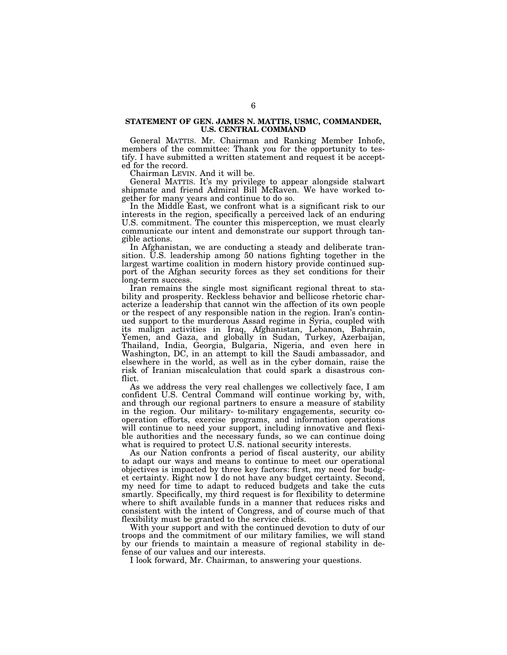#### **STATEMENT OF GEN. JAMES N. MATTIS, USMC, COMMANDER, U.S. CENTRAL COMMAND**

General MATTIS. Mr. Chairman and Ranking Member Inhofe, members of the committee: Thank you for the opportunity to testify. I have submitted a written statement and request it be accepted for the record.

Chairman LEVIN. And it will be.

General MATTIS. It's my privilege to appear alongside stalwart shipmate and friend Admiral Bill McRaven. We have worked together for many years and continue to do so.

In the Middle East, we confront what is a significant risk to our interests in the region, specifically a perceived lack of an enduring U.S. commitment. The counter this misperception, we must clearly communicate our intent and demonstrate our support through tangible actions.

In Afghanistan, we are conducting a steady and deliberate transition. U.S. leadership among 50 nations fighting together in the largest wartime coalition in modern history provide continued support of the Afghan security forces as they set conditions for their long-term success.

Iran remains the single most significant regional threat to stability and prosperity. Reckless behavior and bellicose rhetoric characterize a leadership that cannot win the affection of its own people or the respect of any responsible nation in the region. Iran's continued support to the murderous Assad regime in Syria, coupled with its malign activities in Iraq, Afghanistan, Lebanon, Bahrain, Yemen, and Gaza, and globally in Sudan, Turkey, Azerbaijan, Thailand, India, Georgia, Bulgaria, Nigeria, and even here in Washington, DC, in an attempt to kill the Saudi ambassador, and elsewhere in the world, as well as in the cyber domain, raise the risk of Iranian miscalculation that could spark a disastrous conflict.

As we address the very real challenges we collectively face, I am confident U.S. Central Command will continue working by, with, and through our regional partners to ensure a measure of stability in the region. Our military- to-military engagements, security cooperation efforts, exercise programs, and information operations will continue to need your support, including innovative and flexible authorities and the necessary funds, so we can continue doing what is required to protect U.S. national security interests.

As our Nation confronts a period of fiscal austerity, our ability to adapt our ways and means to continue to meet our operational objectives is impacted by three key factors: first, my need for budget certainty. Right now I do not have any budget certainty. Second, my need for time to adapt to reduced budgets and take the cuts smartly. Specifically, my third request is for flexibility to determine where to shift available funds in a manner that reduces risks and consistent with the intent of Congress, and of course much of that flexibility must be granted to the service chiefs.

With your support and with the continued devotion to duty of our troops and the commitment of our military families, we will stand by our friends to maintain a measure of regional stability in defense of our values and our interests.

I look forward, Mr. Chairman, to answering your questions.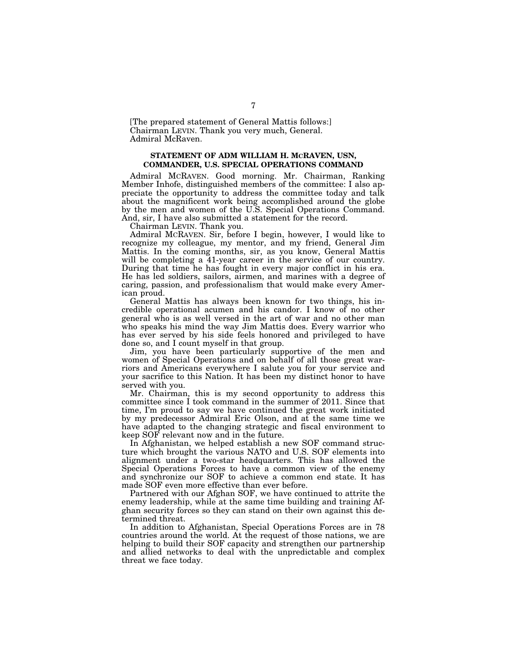[The prepared statement of General Mattis follows:] Chairman LEVIN. Thank you very much, General. Admiral McRaven.

#### **STATEMENT OF ADM WILLIAM H. MCRAVEN, USN, COMMANDER, U.S. SPECIAL OPERATIONS COMMAND**

Admiral MCRAVEN. Good morning. Mr. Chairman, Ranking Member Inhofe, distinguished members of the committee: I also appreciate the opportunity to address the committee today and talk about the magnificent work being accomplished around the globe by the men and women of the U.S. Special Operations Command. And, sir, I have also submitted a statement for the record.

Chairman LEVIN. Thank you.

Admiral MCRAVEN. Sir, before I begin, however, I would like to recognize my colleague, my mentor, and my friend, General Jim Mattis. In the coming months, sir, as you know, General Mattis will be completing a 41-year career in the service of our country. During that time he has fought in every major conflict in his era. He has led soldiers, sailors, airmen, and marines with a degree of caring, passion, and professionalism that would make every American proud.

General Mattis has always been known for two things, his incredible operational acumen and his candor. I know of no other general who is as well versed in the art of war and no other man who speaks his mind the way Jim Mattis does. Every warrior who has ever served by his side feels honored and privileged to have done so, and I count myself in that group.

Jim, you have been particularly supportive of the men and women of Special Operations and on behalf of all those great warriors and Americans everywhere I salute you for your service and your sacrifice to this Nation. It has been my distinct honor to have served with you.

Mr. Chairman, this is my second opportunity to address this committee since I took command in the summer of 2011. Since that time, I'm proud to say we have continued the great work initiated by my predecessor Admiral Eric Olson, and at the same time we have adapted to the changing strategic and fiscal environment to keep SOF relevant now and in the future.

In Afghanistan, we helped establish a new SOF command structure which brought the various NATO and U.S. SOF elements into alignment under a two-star headquarters. This has allowed the Special Operations Forces to have a common view of the enemy and synchronize our SOF to achieve a common end state. It has made SOF even more effective than ever before.

Partnered with our Afghan SOF, we have continued to attrite the enemy leadership, while at the same time building and training Afghan security forces so they can stand on their own against this determined threat.

In addition to Afghanistan, Special Operations Forces are in 78 countries around the world. At the request of those nations, we are helping to build their SOF capacity and strengthen our partnership and allied networks to deal with the unpredictable and complex threat we face today.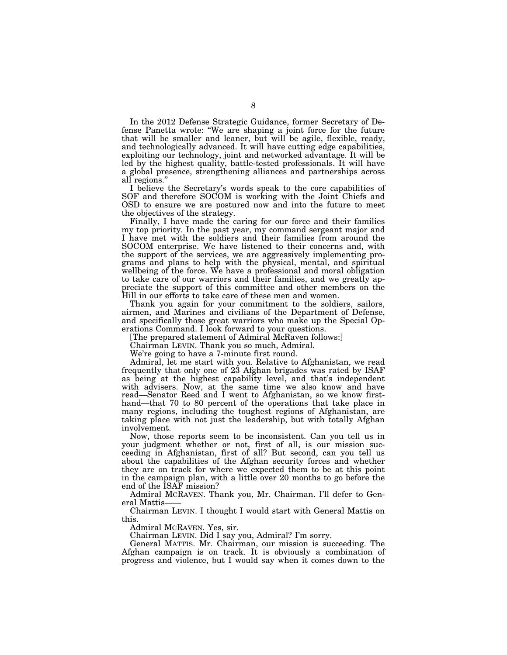In the 2012 Defense Strategic Guidance, former Secretary of Defense Panetta wrote: ''We are shaping a joint force for the future that will be smaller and leaner, but will be agile, flexible, ready, and technologically advanced. It will have cutting edge capabilities, exploiting our technology, joint and networked advantage. It will be led by the highest quality, battle-tested professionals. It will have a global presence, strengthening alliances and partnerships across all regions.''

I believe the Secretary's words speak to the core capabilities of SOF and therefore SOCOM is working with the Joint Chiefs and OSD to ensure we are postured now and into the future to meet the objectives of the strategy.

Finally, I have made the caring for our force and their families my top priority. In the past year, my command sergeant major and I have met with the soldiers and their families from around the SOCOM enterprise. We have listened to their concerns and, with the support of the services, we are aggressively implementing programs and plans to help with the physical, mental, and spiritual wellbeing of the force. We have a professional and moral obligation to take care of our warriors and their families, and we greatly appreciate the support of this committee and other members on the Hill in our efforts to take care of these men and women.

Thank you again for your commitment to the soldiers, sailors, airmen, and Marines and civilians of the Department of Defense, and specifically those great warriors who make up the Special Operations Command. I look forward to your questions.

[The prepared statement of Admiral McRaven follows:]

Chairman LEVIN. Thank you so much, Admiral.

We're going to have a 7-minute first round.

Admiral, let me start with you. Relative to Afghanistan, we read frequently that only one of 23 Afghan brigades was rated by ISAF as being at the highest capability level, and that's independent with advisers. Now, at the same time we also know and have read—Senator Reed and I went to Afghanistan, so we know firsthand—that 70 to 80 percent of the operations that take place in many regions, including the toughest regions of Afghanistan, are taking place with not just the leadership, but with totally Afghan involvement.

Now, those reports seem to be inconsistent. Can you tell us in your judgment whether or not, first of all, is our mission succeeding in Afghanistan, first of all? But second, can you tell us about the capabilities of the Afghan security forces and whether they are on track for where we expected them to be at this point in the campaign plan, with a little over 20 months to go before the end of the ISAF mission?

Admiral MCRAVEN. Thank you, Mr. Chairman. I'll defer to General Mattis

Chairman LEVIN. I thought I would start with General Mattis on this.

Admiral MCRAVEN. Yes, sir.

Chairman LEVIN. Did I say you, Admiral? I'm sorry.

General MATTIS. Mr. Chairman, our mission is succeeding. The Afghan campaign is on track. It is obviously a combination of progress and violence, but I would say when it comes down to the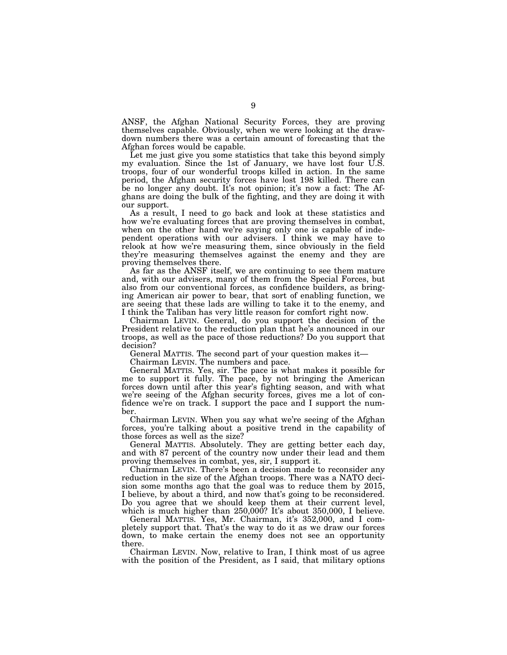ANSF, the Afghan National Security Forces, they are proving themselves capable. Obviously, when we were looking at the drawdown numbers there was a certain amount of forecasting that the Afghan forces would be capable.

Let me just give you some statistics that take this beyond simply my evaluation. Since the 1st of January, we have lost four U.S. troops, four of our wonderful troops killed in action. In the same period, the Afghan security forces have lost 198 killed. There can be no longer any doubt. It's not opinion; it's now a fact: The Afghans are doing the bulk of the fighting, and they are doing it with our support.

As a result, I need to go back and look at these statistics and how we're evaluating forces that are proving themselves in combat, when on the other hand we're saying only one is capable of independent operations with our advisers. I think we may have to relook at how we're measuring them, since obviously in the field they're measuring themselves against the enemy and they are proving themselves there.

As far as the ANSF itself, we are continuing to see them mature and, with our advisers, many of them from the Special Forces, but also from our conventional forces, as confidence builders, as bringing American air power to bear, that sort of enabling function, we are seeing that these lads are willing to take it to the enemy, and I think the Taliban has very little reason for comfort right now.

Chairman LEVIN. General, do you support the decision of the President relative to the reduction plan that he's announced in our troops, as well as the pace of those reductions? Do you support that decision?

General MATTIS. The second part of your question makes it—

Chairman LEVIN. The numbers and pace.

General MATTIS. Yes, sir. The pace is what makes it possible for me to support it fully. The pace, by not bringing the American forces down until after this year's fighting season, and with what we're seeing of the Afghan security forces, gives me a lot of confidence we're on track. I support the pace and I support the number.

Chairman LEVIN. When you say what we're seeing of the Afghan forces, you're talking about a positive trend in the capability of those forces as well as the size?

General MATTIS. Absolutely. They are getting better each day, and with 87 percent of the country now under their lead and them proving themselves in combat, yes, sir, I support it.

Chairman LEVIN. There's been a decision made to reconsider any reduction in the size of the Afghan troops. There was a NATO decision some months ago that the goal was to reduce them by 2015, I believe, by about a third, and now that's going to be reconsidered. Do you agree that we should keep them at their current level, which is much higher than 250,000? It's about 350,000, I believe.

General MATTIS. Yes, Mr. Chairman, it's 352,000, and I completely support that. That's the way to do it as we draw our forces down, to make certain the enemy does not see an opportunity there.

Chairman LEVIN. Now, relative to Iran, I think most of us agree with the position of the President, as I said, that military options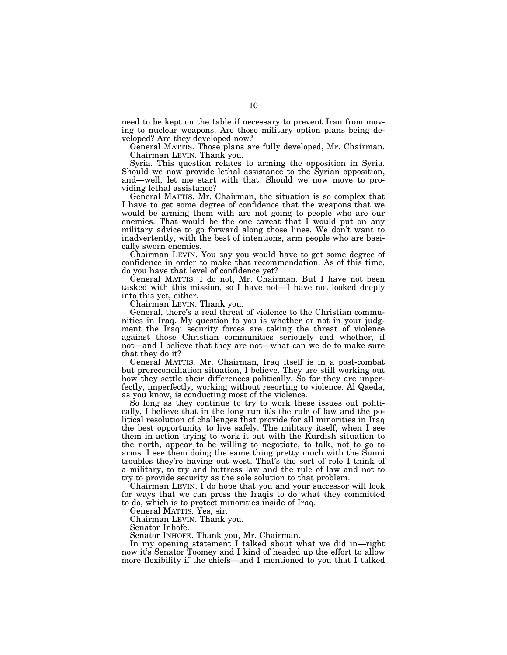need to be kept on the table if necessary to prevent Iran from moving to nuclear weapons. Are those military option plans being developed? Are they developed now?

General MATTIS. Those plans are fully developed, Mr. Chairman. Chairman LEVIN. Thank you.

Syria. This question relates to arming the opposition in Syria. Should we now provide lethal assistance to the Syrian opposition, and—well, let me start with that. Should we now move to providing lethal assistance?

General MATTIS. Mr. Chairman, the situation is so complex that I have to get some degree of confidence that the weapons that we would be arming them with are not going to people who are our enemies. That would be the one caveat that I would put on any military advice to go forward along those lines. We don't want to inadvertently, with the best of intentions, arm people who are basically sworn enemies.

Chairman LEVIN. You say you would have to get some degree of confidence in order to make that recommendation. As of this time, do you have that level of confidence yet?

General MATTIS. I do not, Mr. Chairman. But I have not been tasked with this mission, so I have not—I have not looked deeply into this yet, either.

Chairman LEVIN. Thank you.

General, there's a real threat of violence to the Christian communities in Iraq. My question to you is whether or not in your judgment the Iraqi security forces are taking the threat of violence against those Christian communities seriously and whether, if not—and I believe that they are not—what can we do to make sure that they do it?

General MATTIS. Mr. Chairman, Iraq itself is in a post-combat but prereconciliation situation, I believe. They are still working out how they settle their differences politically. So far they are imperfectly, imperfectly, working without resorting to violence. Al Qaeda, as you know, is conducting most of the violence.

So long as they continue to try to work these issues out politically, I believe that in the long run it's the rule of law and the political resolution of challenges that provide for all minorities in Iraq the best opportunity to live safely. The military itself, when I see them in action trying to work it out with the Kurdish situation to the north, appear to be willing to negotiate, to talk, not to go to arms. I see them doing the same thing pretty much with the Sunni troubles they're having out west. That's the sort of role I think of a military, to try and buttress law and the rule of law and not to try to provide security as the sole solution to that problem.

Chairman LEVIN. I do hope that you and your successor will look for ways that we can press the Iraqis to do what they committed to do, which is to protect minorities inside of Iraq.

General MATTIS. Yes, sir.

Chairman LEVIN. Thank you.

Senator Inhofe.

Senator INHOFE. Thank you, Mr. Chairman.

In my opening statement I talked about what we did in—right now it's Senator Toomey and I kind of headed up the effort to allow more flexibility if the chiefs—and I mentioned to you that I talked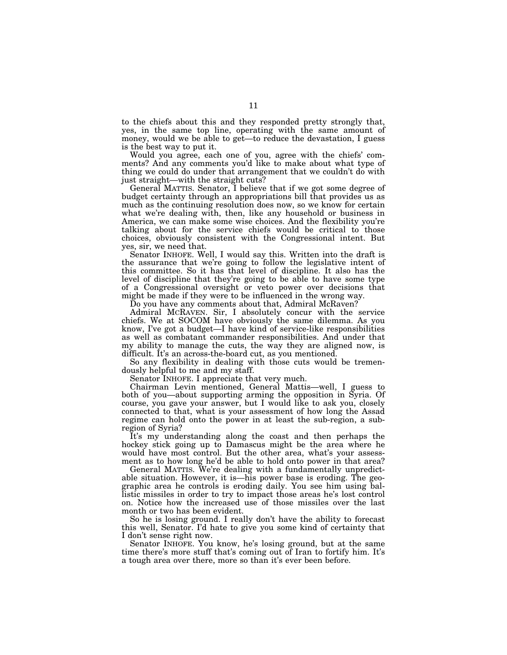to the chiefs about this and they responded pretty strongly that, yes, in the same top line, operating with the same amount of money, would we be able to get—to reduce the devastation, I guess is the best way to put it.

Would you agree, each one of you, agree with the chiefs' comments? And any comments you'd like to make about what type of thing we could do under that arrangement that we couldn't do with just straight—with the straight cuts?

General MATTIS. Senator, I believe that if we got some degree of budget certainty through an appropriations bill that provides us as much as the continuing resolution does now, so we know for certain what we're dealing with, then, like any household or business in America, we can make some wise choices. And the flexibility you're talking about for the service chiefs would be critical to those choices, obviously consistent with the Congressional intent. But yes, sir, we need that.

Senator INHOFE. Well, I would say this. Written into the draft is the assurance that we're going to follow the legislative intent of this committee. So it has that level of discipline. It also has the level of discipline that they're going to be able to have some type of a Congressional oversight or veto power over decisions that might be made if they were to be influenced in the wrong way.

Do you have any comments about that, Admiral McRaven?

Admiral MCRAVEN. Sir, I absolutely concur with the service chiefs. We at SOCOM have obviously the same dilemma. As you know, I've got a budget—I have kind of service-like responsibilities as well as combatant commander responsibilities. And under that my ability to manage the cuts, the way they are aligned now, is difficult. It's an across-the-board cut, as you mentioned.

So any flexibility in dealing with those cuts would be tremendously helpful to me and my staff.

Senator INHOFE. I appreciate that very much.

Chairman Levin mentioned, General Mattis—well, I guess to both of you—about supporting arming the opposition in Syria. Of course, you gave your answer, but I would like to ask you, closely connected to that, what is your assessment of how long the Assad regime can hold onto the power in at least the sub-region, a subregion of Syria?

It's my understanding along the coast and then perhaps the hockey stick going up to Damascus might be the area where he would have most control. But the other area, what's your assessment as to how long he'd be able to hold onto power in that area?

General MATTIS. We're dealing with a fundamentally unpredictable situation. However, it is—his power base is eroding. The geographic area he controls is eroding daily. You see him using ballistic missiles in order to try to impact those areas he's lost control on. Notice how the increased use of those missiles over the last month or two has been evident.

So he is losing ground. I really don't have the ability to forecast this well, Senator. I'd hate to give you some kind of certainty that I don't sense right now.

Senator INHOFE. You know, he's losing ground, but at the same time there's more stuff that's coming out of Iran to fortify him. It's a tough area over there, more so than it's ever been before.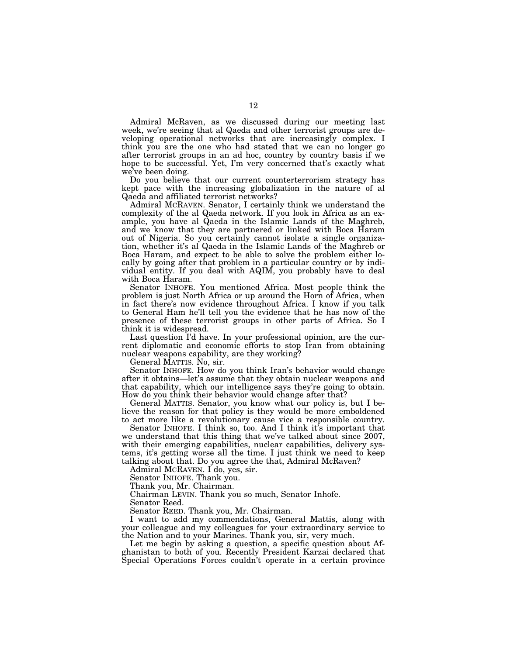Admiral McRaven, as we discussed during our meeting last week, we're seeing that al Qaeda and other terrorist groups are developing operational networks that are increasingly complex. I think you are the one who had stated that we can no longer go after terrorist groups in an ad hoc, country by country basis if we hope to be successful. Yet, I'm very concerned that's exactly what we've been doing.

Do you believe that our current counterterrorism strategy has kept pace with the increasing globalization in the nature of al Qaeda and affiliated terrorist networks?

Admiral MCRAVEN. Senator, I certainly think we understand the complexity of the al Qaeda network. If you look in Africa as an example, you have al Qaeda in the Islamic Lands of the Maghreb, and we know that they are partnered or linked with Boca Haram out of Nigeria. So you certainly cannot isolate a single organization, whether it's al Qaeda in the Islamic Lands of the Maghreb or Boca Haram, and expect to be able to solve the problem either locally by going after that problem in a particular country or by individual entity. If you deal with AQIM, you probably have to deal with Boca Haram.

Senator INHOFE. You mentioned Africa. Most people think the problem is just North Africa or up around the Horn of Africa, when in fact there's now evidence throughout Africa. I know if you talk to General Ham he'll tell you the evidence that he has now of the presence of these terrorist groups in other parts of Africa. So I think it is widespread.

Last question I'd have. In your professional opinion, are the current diplomatic and economic efforts to stop Iran from obtaining nuclear weapons capability, are they working?

General MATTIS. No, sir.

Senator INHOFE. How do you think Iran's behavior would change after it obtains—let's assume that they obtain nuclear weapons and that capability, which our intelligence says they're going to obtain. How do you think their behavior would change after that?

General MATTIS. Senator, you know what our policy is, but I believe the reason for that policy is they would be more emboldened to act more like a revolutionary cause vice a responsible country.

Senator INHOFE. I think so, too. And I think it's important that we understand that this thing that we've talked about since 2007, with their emerging capabilities, nuclear capabilities, delivery systems, it's getting worse all the time. I just think we need to keep talking about that. Do you agree the that, Admiral McRaven?

Admiral MCRAVEN. I do, yes, sir.

Senator INHOFE. Thank you.

Thank you, Mr. Chairman.

Chairman LEVIN. Thank you so much, Senator Inhofe.

Senator Reed.

Senator REED. Thank you, Mr. Chairman.

I want to add my commendations, General Mattis, along with your colleague and my colleagues for your extraordinary service to the Nation and to your Marines. Thank you, sir, very much.

Let me begin by asking a question, a specific question about Afghanistan to both of you. Recently President Karzai declared that Special Operations Forces couldn't operate in a certain province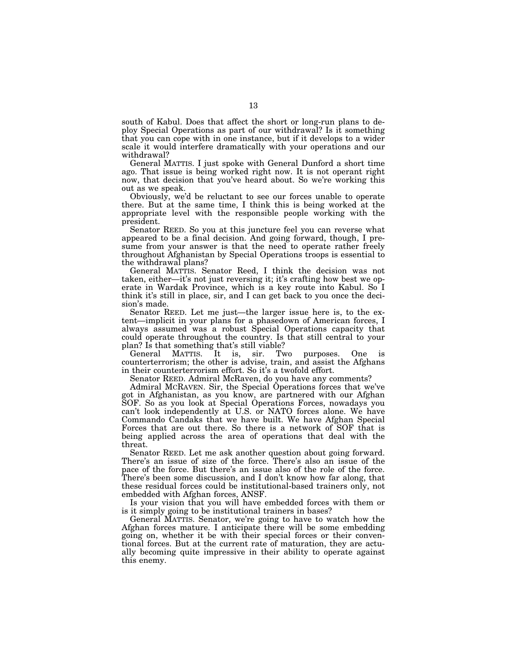south of Kabul. Does that affect the short or long-run plans to deploy Special Operations as part of our withdrawal? Is it something that you can cope with in one instance, but if it develops to a wider scale it would interfere dramatically with your operations and our withdrawal?

General MATTIS. I just spoke with General Dunford a short time ago. That issue is being worked right now. It is not operant right now, that decision that you've heard about. So we're working this out as we speak.

Obviously, we'd be reluctant to see our forces unable to operate there. But at the same time, I think this is being worked at the appropriate level with the responsible people working with the president.

Senator REED. So you at this juncture feel you can reverse what appeared to be a final decision. And going forward, though, I presume from your answer is that the need to operate rather freely throughout Afghanistan by Special Operations troops is essential to the withdrawal plans?

General MATTIS. Senator Reed, I think the decision was not taken, either—it's not just reversing it; it's crafting how best we operate in Wardak Province, which is a key route into Kabul. So I think it's still in place, sir, and I can get back to you once the decision's made.

Senator REED. Let me just—the larger issue here is, to the extent—implicit in your plans for a phasedown of American forces, I always assumed was a robust Special Operations capacity that could operate throughout the country. Is that still central to your plan? Is that something that's still viable?

General MATTIS. It is, sir. Two purposes. One is counterterrorism; the other is advise, train, and assist the Afghans in their counterterrorism effort. So it's a twofold effort.

Senator REED. Admiral McRaven, do you have any comments?

Admiral MCRAVEN. Sir, the Special Operations forces that we've got in Afghanistan, as you know, are partnered with our Afghan SOF. So as you look at Special Operations Forces, nowadays you can't look independently at U.S. or NATO forces alone. We have Commando Candaks that we have built. We have Afghan Special Forces that are out there. So there is a network of SOF that is being applied across the area of operations that deal with the threat.

Senator REED. Let me ask another question about going forward. There's an issue of size of the force. There's also an issue of the pace of the force. But there's an issue also of the role of the force. There's been some discussion, and I don't know how far along, that these residual forces could be institutional-based trainers only, not embedded with Afghan forces, ANSF.

Is your vision that you will have embedded forces with them or is it simply going to be institutional trainers in bases?

General MATTIS. Senator, we're going to have to watch how the Afghan forces mature. I anticipate there will be some embedding going on, whether it be with their special forces or their conventional forces. But at the current rate of maturation, they are actually becoming quite impressive in their ability to operate against this enemy.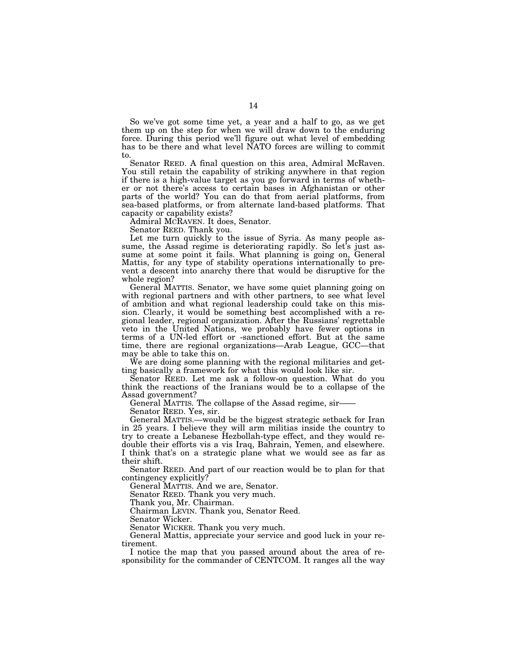So we've got some time yet, a year and a half to go, as we get them up on the step for when we will draw down to the enduring force. During this period we'll figure out what level of embedding has to be there and what level NATO forces are willing to commit to.

Senator REED. A final question on this area, Admiral McRaven. You still retain the capability of striking anywhere in that region if there is a high-value target as you go forward in terms of whether or not there's access to certain bases in Afghanistan or other parts of the world? You can do that from aerial platforms, from sea-based platforms, or from alternate land-based platforms. That capacity or capability exists?

Admiral MCRAVEN. It does, Senator.

Senator REED. Thank you.

Let me turn quickly to the issue of Syria. As many people assume, the Assad regime is deteriorating rapidly. So let's just assume at some point it fails. What planning is going on, General Mattis, for any type of stability operations internationally to prevent a descent into anarchy there that would be disruptive for the whole region?

General MATTIS. Senator, we have some quiet planning going on with regional partners and with other partners, to see what level of ambition and what regional leadership could take on this mission. Clearly, it would be something best accomplished with a regional leader, regional organization. After the Russians' regrettable veto in the United Nations, we probably have fewer options in terms of a UN-led effort or -sanctioned effort. But at the same time, there are regional organizations—Arab League, GCC—that may be able to take this on.

We are doing some planning with the regional militaries and getting basically a framework for what this would look like sir.

Senator REED. Let me ask a follow-on question. What do you think the reactions of the Iranians would be to a collapse of the Assad government?

General MATTIS. The collapse of the Assad regime, sir——

Senator REED. Yes, sir.

General MATTIS.—would be the biggest strategic setback for Iran in 25 years. I believe they will arm militias inside the country to try to create a Lebanese Hezbollah-type effect, and they would redouble their efforts vis a vis Iraq, Bahrain, Yemen, and elsewhere. I think that's on a strategic plane what we would see as far as their shift.

Senator REED. And part of our reaction would be to plan for that contingency explicitly?

General MATTIS. And we are, Senator.

Senator REED. Thank you very much.

Thank you, Mr. Chairman.

Chairman LEVIN. Thank you, Senator Reed.

Senator Wicker.

Senator WICKER. Thank you very much.

General Mattis, appreciate your service and good luck in your retirement.

I notice the map that you passed around about the area of responsibility for the commander of CENTCOM. It ranges all the way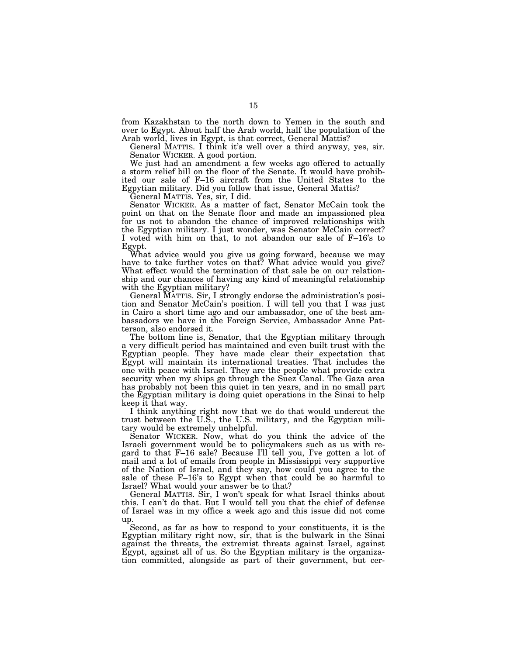from Kazakhstan to the north down to Yemen in the south and over to Egypt. About half the Arab world, half the population of the Arab world, lives in Egypt, is that correct, General Mattis?

General MATTIS. I think it's well over a third anyway, yes, sir. Senator WICKER. A good portion.

We just had an amendment a few weeks ago offered to actually a storm relief bill on the floor of the Senate. It would have prohibited our sale of F–16 aircraft from the United States to the Egpytian military. Did you follow that issue, General Mattis?

General MATTIS. Yes, sir, I did.

Senator WICKER. As a matter of fact, Senator McCain took the point on that on the Senate floor and made an impassioned plea for us not to abandon the chance of improved relationships with the Egyptian military. I just wonder, was Senator McCain correct? I voted with him on that, to not abandon our sale of F–16's to Egypt.

What advice would you give us going forward, because we may have to take further votes on that? What advice would you give? What effect would the termination of that sale be on our relationship and our chances of having any kind of meaningful relationship with the Egyptian military?

General MATTIS. Sir, I strongly endorse the administration's position and Senator McCain's position. I will tell you that I was just in Cairo a short time ago and our ambassador, one of the best ambassadors we have in the Foreign Service, Ambassador Anne Patterson, also endorsed it.

The bottom line is, Senator, that the Egyptian military through a very difficult period has maintained and even built trust with the Egyptian people. They have made clear their expectation that Egypt will maintain its international treaties. That includes the one with peace with Israel. They are the people what provide extra security when my ships go through the Suez Canal. The Gaza area has probably not been this quiet in ten years, and in no small part the Egyptian military is doing quiet operations in the Sinai to help keep it that way.

I think anything right now that we do that would undercut the trust between the U.S., the U.S. military, and the Egyptian military would be extremely unhelpful.

Senator WICKER. Now, what do you think the advice of the Israeli government would be to policymakers such as us with regard to that F–16 sale? Because I'll tell you, I've gotten a lot of mail and a lot of emails from people in Mississippi very supportive of the Nation of Israel, and they say, how could you agree to the sale of these F–16's to Egypt when that could be so harmful to Israel? What would your answer be to that?

General MATTIS. Sir, I won't speak for what Israel thinks about this. I can't do that. But I would tell you that the chief of defense of Israel was in my office a week ago and this issue did not come up.

Second, as far as how to respond to your constituents, it is the Egyptian military right now, sir, that is the bulwark in the Sinai against the threats, the extremist threats against Israel, against Egypt, against all of us. So the Egyptian military is the organization committed, alongside as part of their government, but cer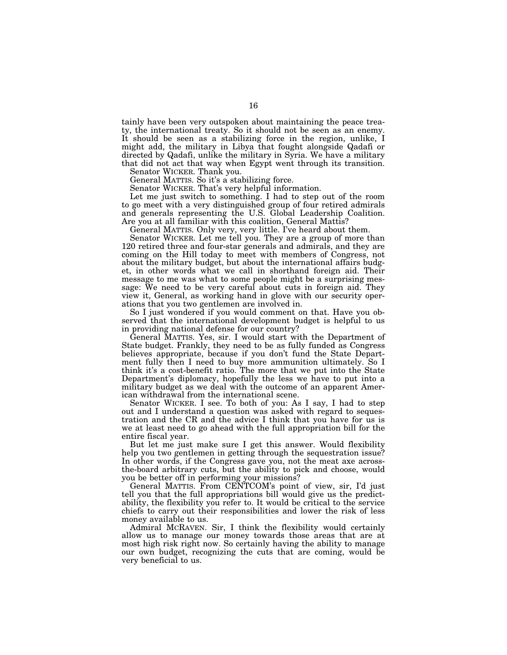tainly have been very outspoken about maintaining the peace treaty, the international treaty. So it should not be seen as an enemy. It should be seen as a stabilizing force in the region, unlike, I might add, the military in Libya that fought alongside Qadafi or directed by Qadafi, unlike the military in Syria. We have a military that did not act that way when Egypt went through its transition.

Senator WICKER. Thank you.

General MATTIS. So it's a stabilizing force.

Senator WICKER. That's very helpful information.

Let me just switch to something. I had to step out of the room to go meet with a very distinguished group of four retired admirals and generals representing the U.S. Global Leadership Coalition. Are you at all familiar with this coalition, General Mattis?

General MATTIS. Only very, very little. I've heard about them.

Senator WICKER. Let me tell you. They are a group of more than 120 retired three and four-star generals and admirals, and they are coming on the Hill today to meet with members of Congress, not about the military budget, but about the international affairs budget, in other words what we call in shorthand foreign aid. Their message to me was what to some people might be a surprising message: We need to be very careful about cuts in foreign aid. They view it, General, as working hand in glove with our security operations that you two gentlemen are involved in.

So I just wondered if you would comment on that. Have you observed that the international development budget is helpful to us in providing national defense for our country?

General MATTIS. Yes, sir. I would start with the Department of State budget. Frankly, they need to be as fully funded as Congress believes appropriate, because if you don't fund the State Department fully then I need to buy more ammunition ultimately. So I think it's a cost-benefit ratio. The more that we put into the State Department's diplomacy, hopefully the less we have to put into a military budget as we deal with the outcome of an apparent American withdrawal from the international scene.

Senator WICKER. I see. To both of you: As I say, I had to step out and I understand a question was asked with regard to sequestration and the CR and the advice I think that you have for us is we at least need to go ahead with the full appropriation bill for the entire fiscal year.

But let me just make sure I get this answer. Would flexibility help you two gentlemen in getting through the sequestration issue? In other words, if the Congress gave you, not the meat axe acrossthe-board arbitrary cuts, but the ability to pick and choose, would you be better off in performing your missions?

General MATTIS. From CENTCOM's point of view, sir, I'd just tell you that the full appropriations bill would give us the predictability, the flexibility you refer to. It would be critical to the service chiefs to carry out their responsibilities and lower the risk of less money available to us.

Admiral MCRAVEN. Sir, I think the flexibility would certainly allow us to manage our money towards those areas that are at most high risk right now. So certainly having the ability to manage our own budget, recognizing the cuts that are coming, would be very beneficial to us.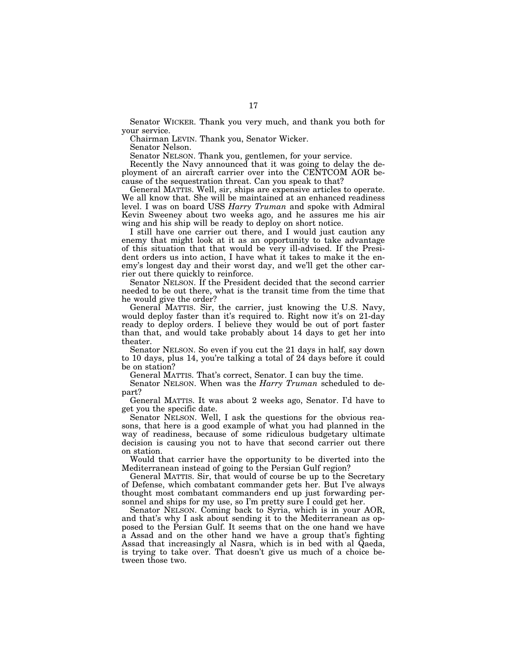Senator WICKER. Thank you very much, and thank you both for your service.

Chairman LEVIN. Thank you, Senator Wicker.

Senator Nelson.

Senator NELSON. Thank you, gentlemen, for your service.

Recently the Navy announced that it was going to delay the deployment of an aircraft carrier over into the CENTCOM AOR because of the sequestration threat. Can you speak to that?

General MATTIS. Well, sir, ships are expensive articles to operate. We all know that. She will be maintained at an enhanced readiness level. I was on board USS *Harry Truman* and spoke with Admiral Kevin Sweeney about two weeks ago, and he assures me his air wing and his ship will be ready to deploy on short notice.

I still have one carrier out there, and I would just caution any enemy that might look at it as an opportunity to take advantage of this situation that that would be very ill-advised. If the President orders us into action, I have what it takes to make it the enemy's longest day and their worst day, and we'll get the other carrier out there quickly to reinforce.

Senator NELSON. If the President decided that the second carrier needed to be out there, what is the transit time from the time that he would give the order?

General MATTIS. Sir, the carrier, just knowing the U.S. Navy, would deploy faster than it's required to. Right now it's on 21-day ready to deploy orders. I believe they would be out of port faster than that, and would take probably about 14 days to get her into theater.

Senator NELSON. So even if you cut the 21 days in half, say down to 10 days, plus 14, you're talking a total of 24 days before it could be on station?

General MATTIS. That's correct, Senator. I can buy the time.

Senator NELSON. When was the *Harry Truman* scheduled to depart?

General MATTIS. It was about 2 weeks ago, Senator. I'd have to get you the specific date.

Senator NELSON. Well, I ask the questions for the obvious reasons, that here is a good example of what you had planned in the way of readiness, because of some ridiculous budgetary ultimate decision is causing you not to have that second carrier out there on station.

Would that carrier have the opportunity to be diverted into the Mediterranean instead of going to the Persian Gulf region?

General MATTIS. Sir, that would of course be up to the Secretary of Defense, which combatant commander gets her. But I've always thought most combatant commanders end up just forwarding personnel and ships for my use, so I'm pretty sure I could get her.

Senator NELSON. Coming back to Syria, which is in your AOR, and that's why I ask about sending it to the Mediterranean as opposed to the Persian Gulf. It seems that on the one hand we have a Assad and on the other hand we have a group that's fighting Assad that increasingly al Nasra, which is in bed with al Qaeda, is trying to take over. That doesn't give us much of a choice between those two.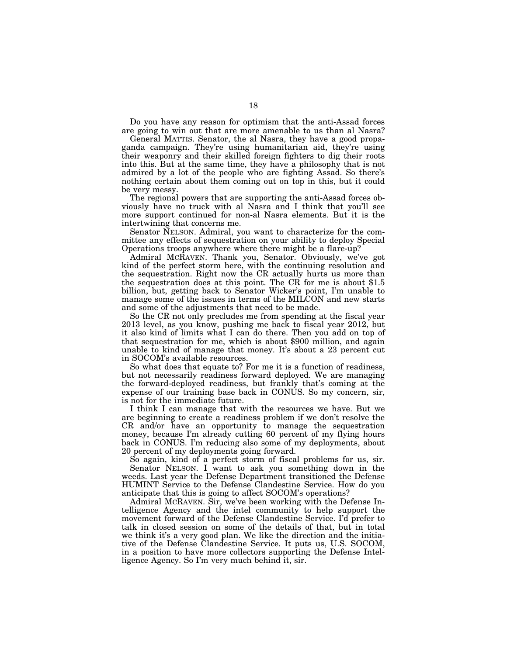Do you have any reason for optimism that the anti-Assad forces are going to win out that are more amenable to us than al Nasra?

General MATTIS. Senator, the al Nasra, they have a good propaganda campaign. They're using humanitarian aid, they're using their weaponry and their skilled foreign fighters to dig their roots into this. But at the same time, they have a philosophy that is not admired by a lot of the people who are fighting Assad. So there's nothing certain about them coming out on top in this, but it could be very messy.

The regional powers that are supporting the anti-Assad forces obviously have no truck with al Nasra and I think that you'll see more support continued for non-al Nasra elements. But it is the intertwining that concerns me.

Senator NELSON. Admiral, you want to characterize for the committee any effects of sequestration on your ability to deploy Special Operations troops anywhere where there might be a flare-up?

Admiral MCRAVEN. Thank you, Senator. Obviously, we've got kind of the perfect storm here, with the continuing resolution and the sequestration. Right now the CR actually hurts us more than the sequestration does at this point. The CR for me is about \$1.5 billion, but, getting back to Senator Wicker's point, I'm unable to manage some of the issues in terms of the MILCON and new starts and some of the adjustments that need to be made.

So the CR not only precludes me from spending at the fiscal year 2013 level, as you know, pushing me back to fiscal year 2012, but it also kind of limits what I can do there. Then you add on top of that sequestration for me, which is about \$900 million, and again unable to kind of manage that money. It's about a 23 percent cut in SOCOM's available resources.

So what does that equate to? For me it is a function of readiness, but not necessarily readiness forward deployed. We are managing the forward-deployed readiness, but frankly that's coming at the expense of our training base back in CONUS. So my concern, sir, is not for the immediate future.

I think I can manage that with the resources we have. But we are beginning to create a readiness problem if we don't resolve the CR and/or have an opportunity to manage the sequestration money, because I'm already cutting 60 percent of my flying hours back in CONUS. I'm reducing also some of my deployments, about 20 percent of my deployments going forward.

So again, kind of a perfect storm of fiscal problems for us, sir. Senator NELSON. I want to ask you something down in the weeds. Last year the Defense Department transitioned the Defense HUMINT Service to the Defense Clandestine Service. How do you anticipate that this is going to affect SOCOM's operations?

Admiral MCRAVEN. Sir, we've been working with the Defense Intelligence Agency and the intel community to help support the movement forward of the Defense Clandestine Service. I'd prefer to talk in closed session on some of the details of that, but in total we think it's a very good plan. We like the direction and the initiative of the Defense Clandestine Service. It puts us, U.S. SOCOM, in a position to have more collectors supporting the Defense Intelligence Agency. So I'm very much behind it, sir.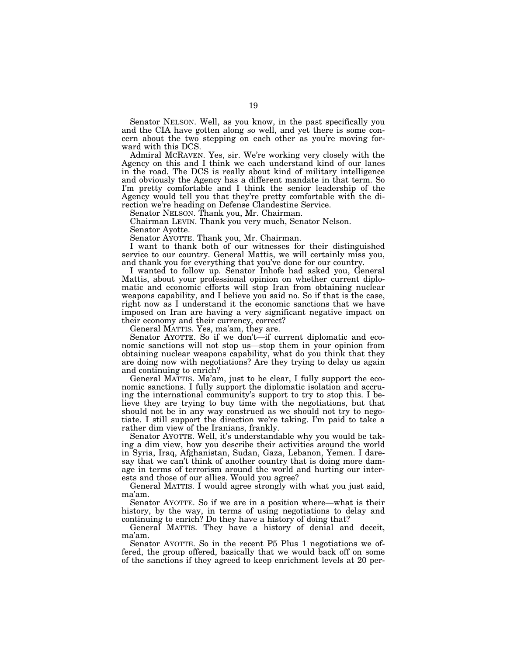Senator NELSON. Well, as you know, in the past specifically you and the CIA have gotten along so well, and yet there is some concern about the two stepping on each other as you're moving forward with this DCS.

Admiral MCRAVEN. Yes, sir. We're working very closely with the Agency on this and I think we each understand kind of our lanes in the road. The DCS is really about kind of military intelligence and obviously the Agency has a different mandate in that term. So I'm pretty comfortable and I think the senior leadership of the Agency would tell you that they're pretty comfortable with the direction we're heading on Defense Clandestine Service.

Senator NELSON. Thank you, Mr. Chairman.

Chairman LEVIN. Thank you very much, Senator Nelson.

Senator Ayotte.

Senator AYOTTE. Thank you, Mr. Chairman.

I want to thank both of our witnesses for their distinguished service to our country. General Mattis, we will certainly miss you, and thank you for everything that you've done for our country.

I wanted to follow up. Senator Inhofe had asked you, General Mattis, about your professional opinion on whether current diplomatic and economic efforts will stop Iran from obtaining nuclear weapons capability, and I believe you said no. So if that is the case, right now as I understand it the economic sanctions that we have imposed on Iran are having a very significant negative impact on their economy and their currency, correct?

General MATTIS. Yes, ma'am, they are.

Senator AYOTTE. So if we don't—if current diplomatic and economic sanctions will not stop us—stop them in your opinion from obtaining nuclear weapons capability, what do you think that they are doing now with negotiations? Are they trying to delay us again and continuing to enrich?

General MATTIS. Ma'am, just to be clear, I fully support the economic sanctions. I fully support the diplomatic isolation and accruing the international community's support to try to stop this. I believe they are trying to buy time with the negotiations, but that should not be in any way construed as we should not try to negotiate. I still support the direction we're taking. I'm paid to take a rather dim view of the Iranians, frankly.

Senator AYOTTE. Well, it's understandable why you would be taking a dim view, how you describe their activities around the world in Syria, Iraq, Afghanistan, Sudan, Gaza, Lebanon, Yemen. I daresay that we can't think of another country that is doing more damage in terms of terrorism around the world and hurting our interests and those of our allies. Would you agree?

General MATTIS. I would agree strongly with what you just said, ma'am.

Senator AYOTTE. So if we are in a position where—what is their history, by the way, in terms of using negotiations to delay and continuing to enrich? Do they have a history of doing that?

General MATTIS. They have a history of denial and deceit, ma'am.

Senator AYOTTE. So in the recent P5 Plus 1 negotiations we offered, the group offered, basically that we would back off on some of the sanctions if they agreed to keep enrichment levels at 20 per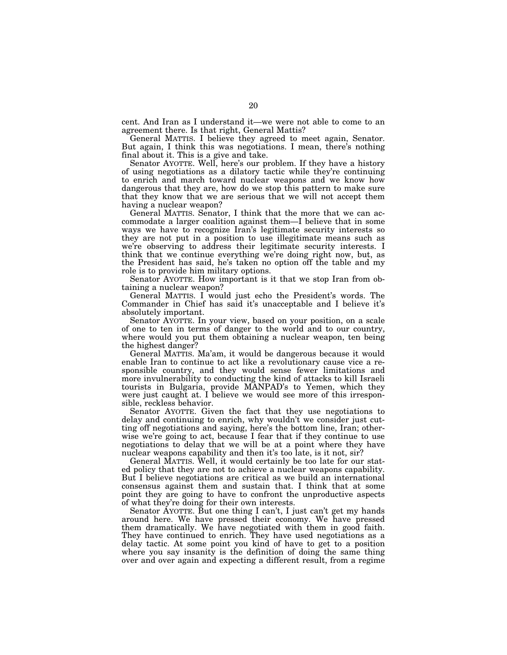cent. And Iran as I understand it—we were not able to come to an agreement there. Is that right, General Mattis?

General MATTIS. I believe they agreed to meet again, Senator. But again, I think this was negotiations. I mean, there's nothing final about it. This is a give and take.

Senator AYOTTE. Well, here's our problem. If they have a history of using negotiations as a dilatory tactic while they're continuing to enrich and march toward nuclear weapons and we know how dangerous that they are, how do we stop this pattern to make sure that they know that we are serious that we will not accept them having a nuclear weapon?

General MATTIS. Senator, I think that the more that we can accommodate a larger coalition against them—I believe that in some ways we have to recognize Iran's legitimate security interests so they are not put in a position to use illegitimate means such as we're observing to address their legitimate security interests. I think that we continue everything we're doing right now, but, as the President has said, he's taken no option off the table and my role is to provide him military options.

Senator AYOTTE. How important is it that we stop Iran from obtaining a nuclear weapon?

General MATTIS. I would just echo the President's words. The Commander in Chief has said it's unacceptable and I believe it's absolutely important.

Senator AYOTTE. In your view, based on your position, on a scale of one to ten in terms of danger to the world and to our country, where would you put them obtaining a nuclear weapon, ten being the highest danger?

General MATTIS. Ma'am, it would be dangerous because it would enable Iran to continue to act like a revolutionary cause vice a responsible country, and they would sense fewer limitations and more invulnerability to conducting the kind of attacks to kill Israeli tourists in Bulgaria, provide MANPAD's to Yemen, which they were just caught at. I believe we would see more of this irresponsible, reckless behavior.

Senator AYOTTE. Given the fact that they use negotiations to delay and continuing to enrich, why wouldn't we consider just cutting off negotiations and saying, here's the bottom line, Iran; otherwise we're going to act, because I fear that if they continue to use negotiations to delay that we will be at a point where they have nuclear weapons capability and then it's too late, is it not, sir?

General MATTIS. Well, it would certainly be too late for our stated policy that they are not to achieve a nuclear weapons capability. But I believe negotiations are critical as we build an international consensus against them and sustain that. I think that at some point they are going to have to confront the unproductive aspects of what they're doing for their own interests.

Senator AYOTTE. But one thing I can't, I just can't get my hands around here. We have pressed their economy. We have pressed them dramatically. We have negotiated with them in good faith. They have continued to enrich. They have used negotiations as a delay tactic. At some point you kind of have to get to a position where you say insanity is the definition of doing the same thing over and over again and expecting a different result, from a regime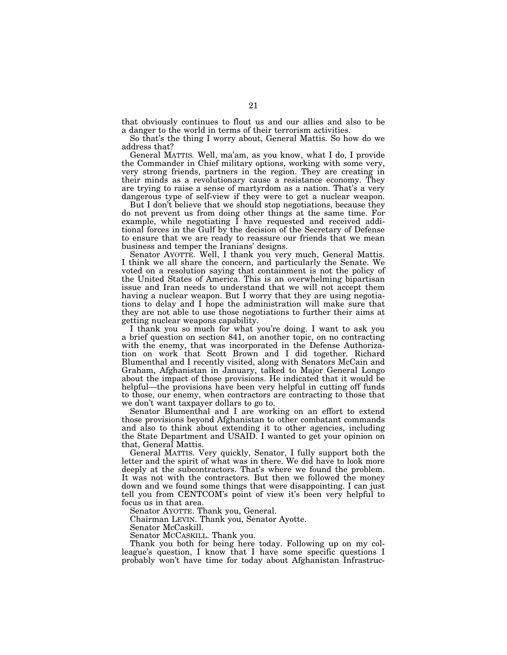that obviously continues to flout us and our allies and also to be a danger to the world in terms of their terrorism activities.

So that's the thing I worry about, General Mattis. So how do we address that?

General MATTIS. Well, ma'am, as you know, what I do, I provide the Commander in Chief military options, working with some very, very strong friends, partners in the region. They are creating in their minds as a revolutionary cause a resistance economy. They are trying to raise a sense of martyrdom as a nation. That's a very dangerous type of self-view if they were to get a nuclear weapon.

But I don't believe that we should stop negotiations, because they do not prevent us from doing other things at the same time. For example, while negotiating I have requested and received additional forces in the Gulf by the decision of the Secretary of Defense to ensure that we are ready to reassure our friends that we mean business and temper the Iranians' designs.

Senator AYOTTE. Well, I thank you very much, General Mattis. I think we all share the concern, and particularly the Senate. We voted on a resolution saying that containment is not the policy of the United States of America. This is an overwhelming bipartisan issue and Iran needs to understand that we will not accept them having a nuclear weapon. But I worry that they are using negotiations to delay and I hope the administration will make sure that they are not able to use those negotiations to further their aims at getting nuclear weapons capability.

I thank you so much for what you're doing. I want to ask you a brief question on section 841, on another topic, on no contracting with the enemy, that was incorporated in the Defense Authorization on work that Scott Brown and I did together. Richard Blumenthal and I recently visited, along with Senators McCain and Graham, Afghanistan in January, talked to Major General Longo about the impact of those provisions. He indicated that it would be helpful—the provisions have been very helpful in cutting off funds to those, our enemy, when contractors are contracting to those that we don't want taxpayer dollars to go to.

Senator Blumenthal and I are working on an effort to extend those provisions beyond Afghanistan to other combatant commands and also to think about extending it to other agencies, including the State Department and USAID. I wanted to get your opinion on that, General Mattis.

General MATTIS. Very quickly, Senator, I fully support both the letter and the spirit of what was in there. We did have to look more deeply at the subcontractors. That's where we found the problem. It was not with the contractors. But then we followed the money down and we found some things that were disappointing. I can just tell you from CENTCOM's point of view it's been very helpful to focus us in that area.

Senator AYOTTE. Thank you, General.

Chairman LEVIN. Thank you, Senator Ayotte.

Senator McCaskill.

Senator MCCASKILL. Thank you.

Thank you both for being here today. Following up on my colleague's question, I know that I have some specific questions I probably won't have time for today about Afghanistan Infrastruc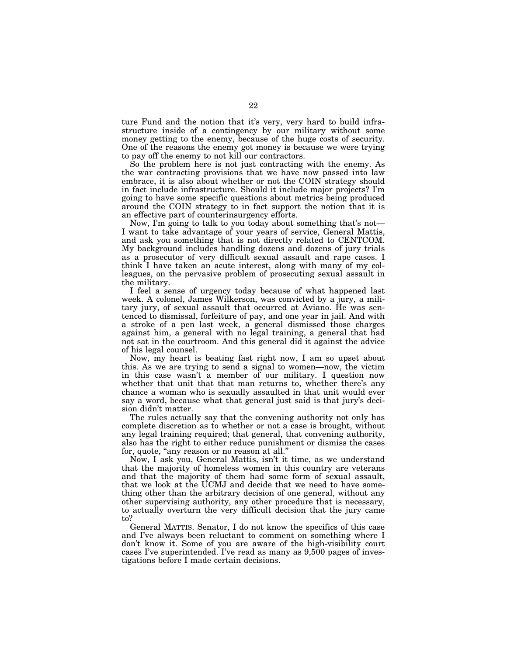ture Fund and the notion that it's very, very hard to build infrastructure inside of a contingency by our military without some money getting to the enemy, because of the huge costs of security. One of the reasons the enemy got money is because we were trying to pay off the enemy to not kill our contractors.

So the problem here is not just contracting with the enemy. As the war contracting provisions that we have now passed into law embrace, it is also about whether or not the COIN strategy should in fact include infrastructure. Should it include major projects? I'm going to have some specific questions about metrics being produced around the COIN strategy to in fact support the notion that it is an effective part of counterinsurgency efforts.

Now, I'm going to talk to you today about something that's not— I want to take advantage of your years of service, General Mattis, and ask you something that is not directly related to CENTCOM. My background includes handling dozens and dozens of jury trials as a prosecutor of very difficult sexual assault and rape cases. I think I have taken an acute interest, along with many of my colleagues, on the pervasive problem of prosecuting sexual assault in the military.

I feel a sense of urgency today because of what happened last week. A colonel, James Wilkerson, was convicted by a jury, a military jury, of sexual assault that occurred at Aviano. He was sentenced to dismissal, forfeiture of pay, and one year in jail. And with a stroke of a pen last week, a general dismissed those charges against him, a general with no legal training, a general that had not sat in the courtroom. And this general did it against the advice of his legal counsel.

Now, my heart is beating fast right now, I am so upset about this. As we are trying to send a signal to women—now, the victim in this case wasn't a member of our military. I question now whether that unit that that man returns to, whether there's any chance a woman who is sexually assaulted in that unit would ever say a word, because what that general just said is that jury's decision didn't matter.

The rules actually say that the convening authority not only has complete discretion as to whether or not a case is brought, without any legal training required; that general, that convening authority, also has the right to either reduce punishment or dismiss the cases for, quote, "any reason or no reason at all."

Now, I ask you, General Mattis, isn't it time, as we understand that the majority of homeless women in this country are veterans and that the majority of them had some form of sexual assault, that we look at the UCMJ and decide that we need to have something other than the arbitrary decision of one general, without any other supervising authority, any other procedure that is necessary, to actually overturn the very difficult decision that the jury came to?

General MATTIS. Senator, I do not know the specifics of this case and I've always been reluctant to comment on something where I don't know it. Some of you are aware of the high-visibility court cases I've superintended. I've read as many as 9,500 pages of investigations before I made certain decisions.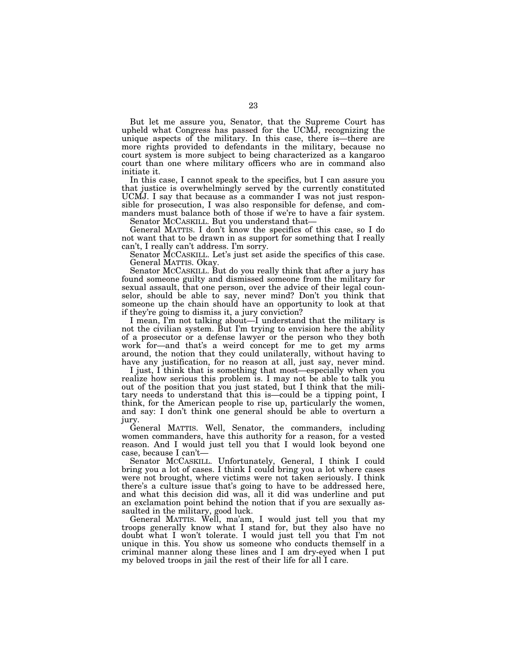But let me assure you, Senator, that the Supreme Court has upheld what Congress has passed for the UCMJ, recognizing the unique aspects of the military. In this case, there is—there are more rights provided to defendants in the military, because no court system is more subject to being characterized as a kangaroo court than one where military officers who are in command also initiate it.

In this case, I cannot speak to the specifics, but I can assure you that justice is overwhelmingly served by the currently constituted UCMJ. I say that because as a commander I was not just responsible for prosecution, I was also responsible for defense, and commanders must balance both of those if we're to have a fair system.

Senator MCCASKILL. But you understand that—

General MATTIS. I don't know the specifics of this case, so I do not want that to be drawn in as support for something that I really can't, I really can't address. I'm sorry.

Senator MCCASKILL. Let's just set aside the specifics of this case. General MATTIS. Okay.

Senator MCCASKILL. But do you really think that after a jury has found someone guilty and dismissed someone from the military for sexual assault, that one person, over the advice of their legal counselor, should be able to say, never mind? Don't you think that someone up the chain should have an opportunity to look at that if they're going to dismiss it, a jury conviction?

I mean, I'm not talking about—I understand that the military is not the civilian system. But I'm trying to envision here the ability of a prosecutor or a defense lawyer or the person who they both work for—and that's a weird concept for me to get my arms around, the notion that they could unilaterally, without having to have any justification, for no reason at all, just say, never mind.

I just, I think that is something that most—especially when you realize how serious this problem is. I may not be able to talk you out of the position that you just stated, but I think that the military needs to understand that this is—could be a tipping point, I think, for the American people to rise up, particularly the women, and say: I don't think one general should be able to overturn a jury.

General MATTIS. Well, Senator, the commanders, including women commanders, have this authority for a reason, for a vested reason. And I would just tell you that I would look beyond one case, because I can't—

Senator MCCASKILL. Unfortunately, General, I think I could bring you a lot of cases. I think I could bring you a lot where cases were not brought, where victims were not taken seriously. I think there's a culture issue that's going to have to be addressed here, and what this decision did was, all it did was underline and put an exclamation point behind the notion that if you are sexually assaulted in the military, good luck.

General MATTIS. Well, ma'am, I would just tell you that my troops generally know what I stand for, but they also have no doubt what I won't tolerate. I would just tell you that I'm not unique in this. You show us someone who conducts themself in a criminal manner along these lines and I am dry-eyed when I put my beloved troops in jail the rest of their life for all I care.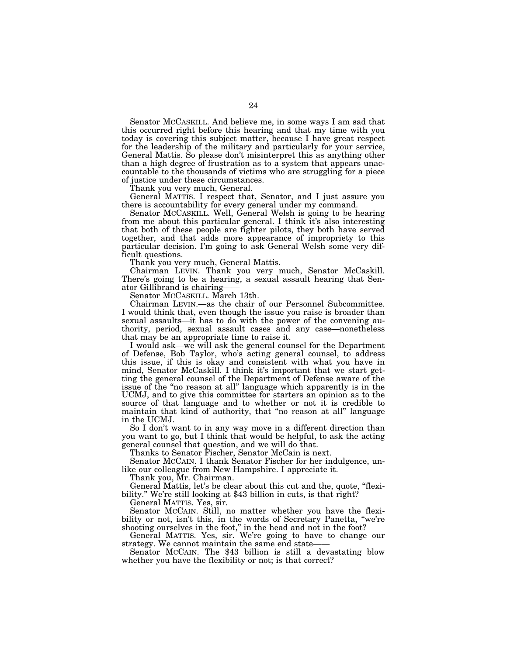Senator MCCASKILL. And believe me, in some ways I am sad that this occurred right before this hearing and that my time with you today is covering this subject matter, because I have great respect for the leadership of the military and particularly for your service, General Mattis. So please don't misinterpret this as anything other than a high degree of frustration as to a system that appears unaccountable to the thousands of victims who are struggling for a piece of justice under these circumstances.

Thank you very much, General.

General MATTIS. I respect that, Senator, and I just assure you there is accountability for every general under my command.

Senator MCCASKILL. Well, General Welsh is going to be hearing from me about this particular general. I think it's also interesting that both of these people are fighter pilots, they both have served together, and that adds more appearance of impropriety to this particular decision. I'm going to ask General Welsh some very difficult questions.

Thank you very much, General Mattis.

Chairman LEVIN. Thank you very much, Senator McCaskill. There's going to be a hearing, a sexual assault hearing that Senator Gillibrand is chairing-

Senator MCCASKILL. March 13th.

Chairman LEVIN.—as the chair of our Personnel Subcommittee. I would think that, even though the issue you raise is broader than sexual assaults—it has to do with the power of the convening authority, period, sexual assault cases and any case—nonetheless that may be an appropriate time to raise it.

I would ask—we will ask the general counsel for the Department of Defense, Bob Taylor, who's acting general counsel, to address this issue, if this is okay and consistent with what you have in mind, Senator McCaskill. I think it's important that we start getting the general counsel of the Department of Defense aware of the issue of the "no reason at all" language which apparently is in the UCMJ, and to give this committee for starters an opinion as to the source of that language and to whether or not it is credible to maintain that kind of authority, that "no reason at all" language in the UCMJ.

So I don't want to in any way move in a different direction than you want to go, but I think that would be helpful, to ask the acting general counsel that question, and we will do that.

Thanks to Senator Fischer, Senator McCain is next.

Senator MCCAIN. I thank Senator Fischer for her indulgence, unlike our colleague from New Hampshire. I appreciate it.

Thank you, Mr. Chairman.

General Mattis, let's be clear about this cut and the, quote, ''flexibility.'' We're still looking at \$43 billion in cuts, is that right?

General MATTIS. Yes, sir.

Senator MCCAIN. Still, no matter whether you have the flexibility or not, isn't this, in the words of Secretary Panetta, "we're shooting ourselves in the foot," in the head and not in the foot?

General MATTIS. Yes, sir. We're going to have to change our strategy. We cannot maintain the same end state——

Senator MCCAIN. The \$43 billion is still a devastating blow whether you have the flexibility or not; is that correct?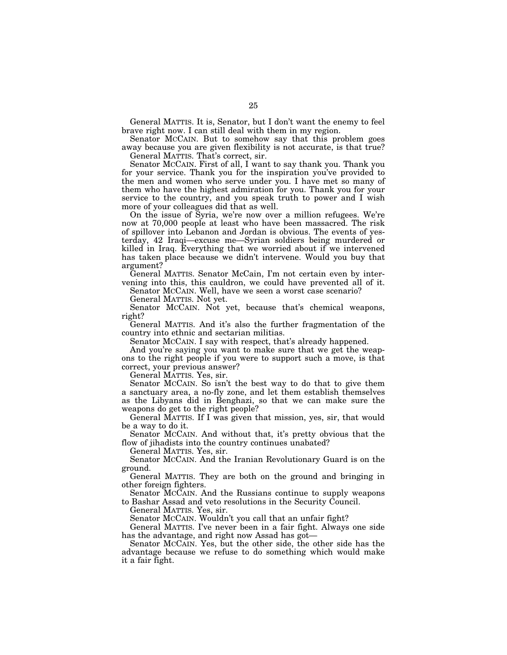General MATTIS. It is, Senator, but I don't want the enemy to feel brave right now. I can still deal with them in my region.

Senator MCCAIN. But to somehow say that this problem goes away because you are given flexibility is not accurate, is that true? General MATTIS. That's correct, sir.

Senator MCCAIN. First of all, I want to say thank you. Thank you for your service. Thank you for the inspiration you've provided to the men and women who serve under you. I have met so many of them who have the highest admiration for you. Thank you for your service to the country, and you speak truth to power and I wish more of your colleagues did that as well.

On the issue of Syria, we're now over a million refugees. We're now at 70,000 people at least who have been massacred. The risk of spillover into Lebanon and Jordan is obvious. The events of yesterday, 42 Iraqi—excuse me—Syrian soldiers being murdered or killed in Iraq. Everything that we worried about if we intervened has taken place because we didn't intervene. Would you buy that argument?

General MATTIS. Senator McCain, I'm not certain even by intervening into this, this cauldron, we could have prevented all of it.

Senator MCCAIN. Well, have we seen a worst case scenario?

General MATTIS. Not yet.

Senator MCCAIN. Not yet, because that's chemical weapons, right?

General MATTIS. And it's also the further fragmentation of the country into ethnic and sectarian militias.

Senator MCCAIN. I say with respect, that's already happened.

And you're saying you want to make sure that we get the weapons to the right people if you were to support such a move, is that correct, your previous answer?

General MATTIS. Yes, sir.

Senator MCCAIN. So isn't the best way to do that to give them a sanctuary area, a no-fly zone, and let them establish themselves as the Libyans did in Benghazi, so that we can make sure the weapons do get to the right people?

General MATTIS. If I was given that mission, yes, sir, that would be a way to do it.

Senator MCCAIN. And without that, it's pretty obvious that the flow of jihadists into the country continues unabated?

General MATTIS. Yes, sir.

Senator MCCAIN. And the Iranian Revolutionary Guard is on the ground.

General MATTIS. They are both on the ground and bringing in other foreign fighters.

Senator MCCAIN. And the Russians continue to supply weapons to Bashar Assad and veto resolutions in the Security Council.

General MATTIS. Yes, sir.

Senator MCCAIN. Wouldn't you call that an unfair fight?

General MATTIS. I've never been in a fair fight. Always one side has the advantage, and right now Assad has got—

Senator MCCAIN. Yes, but the other side, the other side has the advantage because we refuse to do something which would make it a fair fight.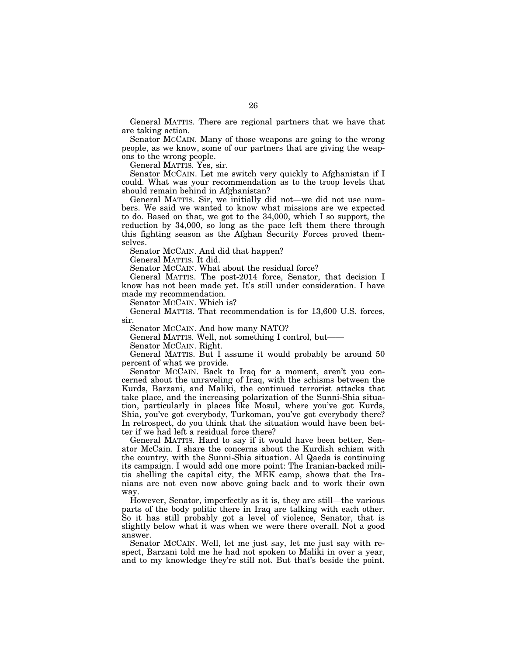General MATTIS. There are regional partners that we have that are taking action.

Senator MCCAIN. Many of those weapons are going to the wrong people, as we know, some of our partners that are giving the weapons to the wrong people.

General MATTIS. Yes, sir.

Senator MCCAIN. Let me switch very quickly to Afghanistan if I could. What was your recommendation as to the troop levels that should remain behind in Afghanistan?

General MATTIS. Sir, we initially did not—we did not use numbers. We said we wanted to know what missions are we expected to do. Based on that, we got to the 34,000, which I so support, the reduction by 34,000, so long as the pace left them there through this fighting season as the Afghan Security Forces proved themselves.

Senator MCCAIN. And did that happen?

General MATTIS. It did.

Senator MCCAIN. What about the residual force?

General MATTIS. The post-2014 force, Senator, that decision I know has not been made yet. It's still under consideration. I have made my recommendation.

Senator MCCAIN. Which is?

General MATTIS. That recommendation is for 13,600 U.S. forces, sir.

Senator MCCAIN. And how many NATO?

General MATTIS. Well, not something I control, but——

Senator MCCAIN. Right.

General MATTIS. But I assume it would probably be around 50 percent of what we provide.

Senator MCCAIN. Back to Iraq for a moment, aren't you concerned about the unraveling of Iraq, with the schisms between the Kurds, Barzani, and Maliki, the continued terrorist attacks that take place, and the increasing polarization of the Sunni-Shia situation, particularly in places like Mosul, where you've got Kurds, Shia, you've got everybody, Turkoman, you've got everybody there? In retrospect, do you think that the situation would have been better if we had left a residual force there?

General MATTIS. Hard to say if it would have been better, Senator McCain. I share the concerns about the Kurdish schism with the country, with the Sunni-Shia situation. Al Qaeda is continuing its campaign. I would add one more point: The Iranian-backed militia shelling the capital city, the MEK camp, shows that the Iranians are not even now above going back and to work their own way.

However, Senator, imperfectly as it is, they are still—the various parts of the body politic there in Iraq are talking with each other. So it has still probably got a level of violence, Senator, that is slightly below what it was when we were there overall. Not a good answer.

Senator MCCAIN. Well, let me just say, let me just say with respect, Barzani told me he had not spoken to Maliki in over a year, and to my knowledge they're still not. But that's beside the point.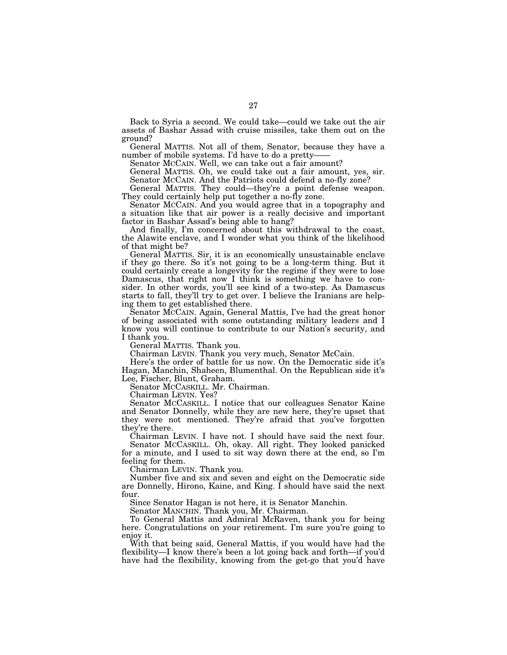Back to Syria a second. We could take—could we take out the air assets of Bashar Assad with cruise missiles, take them out on the ground?

General MATTIS. Not all of them, Senator, because they have a number of mobile systems. I'd have to do a pretty-

Senator MCCAIN. Well, we can take out a fair amount?

General MATTIS. Oh, we could take out a fair amount, yes, sir. Senator MCCAIN. And the Patriots could defend a no-fly zone?

General MATTIS. They could—they're a point defense weapon. They could certainly help put together a no-fly zone.

Senator MCCAIN. And you would agree that in a topography and a situation like that air power is a really decisive and important factor in Bashar Assad's being able to hang?

And finally, I'm concerned about this withdrawal to the coast, the Alawite enclave, and I wonder what you think of the likelihood of that might be?

General MATTIS. Sir, it is an economically unsustainable enclave if they go there. So it's not going to be a long-term thing. But it could certainly create a longevity for the regime if they were to lose Damascus, that right now I think is something we have to consider. In other words, you'll see kind of a two-step. As Damascus starts to fall, they'll try to get over. I believe the Iranians are helping them to get established there.

Senator MCCAIN. Again, General Mattis, I've had the great honor of being associated with some outstanding military leaders and I know you will continue to contribute to our Nation's security, and I thank you.

General MATTIS. Thank you.

Chairman LEVIN. Thank you very much, Senator McCain.

Here's the order of battle for us now. On the Democratic side it's Hagan, Manchin, Shaheen, Blumenthal. On the Republican side it's Lee, Fischer, Blunt, Graham.

Senator MCCASKILL. Mr. Chairman.

Chairman LEVIN. Yes?

Senator MCCASKILL. I notice that our colleagues Senator Kaine and Senator Donnelly, while they are new here, they're upset that they were not mentioned. They're afraid that you've forgotten they're there.

Chairman LEVIN. I have not. I should have said the next four. Senator MCCASKILL. Oh, okay. All right. They looked panicked

for a minute, and I used to sit way down there at the end, so I'm feeling for them.

Chairman LEVIN. Thank you.

Number five and six and seven and eight on the Democratic side are Donnelly, Hirono, Kaine, and King. I should have said the next four.

Since Senator Hagan is not here, it is Senator Manchin.

Senator MANCHIN. Thank you, Mr. Chairman.

To General Mattis and Admiral McRaven, thank you for being here. Congratulations on your retirement. I'm sure you're going to enjoy it.

With that being said, General Mattis, if you would have had the flexibility—I know there's been a lot going back and forth—if you'd have had the flexibility, knowing from the get-go that you'd have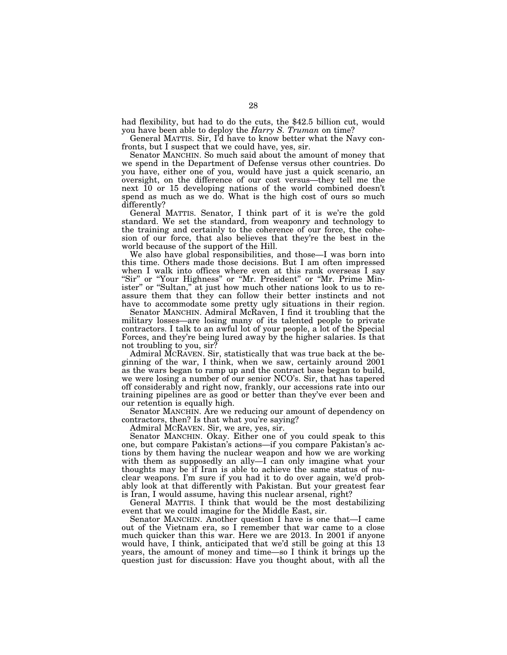had flexibility, but had to do the cuts, the \$42.5 billion cut, would you have been able to deploy the *Harry S. Truman* on time?

General MATTIS. Sir, I'd have to know better what the Navy confronts, but I suspect that we could have, yes, sir.

Senator MANCHIN. So much said about the amount of money that we spend in the Department of Defense versus other countries. Do you have, either one of you, would have just a quick scenario, an oversight, on the difference of our cost versus—they tell me the next 10 or 15 developing nations of the world combined doesn't spend as much as we do. What is the high cost of ours so much differently?

General MATTIS. Senator, I think part of it is we're the gold standard. We set the standard, from weaponry and technology to the training and certainly to the coherence of our force, the cohesion of our force, that also believes that they're the best in the world because of the support of the Hill.

We also have global responsibilities, and those—I was born into this time. Others made those decisions. But I am often impressed when I walk into offices where even at this rank overseas I say "Sir" or "Your Highness" or "Mr. President" or "Mr. Prime Minister" or "Sultan," at just how much other nations look to us to reassure them that they can follow their better instincts and not have to accommodate some pretty ugly situations in their region.

Senator MANCHIN. Admiral McRaven, I find it troubling that the military losses—are losing many of its talented people to private contractors. I talk to an awful lot of your people, a lot of the Special Forces, and they're being lured away by the higher salaries. Is that not troubling to you, sir?

Admiral MCRAVEN. Sir, statistically that was true back at the beginning of the war, I think, when we saw, certainly around 2001 as the wars began to ramp up and the contract base began to build, we were losing a number of our senior NCO's. Sir, that has tapered off considerably and right now, frankly, our accessions rate into our training pipelines are as good or better than they've ever been and our retention is equally high.

Senator MANCHIN. Are we reducing our amount of dependency on contractors, then? Is that what you're saying?

Admiral MCRAVEN. Sir, we are, yes, sir.

Senator MANCHIN. Okay. Either one of you could speak to this one, but compare Pakistan's actions—if you compare Pakistan's actions by them having the nuclear weapon and how we are working with them as supposedly an ally—I can only imagine what your thoughts may be if Iran is able to achieve the same status of nuclear weapons. I'm sure if you had it to do over again, we'd probably look at that differently with Pakistan. But your greatest fear is Iran, I would assume, having this nuclear arsenal, right?

General MATTIS. I think that would be the most destabilizing event that we could imagine for the Middle East, sir.

Senator MANCHIN. Another question I have is one that—I came out of the Vietnam era, so I remember that war came to a close much quicker than this war. Here we are 2013. In 2001 if anyone would have, I think, anticipated that we'd still be going at this 13 years, the amount of money and time—so I think it brings up the question just for discussion: Have you thought about, with all the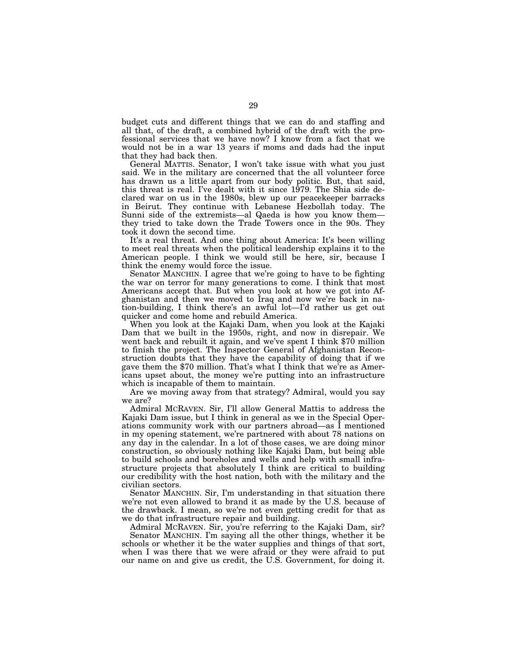budget cuts and different things that we can do and staffing and all that, of the draft, a combined hybrid of the draft with the professional services that we have now? I know from a fact that we would not be in a war 13 years if moms and dads had the input that they had back then.

General MATTIS. Senator, I won't take issue with what you just said. We in the military are concerned that the all volunteer force has drawn us a little apart from our body politic. But, that said, this threat is real. I've dealt with it since 1979. The Shia side declared war on us in the 1980s, blew up our peacekeeper barracks in Beirut. They continue with Lebanese Hezbollah today. The Sunni side of the extremists—al Qaeda is how you know them they tried to take down the Trade Towers once in the 90s. They took it down the second time.

It's a real threat. And one thing about America: It's been willing to meet real threats when the political leadership explains it to the American people. I think we would still be here, sir, because I think the enemy would force the issue.

Senator MANCHIN. I agree that we're going to have to be fighting the war on terror for many generations to come. I think that most Americans accept that. But when you look at how we got into Afghanistan and then we moved to Iraq and now we're back in nation-building, I think there's an awful lot—I'd rather us get out quicker and come home and rebuild America.

When you look at the Kajaki Dam, when you look at the Kajaki Dam that we built in the 1950s, right, and now in disrepair. We went back and rebuilt it again, and we've spent I think \$70 million to finish the project. The Inspector General of Afghanistan Reconstruction doubts that they have the capability of doing that if we gave them the \$70 million. That's what I think that we're as Americans upset about, the money we're putting into an infrastructure which is incapable of them to maintain.

Are we moving away from that strategy? Admiral, would you say we are?

Admiral MCRAVEN. Sir, I'll allow General Mattis to address the Kajaki Dam issue, but I think in general as we in the Special Operations community work with our partners abroad—as I mentioned in my opening statement, we're partnered with about 78 nations on any day in the calendar. In a lot of those cases, we are doing minor construction, so obviously nothing like Kajaki Dam, but being able to build schools and boreholes and wells and help with small infrastructure projects that absolutely I think are critical to building our credibility with the host nation, both with the military and the civilian sectors.

Senator MANCHIN. Sir, I'm understanding in that situation there we're not even allowed to brand it as made by the U.S. because of the drawback. I mean, so we're not even getting credit for that as we do that infrastructure repair and building.

Admiral MCRAVEN. Sir, you're referring to the Kajaki Dam, sir? Senator MANCHIN. I'm saying all the other things, whether it be schools or whether it be the water supplies and things of that sort, when I was there that we were afraid or they were afraid to put our name on and give us credit, the U.S. Government, for doing it.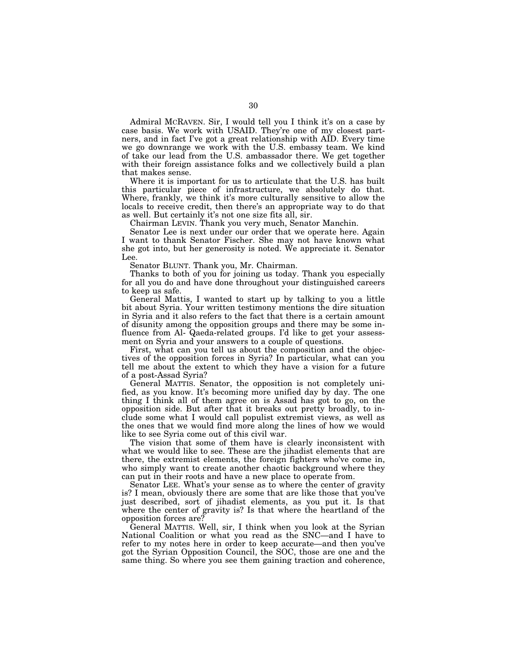Admiral MCRAVEN. Sir, I would tell you I think it's on a case by case basis. We work with USAID. They're one of my closest partners, and in fact I've got a great relationship with AID. Every time we go downrange we work with the U.S. embassy team. We kind of take our lead from the U.S. ambassador there. We get together with their foreign assistance folks and we collectively build a plan that makes sense.

Where it is important for us to articulate that the U.S. has built this particular piece of infrastructure, we absolutely do that. Where, frankly, we think it's more culturally sensitive to allow the locals to receive credit, then there's an appropriate way to do that as well. But certainly it's not one size fits all, sir.

Chairman LEVIN. Thank you very much, Senator Manchin.

Senator Lee is next under our order that we operate here. Again I want to thank Senator Fischer. She may not have known what she got into, but her generosity is noted. We appreciate it. Senator Lee.

Senator BLUNT. Thank you, Mr. Chairman.

Thanks to both of you for joining us today. Thank you especially for all you do and have done throughout your distinguished careers to keep us safe.

General Mattis, I wanted to start up by talking to you a little bit about Syria. Your written testimony mentions the dire situation in Syria and it also refers to the fact that there is a certain amount of disunity among the opposition groups and there may be some influence from Al- Qaeda-related groups. I'd like to get your assessment on Syria and your answers to a couple of questions.

First, what can you tell us about the composition and the objectives of the opposition forces in Syria? In particular, what can you tell me about the extent to which they have a vision for a future of a post-Assad Syria?

General MATTIS. Senator, the opposition is not completely unified, as you know. It's becoming more unified day by day. The one thing I think all of them agree on is Assad has got to go, on the opposition side. But after that it breaks out pretty broadly, to include some what I would call populist extremist views, as well as the ones that we would find more along the lines of how we would like to see Syria come out of this civil war.

The vision that some of them have is clearly inconsistent with what we would like to see. These are the jihadist elements that are there, the extremist elements, the foreign fighters who've come in, who simply want to create another chaotic background where they can put in their roots and have a new place to operate from.

Senator LEE. What's your sense as to where the center of gravity is? I mean, obviously there are some that are like those that you've just described, sort of jihadist elements, as you put it. Is that where the center of gravity is? Is that where the heartland of the opposition forces are?

General MATTIS. Well, sir, I think when you look at the Syrian National Coalition or what you read as the SNC—and I have to refer to my notes here in order to keep accurate—and then you've got the Syrian Opposition Council, the SOC, those are one and the same thing. So where you see them gaining traction and coherence,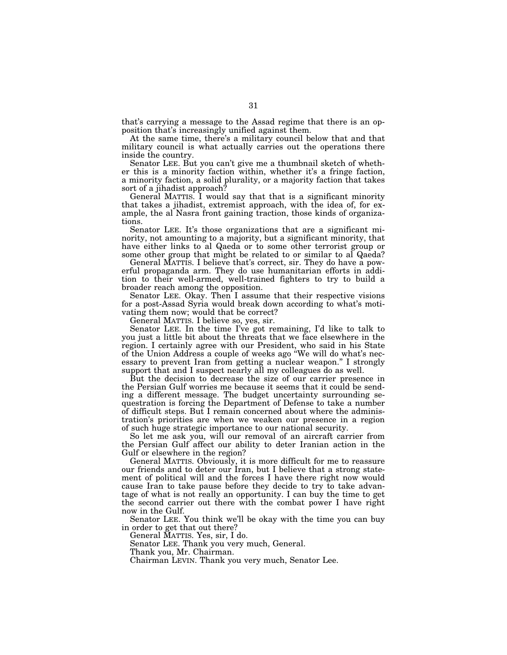that's carrying a message to the Assad regime that there is an opposition that's increasingly unified against them.

At the same time, there's a military council below that and that military council is what actually carries out the operations there inside the country.

Senator LEE. But you can't give me a thumbnail sketch of whether this is a minority faction within, whether it's a fringe faction, a minority faction, a solid plurality, or a majority faction that takes sort of a jihadist approach?

General MATTIS. I would say that that is a significant minority that takes a jihadist, extremist approach, with the idea of, for example, the al Nasra front gaining traction, those kinds of organizations.

Senator LEE. It's those organizations that are a significant minority, not amounting to a majority, but a significant minority, that have either links to al Qaeda or to some other terrorist group or some other group that might be related to or similar to al Qaeda?

General MATTIS. I believe that's correct, sir. They do have a powerful propaganda arm. They do use humanitarian efforts in addition to their well-armed, well-trained fighters to try to build a broader reach among the opposition.

Senator LEE. Okay. Then I assume that their respective visions for a post-Assad Syria would break down according to what's motivating them now; would that be correct?

General MATTIS. I believe so, yes, sir.

Senator LEE. In the time I've got remaining, I'd like to talk to you just a little bit about the threats that we face elsewhere in the region. I certainly agree with our President, who said in his State of the Union Address a couple of weeks ago ''We will do what's necessary to prevent Iran from getting a nuclear weapon.'' I strongly support that and I suspect nearly all my colleagues do as well.

But the decision to decrease the size of our carrier presence in the Persian Gulf worries me because it seems that it could be sending a different message. The budget uncertainty surrounding sequestration is forcing the Department of Defense to take a number of difficult steps. But I remain concerned about where the administration's priorities are when we weaken our presence in a region of such huge strategic importance to our national security.

So let me ask you, will our removal of an aircraft carrier from the Persian Gulf affect our ability to deter Iranian action in the Gulf or elsewhere in the region?

General MATTIS. Obviously, it is more difficult for me to reassure our friends and to deter our Iran, but I believe that a strong statement of political will and the forces I have there right now would cause Iran to take pause before they decide to try to take advantage of what is not really an opportunity. I can buy the time to get the second carrier out there with the combat power I have right now in the Gulf.

Senator LEE. You think we'll be okay with the time you can buy in order to get that out there?

General MATTIS. Yes, sir, I do.

Senator LEE. Thank you very much, General.

Thank you, Mr. Chairman.

Chairman LEVIN. Thank you very much, Senator Lee.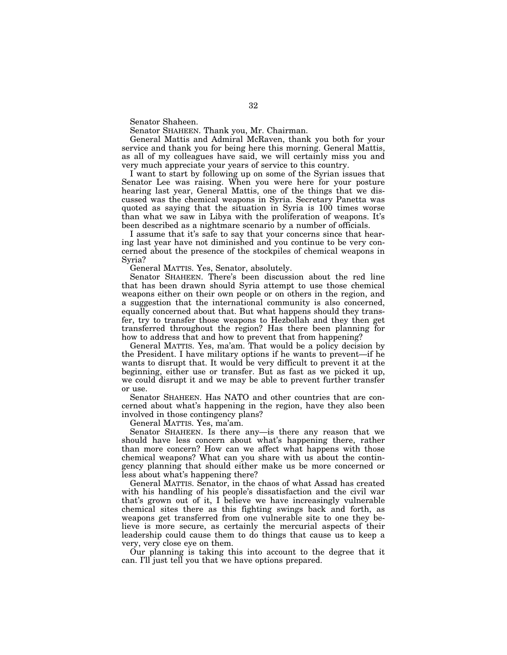Senator Shaheen.

Senator SHAHEEN. Thank you, Mr. Chairman.

General Mattis and Admiral McRaven, thank you both for your service and thank you for being here this morning. General Mattis, as all of my colleagues have said, we will certainly miss you and very much appreciate your years of service to this country.

I want to start by following up on some of the Syrian issues that Senator Lee was raising. When you were here for your posture hearing last year, General Mattis, one of the things that we discussed was the chemical weapons in Syria. Secretary Panetta was quoted as saying that the situation in Syria is 100 times worse than what we saw in Libya with the proliferation of weapons. It's been described as a nightmare scenario by a number of officials.

I assume that it's safe to say that your concerns since that hearing last year have not diminished and you continue to be very concerned about the presence of the stockpiles of chemical weapons in Syria?

General MATTIS. Yes, Senator, absolutely.

Senator SHAHEEN. There's been discussion about the red line that has been drawn should Syria attempt to use those chemical weapons either on their own people or on others in the region, and a suggestion that the international community is also concerned, equally concerned about that. But what happens should they transfer, try to transfer those weapons to Hezbollah and they then get transferred throughout the region? Has there been planning for how to address that and how to prevent that from happening?

General MATTIS. Yes, ma'am. That would be a policy decision by the President. I have military options if he wants to prevent—if he wants to disrupt that. It would be very difficult to prevent it at the beginning, either use or transfer. But as fast as we picked it up, we could disrupt it and we may be able to prevent further transfer or use.

Senator SHAHEEN. Has NATO and other countries that are concerned about what's happening in the region, have they also been involved in those contingency plans?

General MATTIS. Yes, ma'am.

Senator SHAHEEN. Is there any—is there any reason that we should have less concern about what's happening there, rather than more concern? How can we affect what happens with those chemical weapons? What can you share with us about the contingency planning that should either make us be more concerned or less about what's happening there?

General MATTIS. Senator, in the chaos of what Assad has created with his handling of his people's dissatisfaction and the civil war that's grown out of it, I believe we have increasingly vulnerable chemical sites there as this fighting swings back and forth, as weapons get transferred from one vulnerable site to one they believe is more secure, as certainly the mercurial aspects of their leadership could cause them to do things that cause us to keep a very, very close eye on them.

Our planning is taking this into account to the degree that it can. I'll just tell you that we have options prepared.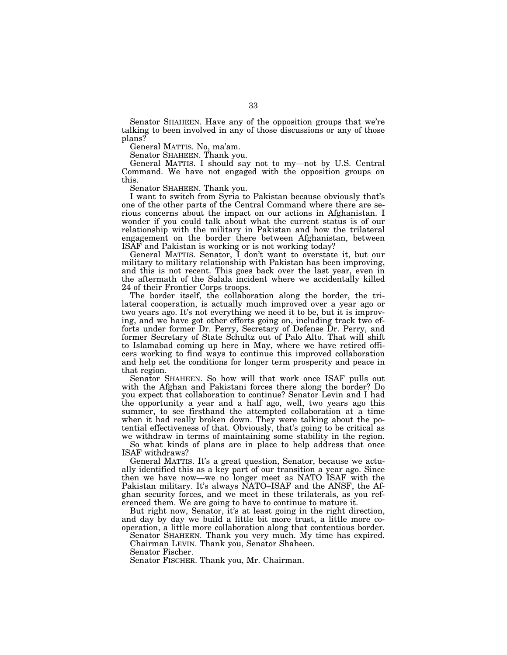Senator SHAHEEN. Have any of the opposition groups that we're talking to been involved in any of those discussions or any of those plans?

General MATTIS. No, ma'am.

Senator SHAHEEN. Thank you.

General MATTIS. I should say not to my—not by U.S. Central Command. We have not engaged with the opposition groups on this.

Senator SHAHEEN. Thank you.

I want to switch from Syria to Pakistan because obviously that's one of the other parts of the Central Command where there are serious concerns about the impact on our actions in Afghanistan. I wonder if you could talk about what the current status is of our relationship with the military in Pakistan and how the trilateral engagement on the border there between Afghanistan, between ISAF and Pakistan is working or is not working today?

General MATTIS. Senator, I don't want to overstate it, but our military to military relationship with Pakistan has been improving, and this is not recent. This goes back over the last year, even in the aftermath of the Salala incident where we accidentally killed 24 of their Frontier Corps troops.

The border itself, the collaboration along the border, the trilateral cooperation, is actually much improved over a year ago or two years ago. It's not everything we need it to be, but it is improving, and we have got other efforts going on, including track two efforts under former Dr. Perry, Secretary of Defense Dr. Perry, and former Secretary of State Schultz out of Palo Alto. That will shift to Islamabad coming up here in May, where we have retired officers working to find ways to continue this improved collaboration and help set the conditions for longer term prosperity and peace in that region.

Senator SHAHEEN. So how will that work once ISAF pulls out with the Afghan and Pakistani forces there along the border? Do you expect that collaboration to continue? Senator Levin and I had the opportunity a year and a half ago, well, two years ago this summer, to see firsthand the attempted collaboration at a time when it had really broken down. They were talking about the potential effectiveness of that. Obviously, that's going to be critical as we withdraw in terms of maintaining some stability in the region.

So what kinds of plans are in place to help address that once ISAF withdraws?

General MATTIS. It's a great question, Senator, because we actually identified this as a key part of our transition a year ago. Since then we have now—we no longer meet as NATO ISAF with the Pakistan military. It's always NATO–ISAF and the ANSF, the Afghan security forces, and we meet in these trilaterals, as you referenced them. We are going to have to continue to mature it.

But right now, Senator, it's at least going in the right direction, and day by day we build a little bit more trust, a little more cooperation, a little more collaboration along that contentious border.

Senator SHAHEEN. Thank you very much. My time has expired. Chairman LEVIN. Thank you, Senator Shaheen.

Senator Fischer.

Senator FISCHER. Thank you, Mr. Chairman.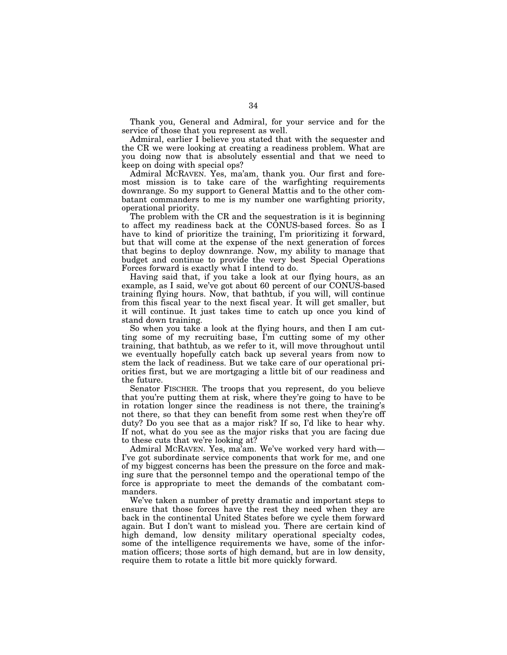Thank you, General and Admiral, for your service and for the service of those that you represent as well.

Admiral, earlier I believe you stated that with the sequester and the CR we were looking at creating a readiness problem. What are you doing now that is absolutely essential and that we need to keep on doing with special ops?

Admiral MCRAVEN. Yes, ma'am, thank you. Our first and foremost mission is to take care of the warfighting requirements downrange. So my support to General Mattis and to the other combatant commanders to me is my number one warfighting priority, operational priority.

The problem with the CR and the sequestration is it is beginning to affect my readiness back at the CONUS-based forces. So as I have to kind of prioritize the training, I'm prioritizing it forward, but that will come at the expense of the next generation of forces that begins to deploy downrange. Now, my ability to manage that budget and continue to provide the very best Special Operations Forces forward is exactly what I intend to do.

Having said that, if you take a look at our flying hours, as an example, as I said, we've got about 60 percent of our CONUS-based training flying hours. Now, that bathtub, if you will, will continue from this fiscal year to the next fiscal year. It will get smaller, but it will continue. It just takes time to catch up once you kind of stand down training.

So when you take a look at the flying hours, and then I am cutting some of my recruiting base, I'm cutting some of my other training, that bathtub, as we refer to it, will move throughout until we eventually hopefully catch back up several years from now to stem the lack of readiness. But we take care of our operational priorities first, but we are mortgaging a little bit of our readiness and the future.

Senator FISCHER. The troops that you represent, do you believe that you're putting them at risk, where they're going to have to be in rotation longer since the readiness is not there, the training's not there, so that they can benefit from some rest when they're off duty? Do you see that as a major risk? If so, I'd like to hear why. If not, what do you see as the major risks that you are facing due to these cuts that we're looking at?

Admiral MCRAVEN. Yes, ma'am. We've worked very hard with— I've got subordinate service components that work for me, and one of my biggest concerns has been the pressure on the force and making sure that the personnel tempo and the operational tempo of the force is appropriate to meet the demands of the combatant commanders.

We've taken a number of pretty dramatic and important steps to ensure that those forces have the rest they need when they are back in the continental United States before we cycle them forward again. But I don't want to mislead you. There are certain kind of high demand, low density military operational specialty codes, some of the intelligence requirements we have, some of the information officers; those sorts of high demand, but are in low density, require them to rotate a little bit more quickly forward.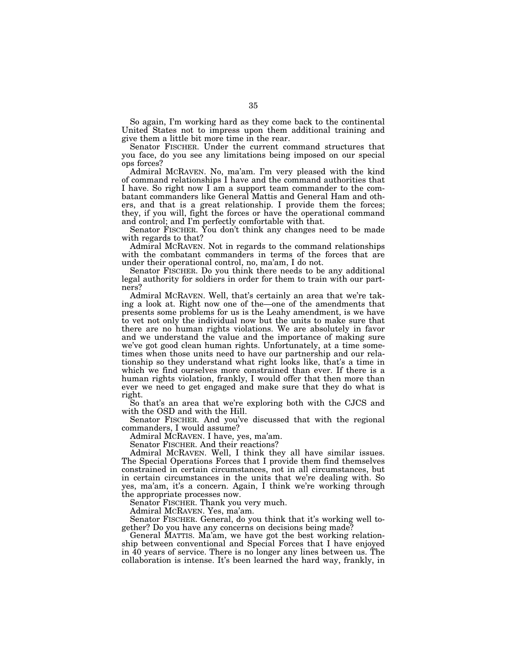So again, I'm working hard as they come back to the continental United States not to impress upon them additional training and give them a little bit more time in the rear.

Senator FISCHER. Under the current command structures that you face, do you see any limitations being imposed on our special ops forces?

Admiral MCRAVEN. No, ma'am. I'm very pleased with the kind of command relationships I have and the command authorities that I have. So right now I am a support team commander to the combatant commanders like General Mattis and General Ham and others, and that is a great relationship. I provide them the forces; they, if you will, fight the forces or have the operational command and control; and I'm perfectly comfortable with that.

Senator FISCHER. You don't think any changes need to be made with regards to that?

Admiral MCRAVEN. Not in regards to the command relationships with the combatant commanders in terms of the forces that are under their operational control, no, ma'am, I do not.

Senator FISCHER. Do you think there needs to be any additional legal authority for soldiers in order for them to train with our partners?

Admiral MCRAVEN. Well, that's certainly an area that we're taking a look at. Right now one of the—one of the amendments that presents some problems for us is the Leahy amendment, is we have to vet not only the individual now but the units to make sure that there are no human rights violations. We are absolutely in favor and we understand the value and the importance of making sure we've got good clean human rights. Unfortunately, at a time sometimes when those units need to have our partnership and our relationship so they understand what right looks like, that's a time in which we find ourselves more constrained than ever. If there is a human rights violation, frankly, I would offer that then more than ever we need to get engaged and make sure that they do what is right.

So that's an area that we're exploring both with the CJCS and with the OSD and with the Hill.

Senator FISCHER. And you've discussed that with the regional commanders, I would assume?

Admiral MCRAVEN. I have, yes, ma'am.

Senator FISCHER. And their reactions?

Admiral MCRAVEN. Well, I think they all have similar issues. The Special Operations Forces that I provide them find themselves constrained in certain circumstances, not in all circumstances, but in certain circumstances in the units that we're dealing with. So yes, ma'am, it's a concern. Again, I think we're working through the appropriate processes now.

Senator FISCHER. Thank you very much.

Admiral MCRAVEN. Yes, ma'am.

Senator FISCHER. General, do you think that it's working well together? Do you have any concerns on decisions being made?

General MATTIS. Ma'am, we have got the best working relationship between conventional and Special Forces that I have enjoyed in 40 years of service. There is no longer any lines between us. The collaboration is intense. It's been learned the hard way, frankly, in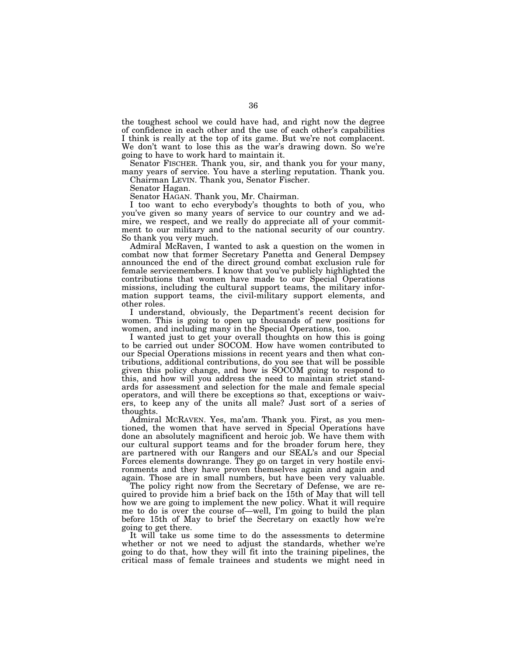the toughest school we could have had, and right now the degree of confidence in each other and the use of each other's capabilities I think is really at the top of its game. But we're not complacent. We don't want to lose this as the war's drawing down. So we're going to have to work hard to maintain it.

Senator FISCHER. Thank you, sir, and thank you for your many, many years of service. You have a sterling reputation. Thank you.

Chairman LEVIN. Thank you, Senator Fischer.

Senator Hagan.

Senator HAGAN. Thank you, Mr. Chairman.

I too want to echo everybody's thoughts to both of you, who you've given so many years of service to our country and we admire, we respect, and we really do appreciate all of your commitment to our military and to the national security of our country. So thank you very much.

Admiral McRaven, I wanted to ask a question on the women in combat now that former Secretary Panetta and General Dempsey announced the end of the direct ground combat exclusion rule for female servicemembers. I know that you've publicly highlighted the contributions that women have made to our Special Operations missions, including the cultural support teams, the military information support teams, the civil-military support elements, and other roles.

I understand, obviously, the Department's recent decision for women. This is going to open up thousands of new positions for women, and including many in the Special Operations, too.

I wanted just to get your overall thoughts on how this is going to be carried out under SOCOM. How have women contributed to our Special Operations missions in recent years and then what contributions, additional contributions, do you see that will be possible given this policy change, and how is SOCOM going to respond to this, and how will you address the need to maintain strict standards for assessment and selection for the male and female special operators, and will there be exceptions so that, exceptions or waivers, to keep any of the units all male? Just sort of a series of thoughts.

Admiral MCRAVEN. Yes, ma'am. Thank you. First, as you mentioned, the women that have served in Special Operations have done an absolutely magnificent and heroic job. We have them with our cultural support teams and for the broader forum here, they are partnered with our Rangers and our SEAL's and our Special Forces elements downrange. They go on target in very hostile environments and they have proven themselves again and again and again. Those are in small numbers, but have been very valuable.

The policy right now from the Secretary of Defense, we are required to provide him a brief back on the 15th of May that will tell how we are going to implement the new policy. What it will require me to do is over the course of—well, I'm going to build the plan before 15th of May to brief the Secretary on exactly how we're going to get there.

It will take us some time to do the assessments to determine whether or not we need to adjust the standards, whether we're going to do that, how they will fit into the training pipelines, the critical mass of female trainees and students we might need in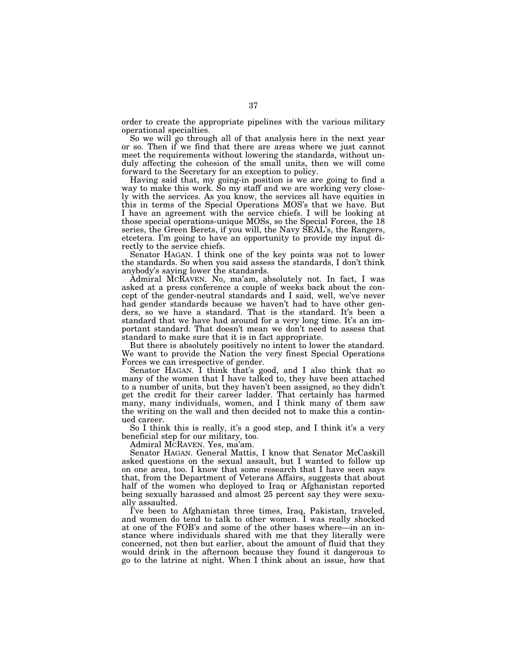order to create the appropriate pipelines with the various military operational specialties.

So we will go through all of that analysis here in the next year or so. Then if we find that there are areas where we just cannot meet the requirements without lowering the standards, without unduly affecting the cohesion of the small units, then we will come forward to the Secretary for an exception to policy.

Having said that, my going-in position is we are going to find a way to make this work. So my staff and we are working very closely with the services. As you know, the services all have equities in this in terms of the Special Operations MOS's that we have. But I have an agreement with the service chiefs. I will be looking at those special operations-unique MOSs, so the Special Forces, the 18 series, the Green Berets, if you will, the Navy SEAL's, the Rangers, etcetera. I'm going to have an opportunity to provide my input directly to the service chiefs.

Senator HAGAN. I think one of the key points was not to lower the standards. So when you said assess the standards, I don't think anybody's saying lower the standards.

Admiral MCRAVEN. No, ma'am, absolutely not. In fact, I was asked at a press conference a couple of weeks back about the concept of the gender-neutral standards and I said, well, we've never had gender standards because we haven't had to have other genders, so we have a standard. That is the standard. It's been a standard that we have had around for a very long time. It's an important standard. That doesn't mean we don't need to assess that standard to make sure that it is in fact appropriate.

But there is absolutely positively no intent to lower the standard. We want to provide the Nation the very finest Special Operations Forces we can irrespective of gender.

Senator HAGAN. I think that's good, and I also think that so many of the women that I have talked to, they have been attached to a number of units, but they haven't been assigned, so they didn't get the credit for their career ladder. That certainly has harmed many, many individuals, women, and I think many of them saw the writing on the wall and then decided not to make this a continued career.

So I think this is really, it's a good step, and I think it's a very beneficial step for our military, too.

Admiral MCRAVEN. Yes, ma'am.

Senator HAGAN. General Mattis, I know that Senator McCaskill asked questions on the sexual assault, but I wanted to follow up on one area, too. I know that some research that I have seen says that, from the Department of Veterans Affairs, suggests that about half of the women who deployed to Iraq or Afghanistan reported being sexually harassed and almost 25 percent say they were sexually assaulted.

I've been to Afghanistan three times, Iraq, Pakistan, traveled, and women do tend to talk to other women. I was really shocked at one of the FOB's and some of the other bases where—in an instance where individuals shared with me that they literally were concerned, not then but earlier, about the amount of fluid that they would drink in the afternoon because they found it dangerous to go to the latrine at night. When I think about an issue, how that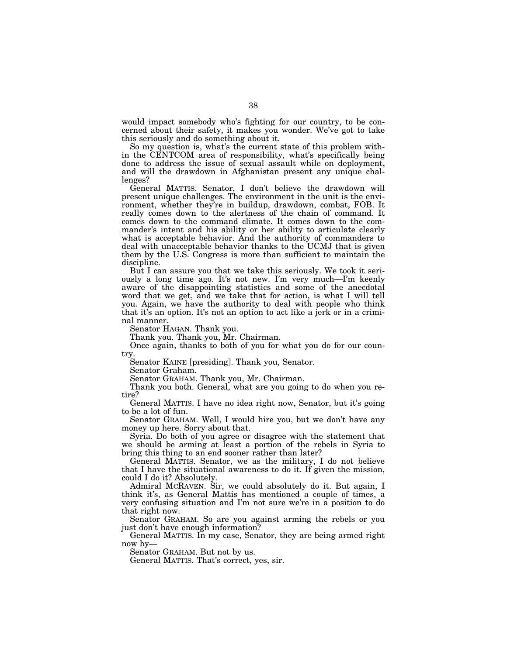would impact somebody who's fighting for our country, to be concerned about their safety, it makes you wonder. We've got to take this seriously and do something about it.

So my question is, what's the current state of this problem within the CENTCOM area of responsibility, what's specifically being done to address the issue of sexual assault while on deployment, and will the drawdown in Afghanistan present any unique challenges?

General MATTIS. Senator, I don't believe the drawdown will present unique challenges. The environment in the unit is the environment, whether they're in buildup, drawdown, combat, FOB. It really comes down to the alertness of the chain of command. It comes down to the command climate. It comes down to the commander's intent and his ability or her ability to articulate clearly what is acceptable behavior. And the authority of commanders to deal with unacceptable behavior thanks to the UCMJ that is given them by the U.S. Congress is more than sufficient to maintain the discipline.

But I can assure you that we take this seriously. We took it seriously a long time ago. It's not new. I'm very much—I'm keenly aware of the disappointing statistics and some of the anecdotal word that we get, and we take that for action, is what I will tell you. Again, we have the authority to deal with people who think that it's an option. It's not an option to act like a jerk or in a criminal manner.

Senator HAGAN. Thank you.

Thank you. Thank you, Mr. Chairman.

Once again, thanks to both of you for what you do for our country.

Senator KAINE [presiding]. Thank you, Senator.

Senator Graham.

Senator GRAHAM. Thank you, Mr. Chairman.

Thank you both. General, what are you going to do when you retire?

General MATTIS. I have no idea right now, Senator, but it's going to be a lot of fun.

Senator GRAHAM. Well, I would hire you, but we don't have any money up here. Sorry about that.

Syria. Do both of you agree or disagree with the statement that we should be arming at least a portion of the rebels in Syria to bring this thing to an end sooner rather than later?

General MATTIS. Senator, we as the military, I do not believe that I have the situational awareness to do it. If given the mission, could I do it? Absolutely.

Admiral MCRAVEN. Sir, we could absolutely do it. But again, I think it's, as General Mattis has mentioned a couple of times, a very confusing situation and I'm not sure we're in a position to do that right now.

Senator GRAHAM. So are you against arming the rebels or you just don't have enough information?

General MATTIS. In my case, Senator, they are being armed right now by—

Senator GRAHAM. But not by us.

General MATTIS. That's correct, yes, sir.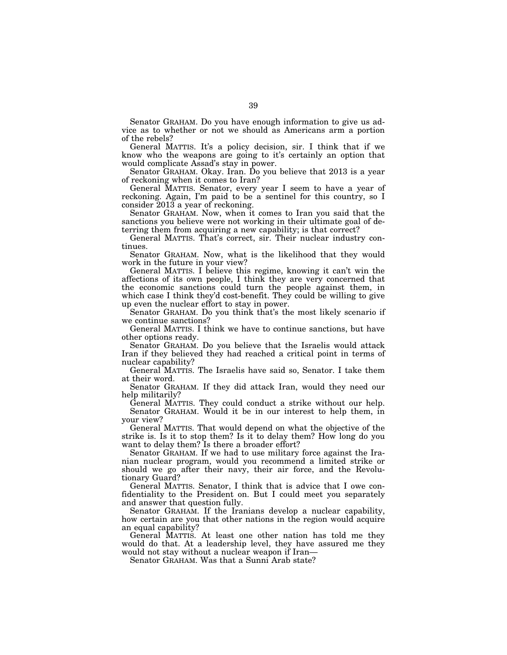Senator GRAHAM. Do you have enough information to give us advice as to whether or not we should as Americans arm a portion of the rebels?

General MATTIS. It's a policy decision, sir. I think that if we know who the weapons are going to it's certainly an option that would complicate Assad's stay in power.

Senator GRAHAM. Okay. Iran. Do you believe that 2013 is a year of reckoning when it comes to Iran?

General MATTIS. Senator, every year I seem to have a year of reckoning. Again, I'm paid to be a sentinel for this country, so I consider 2013 a year of reckoning.

Senator GRAHAM. Now, when it comes to Iran you said that the sanctions you believe were not working in their ultimate goal of deterring them from acquiring a new capability; is that correct?

General MATTIS. That's correct, sir. Their nuclear industry continues.

Senator GRAHAM. Now, what is the likelihood that they would work in the future in your view?

General MATTIS. I believe this regime, knowing it can't win the affections of its own people, I think they are very concerned that the economic sanctions could turn the people against them, in which case I think they'd cost-benefit. They could be willing to give up even the nuclear effort to stay in power.

Senator GRAHAM. Do you think that's the most likely scenario if we continue sanctions?

General MATTIS. I think we have to continue sanctions, but have other options ready.

Senator GRAHAM. Do you believe that the Israelis would attack Iran if they believed they had reached a critical point in terms of nuclear capability?

General MATTIS. The Israelis have said so, Senator. I take them at their word.

Senator GRAHAM. If they did attack Iran, would they need our help militarily?

General MATTIS. They could conduct a strike without our help. Senator GRAHAM. Would it be in our interest to help them, in your view?

General MATTIS. That would depend on what the objective of the strike is. Is it to stop them? Is it to delay them? How long do you want to delay them? Is there a broader effort?

Senator GRAHAM. If we had to use military force against the Iranian nuclear program, would you recommend a limited strike or should we go after their navy, their air force, and the Revolutionary Guard?

General MATTIS. Senator, I think that is advice that I owe confidentiality to the President on. But I could meet you separately and answer that question fully.

Senator GRAHAM. If the Iranians develop a nuclear capability, how certain are you that other nations in the region would acquire an equal capability?

General MATTIS. At least one other nation has told me they would do that. At a leadership level, they have assured me they would not stay without a nuclear weapon if Iran—

Senator GRAHAM. Was that a Sunni Arab state?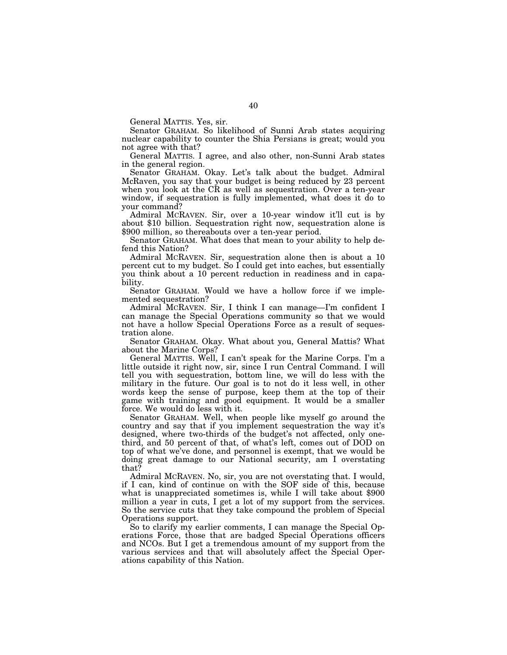General MATTIS. Yes, sir.

Senator GRAHAM. So likelihood of Sunni Arab states acquiring nuclear capability to counter the Shia Persians is great; would you not agree with that?

General MATTIS. I agree, and also other, non-Sunni Arab states in the general region.

Senator GRAHAM. Okay. Let's talk about the budget. Admiral McRaven, you say that your budget is being reduced by 23 percent when you look at the CR as well as sequestration. Over a ten-year window, if sequestration is fully implemented, what does it do to your command?

Admiral MCRAVEN. Sir, over a 10-year window it'll cut is by about \$10 billion. Sequestration right now, sequestration alone is \$900 million, so thereabouts over a ten-year period.

Senator GRAHAM. What does that mean to your ability to help defend this Nation?

Admiral MCRAVEN. Sir, sequestration alone then is about a 10 percent cut to my budget. So I could get into eaches, but essentially you think about a 10 percent reduction in readiness and in capability.

Senator GRAHAM. Would we have a hollow force if we implemented sequestration?

Admiral MCRAVEN. Sir, I think I can manage—I'm confident I can manage the Special Operations community so that we would not have a hollow Special Operations Force as a result of sequestration alone.

Senator GRAHAM. Okay. What about you, General Mattis? What about the Marine Corps?

General MATTIS. Well, I can't speak for the Marine Corps. I'm a little outside it right now, sir, since I run Central Command. I will tell you with sequestration, bottom line, we will do less with the military in the future. Our goal is to not do it less well, in other words keep the sense of purpose, keep them at the top of their game with training and good equipment. It would be a smaller force. We would do less with it.

Senator GRAHAM. Well, when people like myself go around the country and say that if you implement sequestration the way it's designed, where two-thirds of the budget's not affected, only onethird, and 50 percent of that, of what's left, comes out of DOD on top of what we've done, and personnel is exempt, that we would be doing great damage to our National security, am I overstating that?

Admiral MCRAVEN. No, sir, you are not overstating that. I would, if I can, kind of continue on with the SOF side of this, because what is unappreciated sometimes is, while I will take about \$900 million a year in cuts, I get a lot of my support from the services. So the service cuts that they take compound the problem of Special Operations support.

So to clarify my earlier comments, I can manage the Special Operations Force, those that are badged Special Operations officers and NCOs. But I get a tremendous amount of my support from the various services and that will absolutely affect the Special Operations capability of this Nation.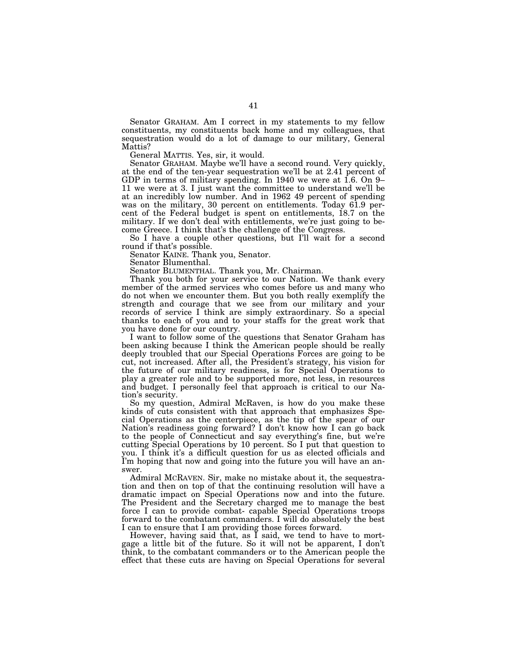Senator GRAHAM. Am I correct in my statements to my fellow constituents, my constituents back home and my colleagues, that sequestration would do a lot of damage to our military, General Mattis?

General MATTIS. Yes, sir, it would.

Senator GRAHAM. Maybe we'll have a second round. Very quickly, at the end of the ten-year sequestration we'll be at 2.41 percent of GDP in terms of military spending. In 1940 we were at 1.6. On 9– 11 we were at 3. I just want the committee to understand we'll be at an incredibly low number. And in 1962 49 percent of spending was on the military, 30 percent on entitlements. Today 61.9 percent of the Federal budget is spent on entitlements, 18.7 on the military. If we don't deal with entitlements, we're just going to become Greece. I think that's the challenge of the Congress.

So I have a couple other questions, but I'll wait for a second round if that's possible.

Senator KAINE. Thank you, Senator.

Senator Blumenthal.

Senator BLUMENTHAL. Thank you, Mr. Chairman.

Thank you both for your service to our Nation. We thank every member of the armed services who comes before us and many who do not when we encounter them. But you both really exemplify the strength and courage that we see from our military and your records of service I think are simply extraordinary. So a special thanks to each of you and to your staffs for the great work that you have done for our country.

I want to follow some of the questions that Senator Graham has been asking because I think the American people should be really deeply troubled that our Special Operations Forces are going to be cut, not increased. After all, the President's strategy, his vision for the future of our military readiness, is for Special Operations to play a greater role and to be supported more, not less, in resources and budget. I personally feel that approach is critical to our Nation's security.

So my question, Admiral McRaven, is how do you make these kinds of cuts consistent with that approach that emphasizes Special Operations as the centerpiece, as the tip of the spear of our Nation's readiness going forward? I don't know how I can go back to the people of Connecticut and say everything's fine, but we're cutting Special Operations by 10 percent. So I put that question to you. I think it's a difficult question for us as elected officials and I'm hoping that now and going into the future you will have an answer.

Admiral MCRAVEN. Sir, make no mistake about it, the sequestration and then on top of that the continuing resolution will have a dramatic impact on Special Operations now and into the future. The President and the Secretary charged me to manage the best force I can to provide combat- capable Special Operations troops forward to the combatant commanders. I will do absolutely the best I can to ensure that I am providing those forces forward.

However, having said that, as I said, we tend to have to mortgage a little bit of the future. So it will not be apparent, I don't think, to the combatant commanders or to the American people the effect that these cuts are having on Special Operations for several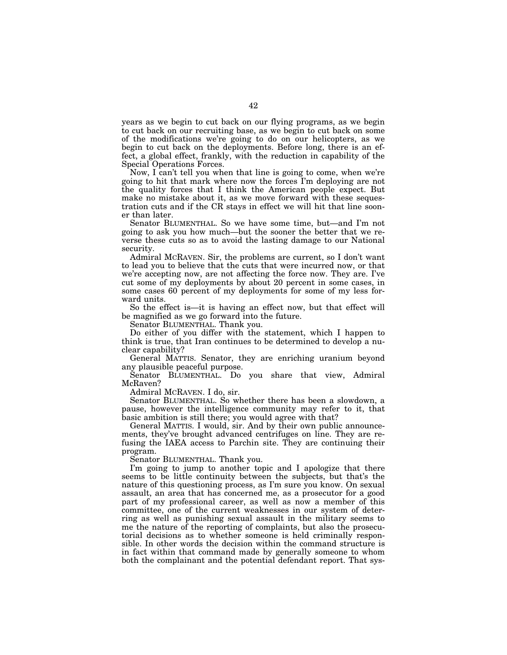years as we begin to cut back on our flying programs, as we begin to cut back on our recruiting base, as we begin to cut back on some of the modifications we're going to do on our helicopters, as we begin to cut back on the deployments. Before long, there is an effect, a global effect, frankly, with the reduction in capability of the Special Operations Forces.

Now, I can't tell you when that line is going to come, when we're going to hit that mark where now the forces I'm deploying are not the quality forces that I think the American people expect. But make no mistake about it, as we move forward with these sequestration cuts and if the CR stays in effect we will hit that line sooner than later.

Senator BLUMENTHAL. So we have some time, but—and I'm not going to ask you how much—but the sooner the better that we reverse these cuts so as to avoid the lasting damage to our National security.

Admiral MCRAVEN. Sir, the problems are current, so I don't want to lead you to believe that the cuts that were incurred now, or that we're accepting now, are not affecting the force now. They are. I've cut some of my deployments by about 20 percent in some cases, in some cases 60 percent of my deployments for some of my less forward units.

So the effect is—it is having an effect now, but that effect will be magnified as we go forward into the future.

Senator BLUMENTHAL. Thank you.

Do either of you differ with the statement, which I happen to think is true, that Iran continues to be determined to develop a nuclear capability?

General MATTIS. Senator, they are enriching uranium beyond any plausible peaceful purpose.

Senator BLUMENTHAL. Do you share that view, Admiral McRaven?

Admiral MCRAVEN. I do, sir.

Senator BLUMENTHAL. So whether there has been a slowdown, a pause, however the intelligence community may refer to it, that basic ambition is still there; you would agree with that?

General MATTIS. I would, sir. And by their own public announcements, they've brought advanced centrifuges on line. They are refusing the IAEA access to Parchin site. They are continuing their program.

Senator BLUMENTHAL. Thank you.

I'm going to jump to another topic and I apologize that there seems to be little continuity between the subjects, but that's the nature of this questioning process, as I'm sure you know. On sexual assault, an area that has concerned me, as a prosecutor for a good part of my professional career, as well as now a member of this committee, one of the current weaknesses in our system of deterring as well as punishing sexual assault in the military seems to me the nature of the reporting of complaints, but also the prosecutorial decisions as to whether someone is held criminally responsible. In other words the decision within the command structure is in fact within that command made by generally someone to whom both the complainant and the potential defendant report. That sys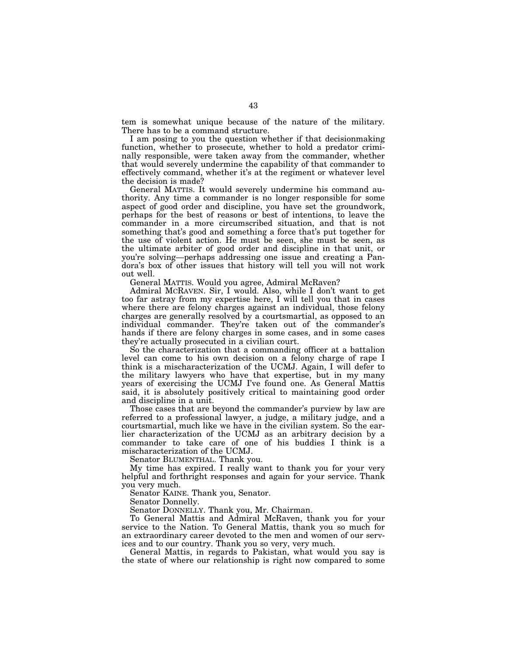tem is somewhat unique because of the nature of the military. There has to be a command structure.

I am posing to you the question whether if that decisionmaking function, whether to prosecute, whether to hold a predator criminally responsible, were taken away from the commander, whether that would severely undermine the capability of that commander to effectively command, whether it's at the regiment or whatever level the decision is made?

General MATTIS. It would severely undermine his command authority. Any time a commander is no longer responsible for some aspect of good order and discipline, you have set the groundwork, perhaps for the best of reasons or best of intentions, to leave the commander in a more circumscribed situation, and that is not something that's good and something a force that's put together for the use of violent action. He must be seen, she must be seen, as the ultimate arbiter of good order and discipline in that unit, or you're solving—perhaps addressing one issue and creating a Pandora's box of other issues that history will tell you will not work out well.

General MATTIS. Would you agree, Admiral McRaven?

Admiral MCRAVEN. Sir, I would. Also, while I don't want to get too far astray from my expertise here, I will tell you that in cases where there are felony charges against an individual, those felony charges are generally resolved by a courtsmartial, as opposed to an individual commander. They're taken out of the commander's hands if there are felony charges in some cases, and in some cases they're actually prosecuted in a civilian court.

So the characterization that a commanding officer at a battalion level can come to his own decision on a felony charge of rape I think is a mischaracterization of the UCMJ. Again, I will defer to the military lawyers who have that expertise, but in my many years of exercising the UCMJ I've found one. As General Mattis said, it is absolutely positively critical to maintaining good order and discipline in a unit.

Those cases that are beyond the commander's purview by law are referred to a professional lawyer, a judge, a military judge, and a courtsmartial, much like we have in the civilian system. So the earlier characterization of the UCMJ as an arbitrary decision by a commander to take care of one of his buddies I think is a mischaracterization of the UCMJ.

Senator BLUMENTHAL. Thank you.

My time has expired. I really want to thank you for your very helpful and forthright responses and again for your service. Thank you very much.

Senator KAINE. Thank you, Senator.

Senator Donnelly.

Senator DONNELLY. Thank you, Mr. Chairman.

To General Mattis and Admiral McRaven, thank you for your service to the Nation. To General Mattis, thank you so much for an extraordinary career devoted to the men and women of our services and to our country. Thank you so very, very much.

General Mattis, in regards to Pakistan, what would you say is the state of where our relationship is right now compared to some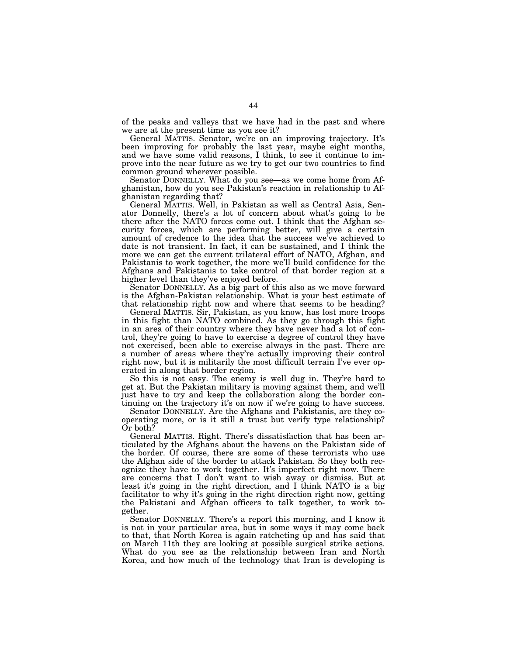of the peaks and valleys that we have had in the past and where we are at the present time as you see it?

General MATTIS. Senator, we're on an improving trajectory. It's been improving for probably the last year, maybe eight months, and we have some valid reasons, I think, to see it continue to improve into the near future as we try to get our two countries to find common ground wherever possible.

Senator DONNELLY. What do you see—as we come home from Afghanistan, how do you see Pakistan's reaction in relationship to Afghanistan regarding that?

General MATTIS. Well, in Pakistan as well as Central Asia, Senator Donnelly, there's a lot of concern about what's going to be there after the NATO forces come out. I think that the Afghan security forces, which are performing better, will give a certain amount of credence to the idea that the success we've achieved to date is not transient. In fact, it can be sustained, and I think the more we can get the current trilateral effort of NATO, Afghan, and Pakistanis to work together, the more we'll build confidence for the Afghans and Pakistanis to take control of that border region at a higher level than they've enjoyed before.

Senator DONNELLY. As a big part of this also as we move forward is the Afghan-Pakistan relationship. What is your best estimate of that relationship right now and where that seems to be heading?

General MATTIS. Sir, Pakistan, as you know, has lost more troops in this fight than NATO combined. As they go through this fight in an area of their country where they have never had a lot of control, they're going to have to exercise a degree of control they have not exercised, been able to exercise always in the past. There are a number of areas where they're actually improving their control right now, but it is militarily the most difficult terrain I've ever operated in along that border region.

So this is not easy. The enemy is well dug in. They're hard to get at. But the Pakistan military is moving against them, and we'll just have to try and keep the collaboration along the border continuing on the trajectory it's on now if we're going to have success.

Senator DONNELLY. Are the Afghans and Pakistanis, are they cooperating more, or is it still a trust but verify type relationship? Or both?

General MATTIS. Right. There's dissatisfaction that has been articulated by the Afghans about the havens on the Pakistan side of the border. Of course, there are some of these terrorists who use the Afghan side of the border to attack Pakistan. So they both recognize they have to work together. It's imperfect right now. There are concerns that I don't want to wish away or dismiss. But at least it's going in the right direction, and I think NATO is a big facilitator to why it's going in the right direction right now, getting the Pakistani and Afghan officers to talk together, to work together.

Senator DONNELLY. There's a report this morning, and I know it is not in your particular area, but in some ways it may come back to that, that North Korea is again ratcheting up and has said that on March 11th they are looking at possible surgical strike actions. What do you see as the relationship between Iran and North Korea, and how much of the technology that Iran is developing is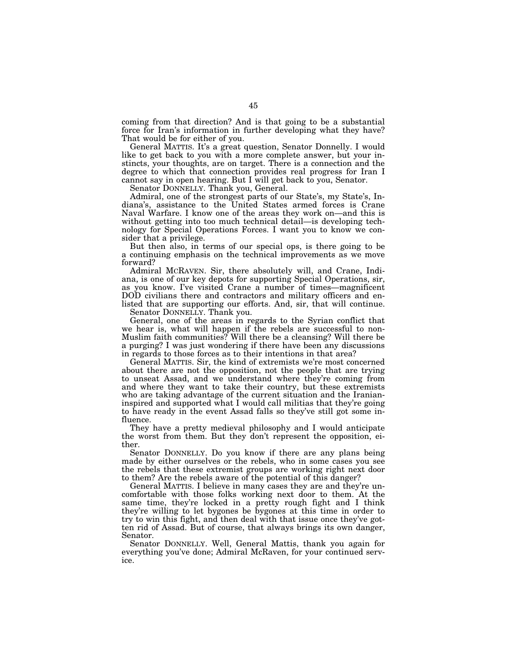coming from that direction? And is that going to be a substantial force for Iran's information in further developing what they have? That would be for either of you.

General MATTIS. It's a great question, Senator Donnelly. I would like to get back to you with a more complete answer, but your instincts, your thoughts, are on target. There is a connection and the degree to which that connection provides real progress for Iran I cannot say in open hearing. But I will get back to you, Senator.

Senator DONNELLY. Thank you, General.

Admiral, one of the strongest parts of our State's, my State's, Indiana's, assistance to the United States armed forces is Crane Naval Warfare. I know one of the areas they work on—and this is without getting into too much technical detail—is developing technology for Special Operations Forces. I want you to know we consider that a privilege.

But then also, in terms of our special ops, is there going to be a continuing emphasis on the technical improvements as we move forward?

Admiral MCRAVEN. Sir, there absolutely will, and Crane, Indiana, is one of our key depots for supporting Special Operations, sir, as you know. I've visited Crane a number of times—magnificent DOD civilians there and contractors and military officers and enlisted that are supporting our efforts. And, sir, that will continue.

Senator DONNELLY. Thank you.

General, one of the areas in regards to the Syrian conflict that we hear is, what will happen if the rebels are successful to non-Muslim faith communities? Will there be a cleansing? Will there be a purging? I was just wondering if there have been any discussions in regards to those forces as to their intentions in that area?

General MATTIS. Sir, the kind of extremists we're most concerned about there are not the opposition, not the people that are trying to unseat Assad, and we understand where they're coming from and where they want to take their country, but these extremists who are taking advantage of the current situation and the Iranianinspired and supported what I would call militias that they're going to have ready in the event Assad falls so they've still got some influence.

They have a pretty medieval philosophy and I would anticipate the worst from them. But they don't represent the opposition, either.

Senator DONNELLY. Do you know if there are any plans being made by either ourselves or the rebels, who in some cases you see the rebels that these extremist groups are working right next door to them? Are the rebels aware of the potential of this danger?

General MATTIS. I believe in many cases they are and they're uncomfortable with those folks working next door to them. At the same time, they're locked in a pretty rough fight and I think they're willing to let bygones be bygones at this time in order to try to win this fight, and then deal with that issue once they've gotten rid of Assad. But of course, that always brings its own danger, Senator.

Senator DONNELLY. Well, General Mattis, thank you again for everything you've done; Admiral McRaven, for your continued service.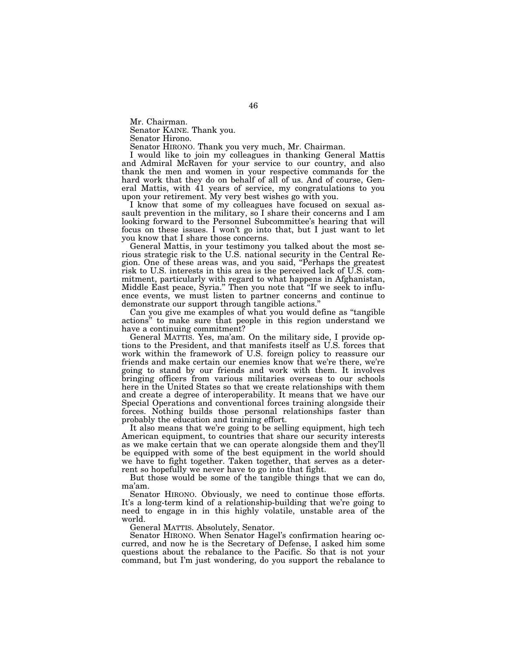Mr. Chairman.

Senator KAINE. Thank you.

Senator Hirono.

Senator HIRONO. Thank you very much, Mr. Chairman.

I would like to join my colleagues in thanking General Mattis and Admiral McRaven for your service to our country, and also thank the men and women in your respective commands for the hard work that they do on behalf of all of us. And of course, General Mattis, with 41 years of service, my congratulations to you upon your retirement. My very best wishes go with you.

I know that some of my colleagues have focused on sexual assault prevention in the military, so I share their concerns and I am looking forward to the Personnel Subcommittee's hearing that will focus on these issues. I won't go into that, but I just want to let you know that I share those concerns.

General Mattis, in your testimony you talked about the most serious strategic risk to the U.S. national security in the Central Region. One of these areas was, and you said, ''Perhaps the greatest risk to U.S. interests in this area is the perceived lack of U.S. commitment, particularly with regard to what happens in Afghanistan, Middle East peace, Syria.'' Then you note that ''If we seek to influence events, we must listen to partner concerns and continue to demonstrate our support through tangible actions.''

Can you give me examples of what you would define as ''tangible actions'' to make sure that people in this region understand we have a continuing commitment?

General MATTIS. Yes, ma'am. On the military side, I provide options to the President, and that manifests itself as U.S. forces that work within the framework of U.S. foreign policy to reassure our friends and make certain our enemies know that we're there, we're going to stand by our friends and work with them. It involves bringing officers from various militaries overseas to our schools here in the United States so that we create relationships with them and create a degree of interoperability. It means that we have our Special Operations and conventional forces training alongside their forces. Nothing builds those personal relationships faster than probably the education and training effort.

It also means that we're going to be selling equipment, high tech American equipment, to countries that share our security interests as we make certain that we can operate alongside them and they'll be equipped with some of the best equipment in the world should we have to fight together. Taken together, that serves as a deterrent so hopefully we never have to go into that fight.

But those would be some of the tangible things that we can do, ma'am.

Senator HIRONO. Obviously, we need to continue those efforts. It's a long-term kind of a relationship-building that we're going to need to engage in in this highly volatile, unstable area of the world.

General MATTIS. Absolutely, Senator.

Senator HIRONO. When Senator Hagel's confirmation hearing occurred, and now he is the Secretary of Defense, I asked him some questions about the rebalance to the Pacific. So that is not your command, but I'm just wondering, do you support the rebalance to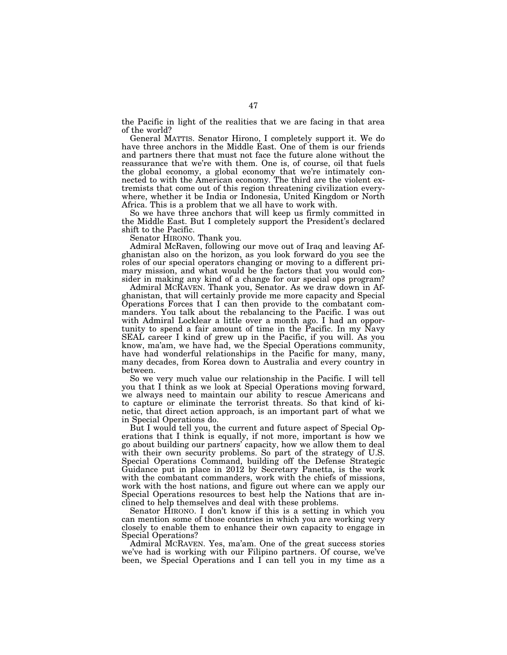the Pacific in light of the realities that we are facing in that area of the world?

General MATTIS. Senator Hirono, I completely support it. We do have three anchors in the Middle East. One of them is our friends and partners there that must not face the future alone without the reassurance that we're with them. One is, of course, oil that fuels the global economy, a global economy that we're intimately connected to with the American economy. The third are the violent extremists that come out of this region threatening civilization everywhere, whether it be India or Indonesia, United Kingdom or North Africa. This is a problem that we all have to work with.

So we have three anchors that will keep us firmly committed in the Middle East. But I completely support the President's declared shift to the Pacific.

Senator HIRONO. Thank you.

Admiral McRaven, following our move out of Iraq and leaving Afghanistan also on the horizon, as you look forward do you see the roles of our special operators changing or moving to a different primary mission, and what would be the factors that you would consider in making any kind of a change for our special ops program?

Admiral MCRAVEN. Thank you, Senator. As we draw down in Afghanistan, that will certainly provide me more capacity and Special Operations Forces that I can then provide to the combatant commanders. You talk about the rebalancing to the Pacific. I was out with Admiral Locklear a little over a month ago. I had an opportunity to spend a fair amount of time in the Pacific. In my Navy SEAL career I kind of grew up in the Pacific, if you will. As you know, ma'am, we have had, we the Special Operations community, have had wonderful relationships in the Pacific for many, many, many decades, from Korea down to Australia and every country in between.

So we very much value our relationship in the Pacific. I will tell you that I think as we look at Special Operations moving forward, we always need to maintain our ability to rescue Americans and to capture or eliminate the terrorist threats. So that kind of kinetic, that direct action approach, is an important part of what we in Special Operations do.

But I would tell you, the current and future aspect of Special Operations that I think is equally, if not more, important is how we go about building our partners' capacity, how we allow them to deal with their own security problems. So part of the strategy of U.S. Special Operations Command, building off the Defense Strategic Guidance put in place in 2012 by Secretary Panetta, is the work with the combatant commanders, work with the chiefs of missions, work with the host nations, and figure out where can we apply our Special Operations resources to best help the Nations that are inclined to help themselves and deal with these problems.

Senator HIRONO. I don't know if this is a setting in which you can mention some of those countries in which you are working very closely to enable them to enhance their own capacity to engage in Special Operations?

Admiral MCRAVEN. Yes, ma'am. One of the great success stories we've had is working with our Filipino partners. Of course, we've been, we Special Operations and I can tell you in my time as a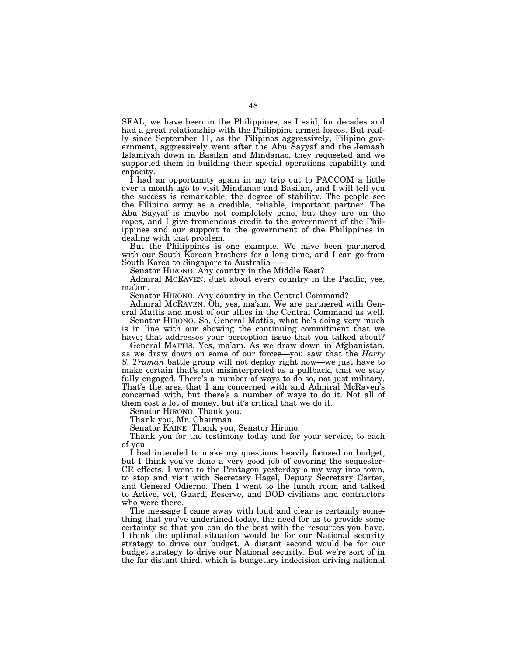SEAL, we have been in the Philippines, as I said, for decades and had a great relationship with the Philippine armed forces. But really since September 11, as the Filipinos aggressively, Filipino government, aggressively went after the Abu Sayyaf and the Jemaah Islamiyah down in Basilan and Mindanao, they requested and we supported them in building their special operations capability and capacity.

I had an opportunity again in my trip out to PACCOM a little over a month ago to visit Mindanao and Basilan, and I will tell you the success is remarkable, the degree of stability. The people see the Filipino army as a credible, reliable, important partner. The Abu Sayyaf is maybe not completely gone, but they are on the ropes, and I give tremendous credit to the government of the Philippines and our support to the government of the Philippines in dealing with that problem.

But the Philippines is one example. We have been partnered with our South Korean brothers for a long time, and I can go from South Korea to Singapore to Australia-

Senator HIRONO. Any country in the Middle East?

Admiral MCRAVEN. Just about every country in the Pacific, yes, ma'am.

Senator HIRONO. Any country in the Central Command?

Admiral MCRAVEN. Oh, yes, ma'am. We are partnered with General Mattis and most of our allies in the Central Command as well.

Senator HIRONO. So, General Mattis, what he's doing very much is in line with our showing the continuing commitment that we have; that addresses your perception issue that you talked about?

General MATTIS. Yes, ma'am. As we draw down in Afghanistan, as we draw down on some of our forces—you saw that the *Harry S. Truman* battle group will not deploy right now—we just have to make certain that's not misinterpreted as a pullback, that we stay fully engaged. There's a number of ways to do so, not just military. That's the area that I am concerned with and Admiral McRaven's concerned with, but there's a number of ways to do it. Not all of them cost a lot of money, but it's critical that we do it.

Senator HIRONO. Thank you.

Thank you, Mr. Chairman.

Senator KAINE. Thank you, Senator Hirono.

Thank you for the testimony today and for your service, to each of you.

I had intended to make my questions heavily focused on budget, but I think you've done a very good job of covering the sequester-CR effects. I went to the Pentagon yesterday o my way into town, to stop and visit with Secretary Hagel, Deputy Secretary Carter, and General Odierno. Then I went to the lunch room and talked to Active, vet, Guard, Reserve, and DOD civilians and contractors who were there.

The message I came away with loud and clear is certainly something that you've underlined today, the need for us to provide some certainty so that you can do the best with the resources you have. I think the optimal situation would be for our National security strategy to drive our budget. A distant second would be for our budget strategy to drive our National security. But we're sort of in the far distant third, which is budgetary indecision driving national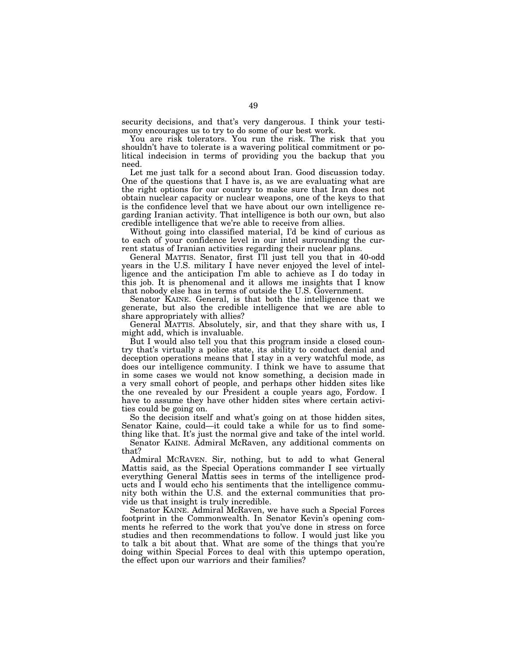security decisions, and that's very dangerous. I think your testimony encourages us to try to do some of our best work.

You are risk tolerators. You run the risk. The risk that you shouldn't have to tolerate is a wavering political commitment or political indecision in terms of providing you the backup that you need.

Let me just talk for a second about Iran. Good discussion today. One of the questions that I have is, as we are evaluating what are the right options for our country to make sure that Iran does not obtain nuclear capacity or nuclear weapons, one of the keys to that is the confidence level that we have about our own intelligence regarding Iranian activity. That intelligence is both our own, but also credible intelligence that we're able to receive from allies.

Without going into classified material, I'd be kind of curious as to each of your confidence level in our intel surrounding the current status of Iranian activities regarding their nuclear plans.

General MATTIS. Senator, first I'll just tell you that in 40-odd years in the U.S. military I have never enjoyed the level of intelligence and the anticipation I'm able to achieve as I do today in this job. It is phenomenal and it allows me insights that I know that nobody else has in terms of outside the U.S. Government.

Senator KAINE. General, is that both the intelligence that we generate, but also the credible intelligence that we are able to share appropriately with allies?

General MATTIS. Absolutely, sir, and that they share with us, I might add, which is invaluable.

But I would also tell you that this program inside a closed country that's virtually a police state, its ability to conduct denial and deception operations means that I stay in a very watchful mode, as does our intelligence community. I think we have to assume that in some cases we would not know something, a decision made in a very small cohort of people, and perhaps other hidden sites like the one revealed by our President a couple years ago, Fordow. I have to assume they have other hidden sites where certain activities could be going on.

So the decision itself and what's going on at those hidden sites, Senator Kaine, could—it could take a while for us to find something like that. It's just the normal give and take of the intel world.

Senator KAINE. Admiral McRaven, any additional comments on that?

Admiral MCRAVEN. Sir, nothing, but to add to what General Mattis said, as the Special Operations commander I see virtually everything General Mattis sees in terms of the intelligence products and I would echo his sentiments that the intelligence community both within the U.S. and the external communities that provide us that insight is truly incredible.

Senator KAINE. Admiral McRaven, we have such a Special Forces footprint in the Commonwealth. In Senator Kevin's opening comments he referred to the work that you've done in stress on force studies and then recommendations to follow. I would just like you to talk a bit about that. What are some of the things that you're doing within Special Forces to deal with this uptempo operation, the effect upon our warriors and their families?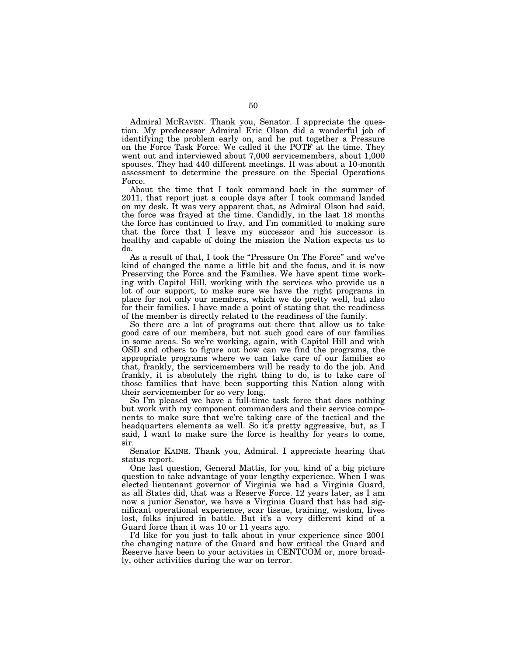Admiral MCRAVEN. Thank you, Senator. I appreciate the question. My predecessor Admiral Eric Olson did a wonderful job of identifying the problem early on, and he put together a Pressure on the Force Task Force. We called it the POTF at the time. They went out and interviewed about 7,000 servicemembers, about 1,000 spouses. They had 440 different meetings. It was about a 10-month assessment to determine the pressure on the Special Operations Force.

About the time that I took command back in the summer of 2011, that report just a couple days after I took command landed on my desk. It was very apparent that, as Admiral Olson had said, the force was frayed at the time. Candidly, in the last 18 months the force has continued to fray, and I'm committed to making sure that the force that I leave my successor and his successor is healthy and capable of doing the mission the Nation expects us to do.

As a result of that, I took the "Pressure On The Force" and we've kind of changed the name a little bit and the focus, and it is now Preserving the Force and the Families. We have spent time working with Capitol Hill, working with the services who provide us a lot of our support, to make sure we have the right programs in place for not only our members, which we do pretty well, but also for their families. I have made a point of stating that the readiness of the member is directly related to the readiness of the family.

So there are a lot of programs out there that allow us to take good care of our members, but not such good care of our families in some areas. So we're working, again, with Capitol Hill and with OSD and others to figure out how can we find the programs, the appropriate programs where we can take care of our families so that, frankly, the servicemembers will be ready to do the job. And frankly, it is absolutely the right thing to do, is to take care of those families that have been supporting this Nation along with their servicemember for so very long.

So I'm pleased we have a full-time task force that does nothing but work with my component commanders and their service components to make sure that we're taking care of the tactical and the headquarters elements as well. So it's pretty aggressive, but, as I said, I want to make sure the force is healthy for years to come, sir.

Senator KAINE. Thank you, Admiral. I appreciate hearing that status report.

One last question, General Mattis, for you, kind of a big picture question to take advantage of your lengthy experience. When I was elected lieutenant governor of Virginia we had a Virginia Guard, as all States did, that was a Reserve Force. 12 years later, as I am now a junior Senator, we have a Virginia Guard that has had significant operational experience, scar tissue, training, wisdom, lives lost, folks injured in battle. But it's a very different kind of a Guard force than it was 10 or 11 years ago.

I'd like for you just to talk about in your experience since 2001 the changing nature of the Guard and how critical the Guard and Reserve have been to your activities in CENTCOM or, more broadly, other activities during the war on terror.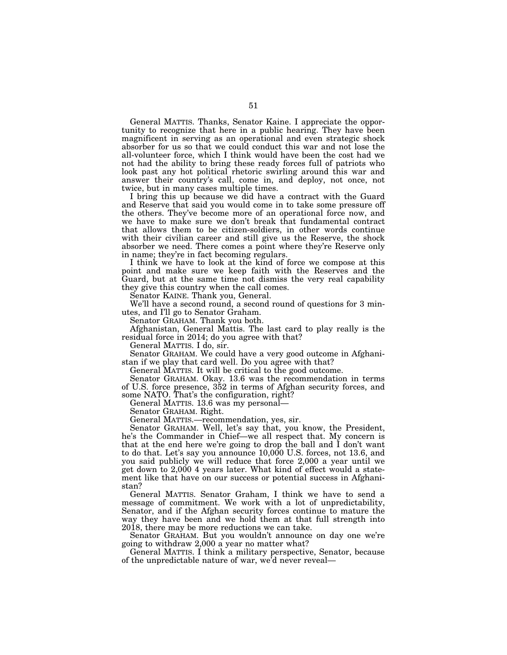General MATTIS. Thanks, Senator Kaine. I appreciate the opportunity to recognize that here in a public hearing. They have been magnificent in serving as an operational and even strategic shock absorber for us so that we could conduct this war and not lose the all-volunteer force, which I think would have been the cost had we not had the ability to bring these ready forces full of patriots who look past any hot political rhetoric swirling around this war and answer their country's call, come in, and deploy, not once, not twice, but in many cases multiple times.

I bring this up because we did have a contract with the Guard and Reserve that said you would come in to take some pressure off the others. They've become more of an operational force now, and we have to make sure we don't break that fundamental contract that allows them to be citizen-soldiers, in other words continue with their civilian career and still give us the Reserve, the shock absorber we need. There comes a point where they're Reserve only in name; they're in fact becoming regulars.

I think we have to look at the kind of force we compose at this point and make sure we keep faith with the Reserves and the Guard, but at the same time not dismiss the very real capability they give this country when the call comes.

Senator KAINE. Thank you, General.

We'll have a second round, a second round of questions for 3 minutes, and I'll go to Senator Graham.

Senator GRAHAM. Thank you both.

Afghanistan, General Mattis. The last card to play really is the residual force in 2014; do you agree with that?

General MATTIS. I do, sir.

Senator GRAHAM. We could have a very good outcome in Afghanistan if we play that card well. Do you agree with that?

General MATTIS. It will be critical to the good outcome.

Senator GRAHAM. Okay. 13.6 was the recommendation in terms of U.S. force presence, 352 in terms of Afghan security forces, and some NATO. That's the configuration, right?

General MATTIS. 13.6 was my personal—

Senator GRAHAM. Right.

General MATTIS.—recommendation, yes, sir.

Senator GRAHAM. Well, let's say that, you know, the President, he's the Commander in Chief—we all respect that. My concern is that at the end here we're going to drop the ball and I don't want to do that. Let's say you announce 10,000 U.S. forces, not 13.6, and you said publicly we will reduce that force 2,000 a year until we get down to 2,000 4 years later. What kind of effect would a statement like that have on our success or potential success in Afghanistan?

General MATTIS. Senator Graham, I think we have to send a message of commitment. We work with a lot of unpredictability, Senator, and if the Afghan security forces continue to mature the way they have been and we hold them at that full strength into 2018, there may be more reductions we can take.

Senator GRAHAM. But you wouldn't announce on day one we're going to withdraw 2,000 a year no matter what?

General MATTIS. I think a military perspective, Senator, because of the unpredictable nature of war, we'd never reveal—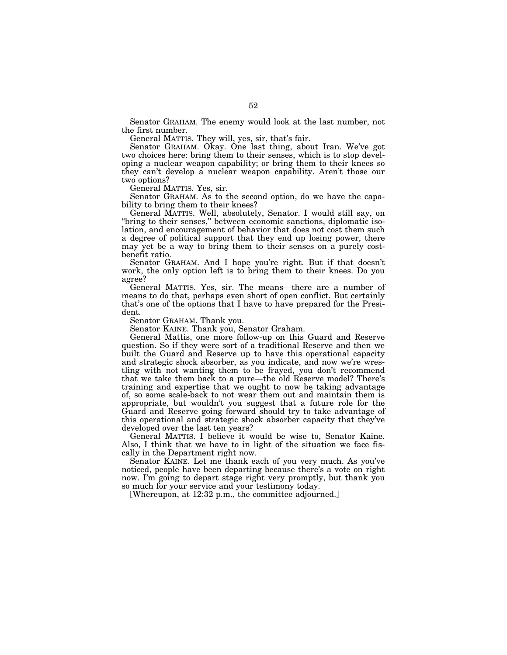Senator GRAHAM. The enemy would look at the last number, not the first number.

General MATTIS. They will, yes, sir, that's fair.

Senator GRAHAM. Okay. One last thing, about Iran. We've got two choices here: bring them to their senses, which is to stop developing a nuclear weapon capability; or bring them to their knees so they can't develop a nuclear weapon capability. Aren't those our two options?

General MATTIS. Yes, sir.

Senator GRAHAM. As to the second option, do we have the capability to bring them to their knees?

General MATTIS. Well, absolutely, Senator. I would still say, on "bring to their senses," between economic sanctions, diplomatic isolation, and encouragement of behavior that does not cost them such a degree of political support that they end up losing power, there may yet be a way to bring them to their senses on a purely costbenefit ratio.

Senator GRAHAM. And I hope you're right. But if that doesn't work, the only option left is to bring them to their knees. Do you agree?

General MATTIS. Yes, sir. The means—there are a number of means to do that, perhaps even short of open conflict. But certainly that's one of the options that I have to have prepared for the President.

Senator GRAHAM. Thank you.

Senator KAINE. Thank you, Senator Graham.

General Mattis, one more follow-up on this Guard and Reserve question. So if they were sort of a traditional Reserve and then we built the Guard and Reserve up to have this operational capacity and strategic shock absorber, as you indicate, and now we're wrestling with not wanting them to be frayed, you don't recommend that we take them back to a pure—the old Reserve model? There's training and expertise that we ought to now be taking advantage of, so some scale-back to not wear them out and maintain them is appropriate, but wouldn't you suggest that a future role for the Guard and Reserve going forward should try to take advantage of this operational and strategic shock absorber capacity that they've developed over the last ten years?

General MATTIS. I believe it would be wise to, Senator Kaine. Also, I think that we have to in light of the situation we face fiscally in the Department right now.

Senator KAINE. Let me thank each of you very much. As you've noticed, people have been departing because there's a vote on right now. I'm going to depart stage right very promptly, but thank you so much for your service and your testimony today.

[Whereupon, at 12:32 p.m., the committee adjourned.]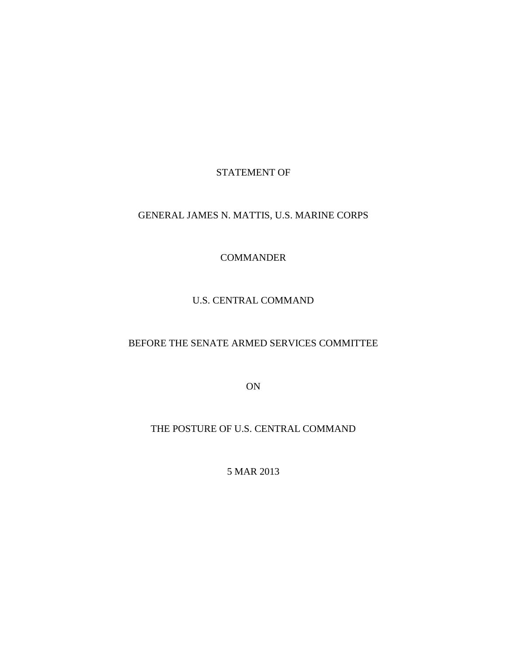### STATEMENT OF

# GENERAL JAMES N. MATTIS, U.S. MARINE CORPS

#### **COMMANDER**

### U.S. CENTRAL COMMAND

# BEFORE THE SENATE ARMED SERVICES COMMITTEE

ON

# THE POSTURE OF U.S. CENTRAL COMMAND

5 MAR 2013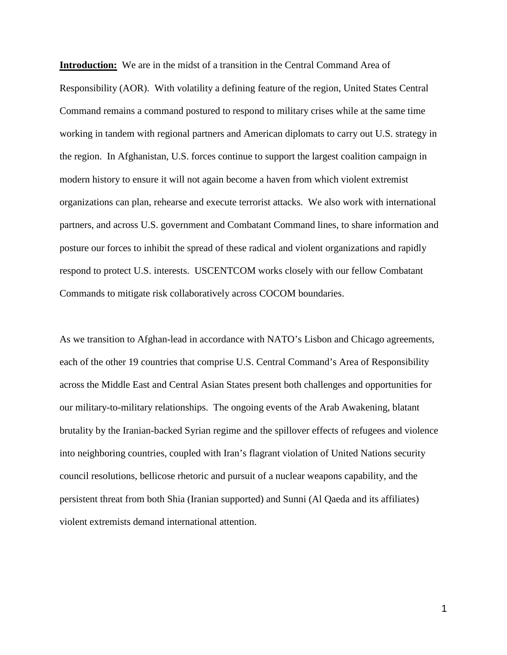**Introduction:** We are in the midst of a transition in the Central Command Area of Responsibility (AOR). With volatility a defining feature of the region, United States Central Command remains a command postured to respond to military crises while at the same time working in tandem with regional partners and American diplomats to carry out U.S. strategy in the region. In Afghanistan, U.S. forces continue to support the largest coalition campaign in modern history to ensure it will not again become a haven from which violent extremist organizations can plan, rehearse and execute terrorist attacks. We also work with international partners, and across U.S. government and Combatant Command lines, to share information and posture our forces to inhibit the spread of these radical and violent organizations and rapidly respond to protect U.S. interests. USCENTCOM works closely with our fellow Combatant Commands to mitigate risk collaboratively across COCOM boundaries.

As we transition to Afghan-lead in accordance with NATO's Lisbon and Chicago agreements, each of the other 19 countries that comprise U.S. Central Command's Area of Responsibility across the Middle East and Central Asian States present both challenges and opportunities for our military-to-military relationships. The ongoing events of the Arab Awakening, blatant brutality by the Iranian-backed Syrian regime and the spillover effects of refugees and violence into neighboring countries, coupled with Iran's flagrant violation of United Nations security council resolutions, bellicose rhetoric and pursuit of a nuclear weapons capability, and the persistent threat from both Shia (Iranian supported) and Sunni (Al Qaeda and its affiliates) violent extremists demand international attention.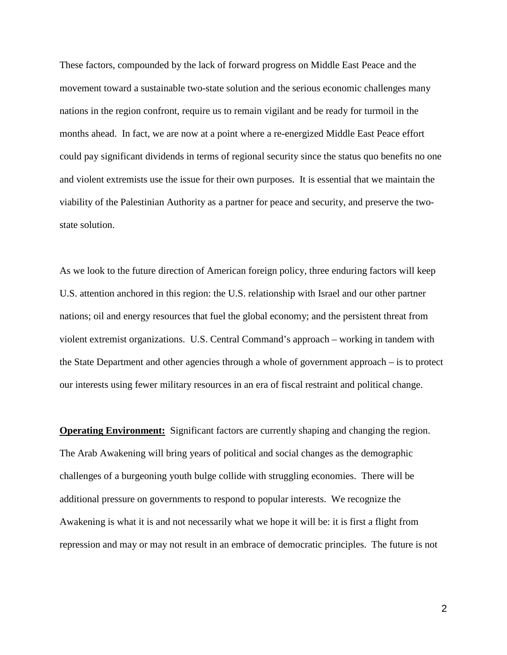These factors, compounded by the lack of forward progress on Middle East Peace and the movement toward a sustainable two-state solution and the serious economic challenges many nations in the region confront, require us to remain vigilant and be ready for turmoil in the months ahead. In fact, we are now at a point where a re-energized Middle East Peace effort could pay significant dividends in terms of regional security since the status quo benefits no one and violent extremists use the issue for their own purposes. It is essential that we maintain the viability of the Palestinian Authority as a partner for peace and security, and preserve the twostate solution.

As we look to the future direction of American foreign policy, three enduring factors will keep U.S. attention anchored in this region: the U.S. relationship with Israel and our other partner nations; oil and energy resources that fuel the global economy; and the persistent threat from violent extremist organizations. U.S. Central Command's approach – working in tandem with the State Department and other agencies through a whole of government approach – is to protect our interests using fewer military resources in an era of fiscal restraint and political change.

**Operating Environment:** Significant factors are currently shaping and changing the region. The Arab Awakening will bring years of political and social changes as the demographic challenges of a burgeoning youth bulge collide with struggling economies. There will be additional pressure on governments to respond to popular interests. We recognize the Awakening is what it is and not necessarily what we hope it will be: it is first a flight from repression and may or may not result in an embrace of democratic principles. The future is not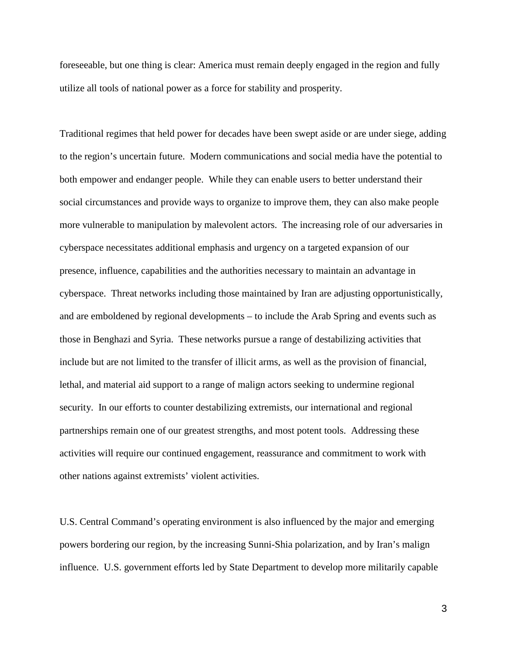foreseeable, but one thing is clear: America must remain deeply engaged in the region and fully utilize all tools of national power as a force for stability and prosperity.

Traditional regimes that held power for decades have been swept aside or are under siege, adding to the region's uncertain future. Modern communications and social media have the potential to both empower and endanger people. While they can enable users to better understand their social circumstances and provide ways to organize to improve them, they can also make people more vulnerable to manipulation by malevolent actors. The increasing role of our adversaries in cyberspace necessitates additional emphasis and urgency on a targeted expansion of our presence, influence, capabilities and the authorities necessary to maintain an advantage in cyberspace. Threat networks including those maintained by Iran are adjusting opportunistically, and are emboldened by regional developments – to include the Arab Spring and events such as those in Benghazi and Syria. These networks pursue a range of destabilizing activities that include but are not limited to the transfer of illicit arms, as well as the provision of financial, lethal, and material aid support to a range of malign actors seeking to undermine regional security. In our efforts to counter destabilizing extremists, our international and regional partnerships remain one of our greatest strengths, and most potent tools. Addressing these activities will require our continued engagement, reassurance and commitment to work with other nations against extremists' violent activities.

U.S. Central Command's operating environment is also influenced by the major and emerging powers bordering our region, by the increasing Sunni-Shia polarization, and by Iran's malign influence. U.S. government efforts led by State Department to develop more militarily capable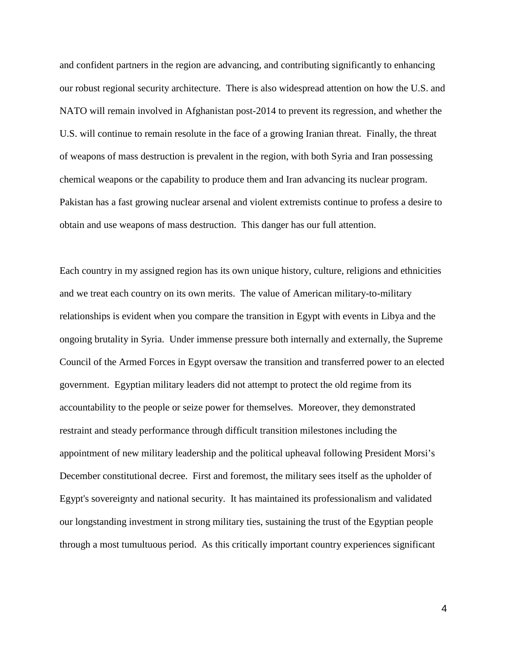and confident partners in the region are advancing, and contributing significantly to enhancing our robust regional security architecture. There is also widespread attention on how the U.S. and NATO will remain involved in Afghanistan post-2014 to prevent its regression, and whether the U.S. will continue to remain resolute in the face of a growing Iranian threat. Finally, the threat of weapons of mass destruction is prevalent in the region, with both Syria and Iran possessing chemical weapons or the capability to produce them and Iran advancing its nuclear program. Pakistan has a fast growing nuclear arsenal and violent extremists continue to profess a desire to obtain and use weapons of mass destruction. This danger has our full attention.

Each country in my assigned region has its own unique history, culture, religions and ethnicities and we treat each country on its own merits. The value of American military-to-military relationships is evident when you compare the transition in Egypt with events in Libya and the ongoing brutality in Syria. Under immense pressure both internally and externally, the Supreme Council of the Armed Forces in Egypt oversaw the transition and transferred power to an elected government. Egyptian military leaders did not attempt to protect the old regime from its accountability to the people or seize power for themselves. Moreover, they demonstrated restraint and steady performance through difficult transition milestones including the appointment of new military leadership and the political upheaval following President Morsi's December constitutional decree. First and foremost, the military sees itself as the upholder of Egypt's sovereignty and national security. It has maintained its professionalism and validated our longstanding investment in strong military ties, sustaining the trust of the Egyptian people through a most tumultuous period. As this critically important country experiences significant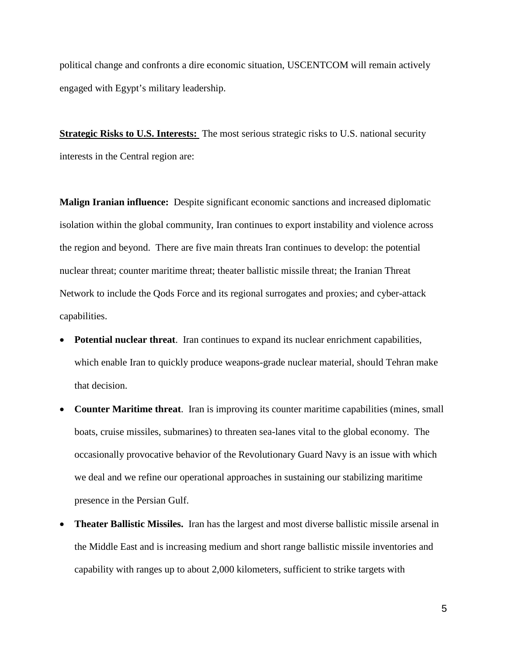political change and confronts a dire economic situation, USCENTCOM will remain actively engaged with Egypt's military leadership.

**Strategic Risks to U.S. Interests:** The most serious strategic risks to U.S. national security interests in the Central region are:

**Malign Iranian influence:** Despite significant economic sanctions and increased diplomatic isolation within the global community, Iran continues to export instability and violence across the region and beyond. There are five main threats Iran continues to develop: the potential nuclear threat; counter maritime threat; theater ballistic missile threat; the Iranian Threat Network to include the Qods Force and its regional surrogates and proxies; and cyber-attack capabilities.

- **Potential nuclear threat**. Iran continues to expand its nuclear enrichment capabilities, which enable Iran to quickly produce weapons-grade nuclear material, should Tehran make that decision.
- **Counter Maritime threat**. Iran is improving its counter maritime capabilities (mines, small boats, cruise missiles, submarines) to threaten sea-lanes vital to the global economy. The occasionally provocative behavior of the Revolutionary Guard Navy is an issue with which we deal and we refine our operational approaches in sustaining our stabilizing maritime presence in the Persian Gulf.
- **Theater Ballistic Missiles.** Iran has the largest and most diverse ballistic missile arsenal in the Middle East and is increasing medium and short range ballistic missile inventories and capability with ranges up to about 2,000 kilometers, sufficient to strike targets with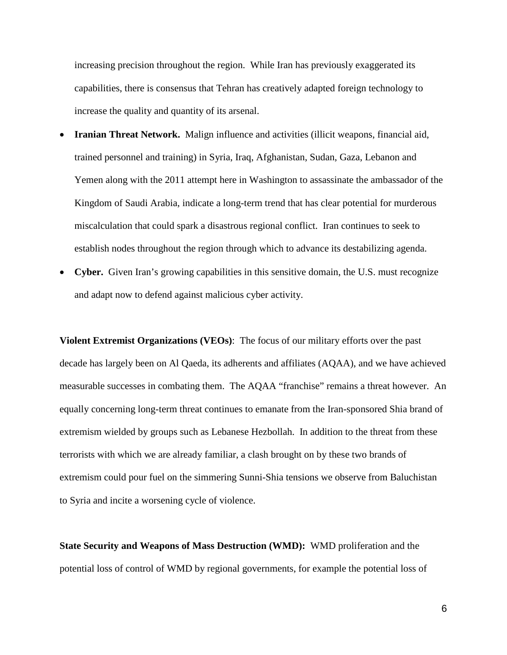increasing precision throughout the region. While Iran has previously exaggerated its capabilities, there is consensus that Tehran has creatively adapted foreign technology to increase the quality and quantity of its arsenal.

- **Iranian Threat Network.** Malign influence and activities (illicit weapons, financial aid, trained personnel and training) in Syria, Iraq, Afghanistan, Sudan, Gaza, Lebanon and Yemen along with the 2011 attempt here in Washington to assassinate the ambassador of the Kingdom of Saudi Arabia, indicate a long-term trend that has clear potential for murderous miscalculation that could spark a disastrous regional conflict. Iran continues to seek to establish nodes throughout the region through which to advance its destabilizing agenda.
- **Cyber.** Given Iran's growing capabilities in this sensitive domain, the U.S. must recognize and adapt now to defend against malicious cyber activity.

**Violent Extremist Organizations (VEOs)**: The focus of our military efforts over the past decade has largely been on Al Qaeda, its adherents and affiliates (AQAA), and we have achieved measurable successes in combating them. The AQAA "franchise" remains a threat however. An equally concerning long-term threat continues to emanate from the Iran-sponsored Shia brand of extremism wielded by groups such as Lebanese Hezbollah. In addition to the threat from these terrorists with which we are already familiar, a clash brought on by these two brands of extremism could pour fuel on the simmering Sunni-Shia tensions we observe from Baluchistan to Syria and incite a worsening cycle of violence.

**State Security and Weapons of Mass Destruction (WMD):** WMD proliferation and the potential loss of control of WMD by regional governments, for example the potential loss of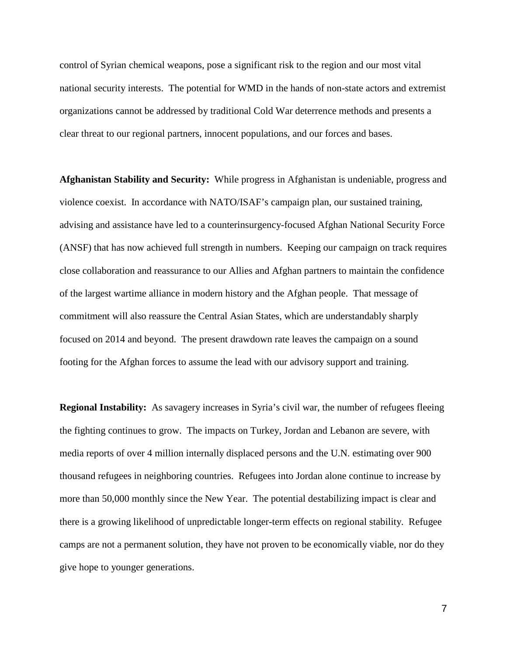control of Syrian chemical weapons, pose a significant risk to the region and our most vital national security interests. The potential for WMD in the hands of non-state actors and extremist organizations cannot be addressed by traditional Cold War deterrence methods and presents a clear threat to our regional partners, innocent populations, and our forces and bases.

**Afghanistan Stability and Security:** While progress in Afghanistan is undeniable, progress and violence coexist. In accordance with NATO/ISAF's campaign plan, our sustained training, advising and assistance have led to a counterinsurgency-focused Afghan National Security Force (ANSF) that has now achieved full strength in numbers. Keeping our campaign on track requires close collaboration and reassurance to our Allies and Afghan partners to maintain the confidence of the largest wartime alliance in modern history and the Afghan people. That message of commitment will also reassure the Central Asian States, which are understandably sharply focused on 2014 and beyond. The present drawdown rate leaves the campaign on a sound footing for the Afghan forces to assume the lead with our advisory support and training.

**Regional Instability:** As savagery increases in Syria's civil war, the number of refugees fleeing the fighting continues to grow. The impacts on Turkey, Jordan and Lebanon are severe, with media reports of over 4 million internally displaced persons and the U.N. estimating over 900 thousand refugees in neighboring countries. Refugees into Jordan alone continue to increase by more than 50,000 monthly since the New Year. The potential destabilizing impact is clear and there is a growing likelihood of unpredictable longer-term effects on regional stability. Refugee camps are not a permanent solution, they have not proven to be economically viable, nor do they give hope to younger generations.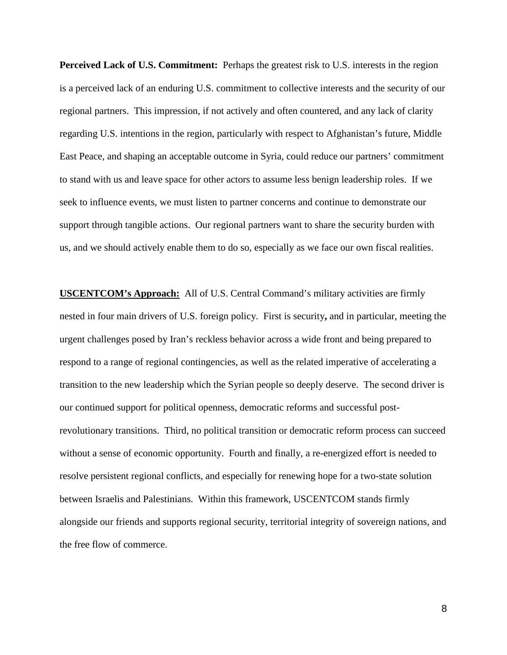**Perceived Lack of U.S. Commitment:** Perhaps the greatest risk to U.S. interests in the region is a perceived lack of an enduring U.S. commitment to collective interests and the security of our regional partners. This impression, if not actively and often countered, and any lack of clarity regarding U.S. intentions in the region, particularly with respect to Afghanistan's future, Middle East Peace, and shaping an acceptable outcome in Syria, could reduce our partners' commitment to stand with us and leave space for other actors to assume less benign leadership roles. If we seek to influence events, we must listen to partner concerns and continue to demonstrate our support through tangible actions. Our regional partners want to share the security burden with us, and we should actively enable them to do so, especially as we face our own fiscal realities.

**USCENTCOM's Approach:** All of U.S. Central Command's military activities are firmly nested in four main drivers of U.S. foreign policy. First is security**,** and in particular, meeting the urgent challenges posed by Iran's reckless behavior across a wide front and being prepared to respond to a range of regional contingencies, as well as the related imperative of accelerating a transition to the new leadership which the Syrian people so deeply deserve. The second driver is our continued support for political openness, democratic reforms and successful postrevolutionary transitions. Third, no political transition or democratic reform process can succeed without a sense of economic opportunity.Fourth and finally, a re-energized effort is needed to resolve persistent regional conflicts, and especially for renewing hope for a two-state solution between Israelis and Palestinians. Within this framework, USCENTCOM stands firmly alongside our friends and supports regional security, territorial integrity of sovereign nations, and the free flow of commerce.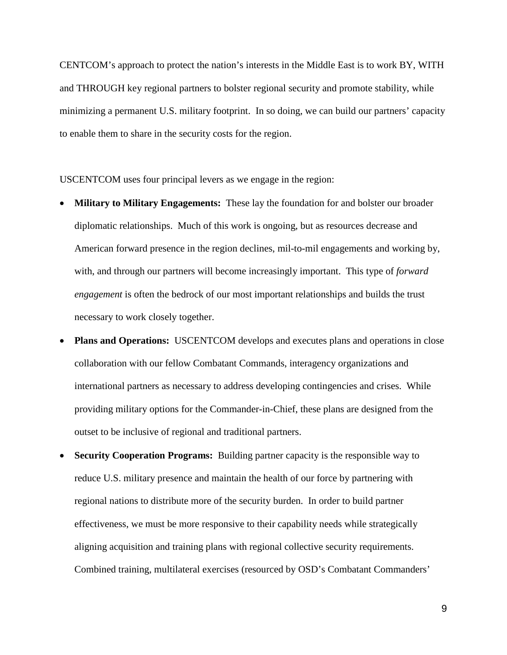CENTCOM's approach to protect the nation's interests in the Middle East is to work BY, WITH and THROUGH key regional partners to bolster regional security and promote stability, while minimizing a permanent U.S. military footprint. In so doing, we can build our partners' capacity to enable them to share in the security costs for the region.

USCENTCOM uses four principal levers as we engage in the region:

- **Military to Military Engagements:** These lay the foundation for and bolster our broader diplomatic relationships. Much of this work is ongoing, but as resources decrease and American forward presence in the region declines, mil-to-mil engagements and working by, with, and through our partners will become increasingly important. This type of *forward engagement* is often the bedrock of our most important relationships and builds the trust necessary to work closely together.
- **Plans and Operations:** USCENTCOM develops and executes plans and operations in close collaboration with our fellow Combatant Commands, interagency organizations and international partners as necessary to address developing contingencies and crises. While providing military options for the Commander-in-Chief, these plans are designed from the outset to be inclusive of regional and traditional partners.
- **Security Cooperation Programs:** Building partner capacity is the responsible way to reduce U.S. military presence and maintain the health of our force by partnering with regional nations to distribute more of the security burden. In order to build partner effectiveness, we must be more responsive to their capability needs while strategically aligning acquisition and training plans with regional collective security requirements. Combined training, multilateral exercises (resourced by OSD's Combatant Commanders'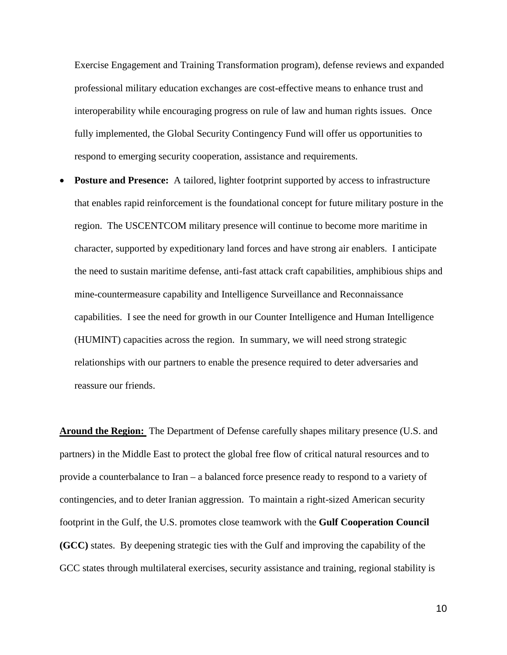Exercise Engagement and Training Transformation program), defense reviews and expanded professional military education exchanges are cost-effective means to enhance trust and interoperability while encouraging progress on rule of law and human rights issues. Once fully implemented, the Global Security Contingency Fund will offer us opportunities to respond to emerging security cooperation, assistance and requirements.

**Posture and Presence:** A tailored, lighter footprint supported by access to infrastructure that enables rapid reinforcement is the foundational concept for future military posture in the region. The USCENTCOM military presence will continue to become more maritime in character, supported by expeditionary land forces and have strong air enablers. I anticipate the need to sustain maritime defense, anti-fast attack craft capabilities, amphibious ships and mine-countermeasure capability and Intelligence Surveillance and Reconnaissance capabilities. I see the need for growth in our Counter Intelligence and Human Intelligence (HUMINT) capacities across the region. In summary, we will need strong strategic relationships with our partners to enable the presence required to deter adversaries and reassure our friends.

**Around the Region:** The Department of Defense carefully shapes military presence (U.S. and partners) in the Middle East to protect the global free flow of critical natural resources and to provide a counterbalance to Iran – a balanced force presence ready to respond to a variety of contingencies, and to deter Iranian aggression. To maintain a right-sized American security footprint in the Gulf, the U.S. promotes close teamwork with the **Gulf Cooperation Council (GCC)** states. By deepening strategic ties with the Gulf and improving the capability of the GCC states through multilateral exercises, security assistance and training, regional stability is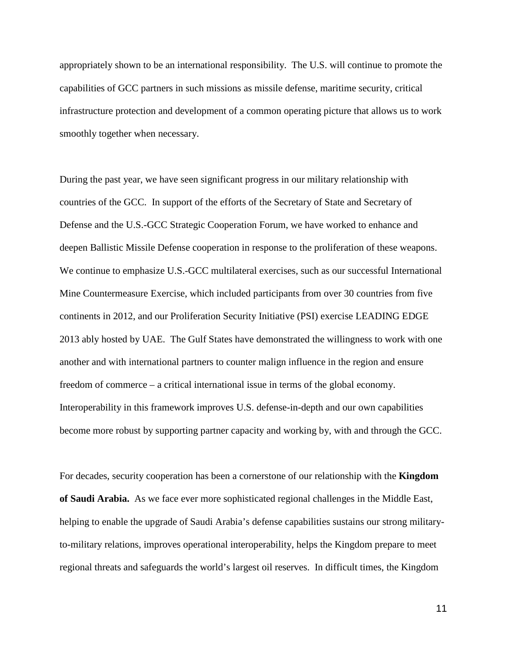appropriately shown to be an international responsibility. The U.S. will continue to promote the capabilities of GCC partners in such missions as missile defense, maritime security, critical infrastructure protection and development of a common operating picture that allows us to work smoothly together when necessary.

During the past year, we have seen significant progress in our military relationship with countries of the GCC. In support of the efforts of the Secretary of State and Secretary of Defense and the U.S.-GCC Strategic Cooperation Forum, we have worked to enhance and deepen Ballistic Missile Defense cooperation in response to the proliferation of these weapons. We continue to emphasize U.S.-GCC multilateral exercises, such as our successful International Mine Countermeasure Exercise, which included participants from over 30 countries from five continents in 2012, and our Proliferation Security Initiative (PSI) exercise LEADING EDGE 2013 ably hosted by UAE. The Gulf States have demonstrated the willingness to work with one another and with international partners to counter malign influence in the region and ensure freedom of commerce – a critical international issue in terms of the global economy. Interoperability in this framework improves U.S. defense-in-depth and our own capabilities become more robust by supporting partner capacity and working by, with and through the GCC.

For decades, security cooperation has been a cornerstone of our relationship with the **Kingdom of Saudi Arabia.** As we face ever more sophisticated regional challenges in the Middle East, helping to enable the upgrade of Saudi Arabia's defense capabilities sustains our strong militaryto-military relations, improves operational interoperability, helps the Kingdom prepare to meet regional threats and safeguards the world's largest oil reserves. In difficult times, the Kingdom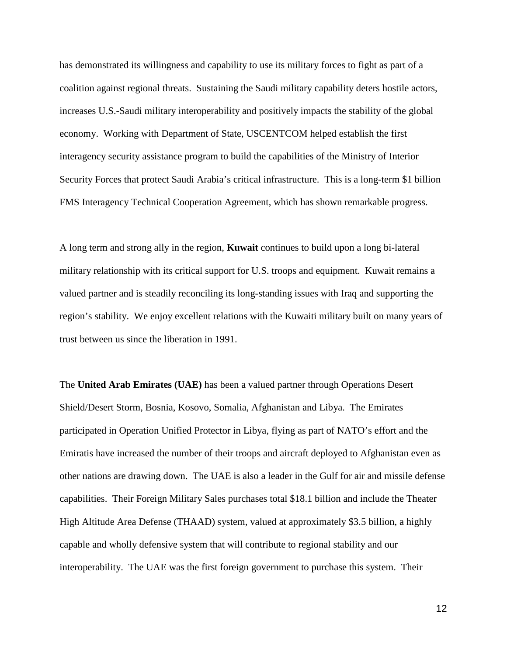has demonstrated its willingness and capability to use its military forces to fight as part of a coalition against regional threats. Sustaining the Saudi military capability deters hostile actors, increases U.S.-Saudi military interoperability and positively impacts the stability of the global economy. Working with Department of State, USCENTCOM helped establish the first interagency security assistance program to build the capabilities of the Ministry of Interior Security Forces that protect Saudi Arabia's critical infrastructure. This is a long-term \$1 billion FMS Interagency Technical Cooperation Agreement, which has shown remarkable progress.

A long term and strong ally in the region, **Kuwait** continues to build upon a long bi-lateral military relationship with its critical support for U.S. troops and equipment. Kuwait remains a valued partner and is steadily reconciling its long-standing issues with Iraq and supporting the region's stability. We enjoy excellent relations with the Kuwaiti military built on many years of trust between us since the liberation in 1991.

The **United Arab Emirates (UAE)** has been a valued partner through Operations Desert Shield/Desert Storm, Bosnia, Kosovo, Somalia, Afghanistan and Libya. The Emirates participated in Operation Unified Protector in Libya, flying as part of NATO's effort and the Emiratis have increased the number of their troops and aircraft deployed to Afghanistan even as other nations are drawing down. The UAE is also a leader in the Gulf for air and missile defense capabilities. Their Foreign Military Sales purchases total \$18.1 billion and include the Theater High Altitude Area Defense (THAAD) system, valued at approximately \$3.5 billion, a highly capable and wholly defensive system that will contribute to regional stability and our interoperability. The UAE was the first foreign government to purchase this system. Their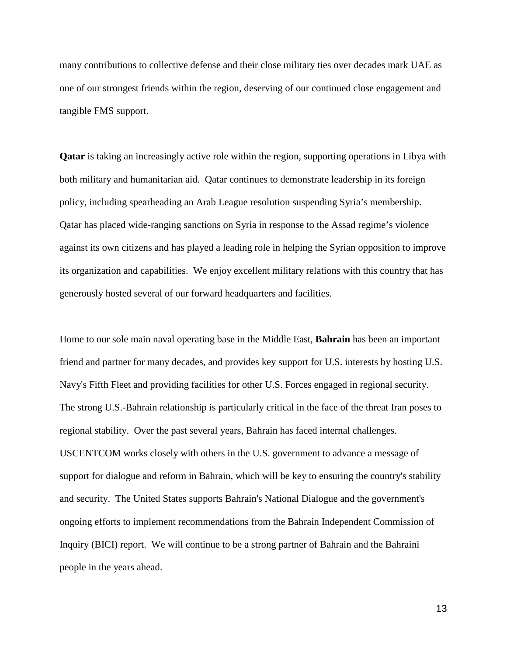many contributions to collective defense and their close military ties over decades mark UAE as one of our strongest friends within the region, deserving of our continued close engagement and tangible FMS support.

**Qatar** is taking an increasingly active role within the region, supporting operations in Libya with both military and humanitarian aid. Qatar continues to demonstrate leadership in its foreign policy, including spearheading an Arab League resolution suspending Syria's membership. Qatar has placed wide-ranging sanctions on Syria in response to the Assad regime's violence against its own citizens and has played a leading role in helping the Syrian opposition to improve its organization and capabilities. We enjoy excellent military relations with this country that has generously hosted several of our forward headquarters and facilities.

Home to our sole main naval operating base in the Middle East, **Bahrain** has been an important friend and partner for many decades, and provides key support for U.S. interests by hosting U.S. Navy's Fifth Fleet and providing facilities for other U.S. Forces engaged in regional security. The strong U.S.-Bahrain relationship is particularly critical in the face of the threat Iran poses to regional stability. Over the past several years, Bahrain has faced internal challenges. USCENTCOM works closely with others in the U.S. government to advance a message of support for dialogue and reform in Bahrain, which will be key to ensuring the country's stability and security. The United States supports Bahrain's National Dialogue and the government's ongoing efforts to implement recommendations from the Bahrain Independent Commission of Inquiry (BICI) report. We will continue to be a strong partner of Bahrain and the Bahraini people in the years ahead.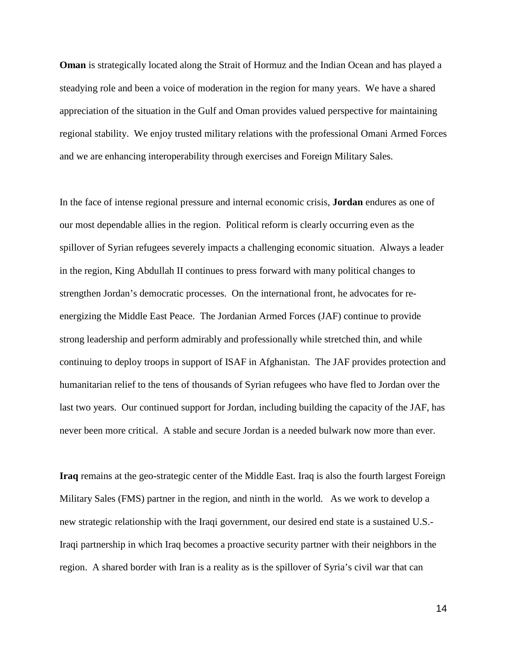**Oman** is strategically located along the Strait of Hormuz and the Indian Ocean and has played a steadying role and been a voice of moderation in the region for many years. We have a shared appreciation of the situation in the Gulf and Oman provides valued perspective for maintaining regional stability. We enjoy trusted military relations with the professional Omani Armed Forces and we are enhancing interoperability through exercises and Foreign Military Sales.

In the face of intense regional pressure and internal economic crisis, **Jordan** endures as one of our most dependable allies in the region. Political reform is clearly occurring even as the spillover of Syrian refugees severely impacts a challenging economic situation. Always a leader in the region, King Abdullah II continues to press forward with many political changes to strengthen Jordan's democratic processes. On the international front, he advocates for reenergizing the Middle East Peace. The Jordanian Armed Forces (JAF) continue to provide strong leadership and perform admirably and professionally while stretched thin, and while continuing to deploy troops in support of ISAF in Afghanistan. The JAF provides protection and humanitarian relief to the tens of thousands of Syrian refugees who have fled to Jordan over the last two years. Our continued support for Jordan, including building the capacity of the JAF, has never been more critical. A stable and secure Jordan is a needed bulwark now more than ever.

**Iraq** remains at the geo-strategic center of the Middle East. Iraq is also the fourth largest Foreign Military Sales (FMS) partner in the region, and ninth in the world. As we work to develop a new strategic relationship with the Iraqi government, our desired end state is a sustained U.S.- Iraqi partnership in which Iraq becomes a proactive security partner with their neighbors in the region. A shared border with Iran is a reality as is the spillover of Syria's civil war that can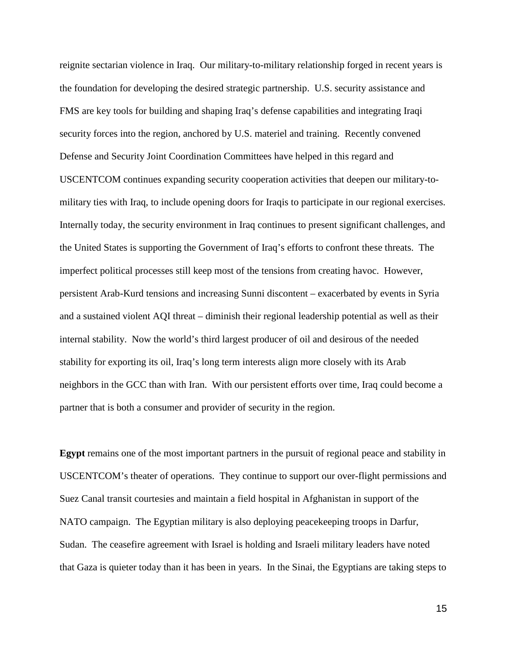reignite sectarian violence in Iraq. Our military-to-military relationship forged in recent years is the foundation for developing the desired strategic partnership. U.S. security assistance and FMS are key tools for building and shaping Iraq's defense capabilities and integrating Iraqi security forces into the region, anchored by U.S. materiel and training. Recently convened Defense and Security Joint Coordination Committees have helped in this regard and USCENTCOM continues expanding security cooperation activities that deepen our military-tomilitary ties with Iraq, to include opening doors for Iraqis to participate in our regional exercises. Internally today, the security environment in Iraq continues to present significant challenges, and the United States is supporting the Government of Iraq's efforts to confront these threats. The imperfect political processes still keep most of the tensions from creating havoc. However, persistent Arab-Kurd tensions and increasing Sunni discontent – exacerbated by events in Syria and a sustained violent AQI threat – diminish their regional leadership potential as well as their internal stability. Now the world's third largest producer of oil and desirous of the needed stability for exporting its oil, Iraq's long term interests align more closely with its Arab neighbors in the GCC than with Iran. With our persistent efforts over time, Iraq could become a partner that is both a consumer and provider of security in the region.

**Egypt** remains one of the most important partners in the pursuit of regional peace and stability in USCENTCOM's theater of operations. They continue to support our over-flight permissions and Suez Canal transit courtesies and maintain a field hospital in Afghanistan in support of the NATO campaign. The Egyptian military is also deploying peacekeeping troops in Darfur, Sudan. The ceasefire agreement with Israel is holding and Israeli military leaders have noted that Gaza is quieter today than it has been in years. In the Sinai, the Egyptians are taking steps to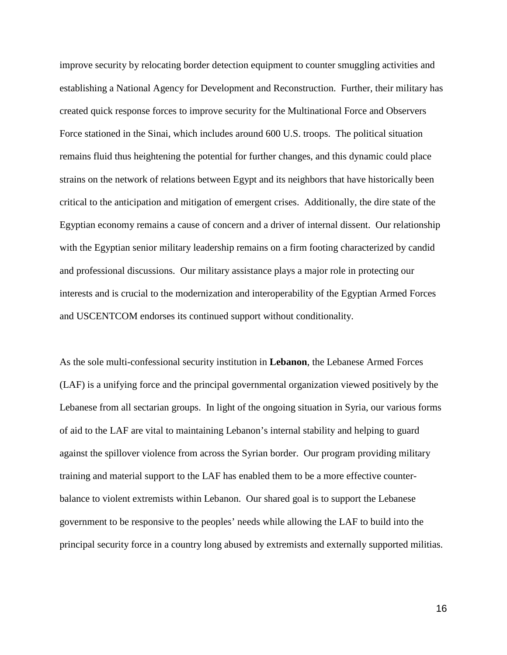improve security by relocating border detection equipment to counter smuggling activities and establishing a National Agency for Development and Reconstruction. Further, their military has created quick response forces to improve security for the Multinational Force and Observers Force stationed in the Sinai, which includes around 600 U.S. troops. The political situation remains fluid thus heightening the potential for further changes, and this dynamic could place strains on the network of relations between Egypt and its neighbors that have historically been critical to the anticipation and mitigation of emergent crises. Additionally, the dire state of the Egyptian economy remains a cause of concern and a driver of internal dissent. Our relationship with the Egyptian senior military leadership remains on a firm footing characterized by candid and professional discussions. Our military assistance plays a major role in protecting our interests and is crucial to the modernization and interoperability of the Egyptian Armed Forces and USCENTCOM endorses its continued support without conditionality.

As the sole multi-confessional security institution in **Lebanon**, the Lebanese Armed Forces (LAF) is a unifying force and the principal governmental organization viewed positively by the Lebanese from all sectarian groups. In light of the ongoing situation in Syria, our various forms of aid to the LAF are vital to maintaining Lebanon's internal stability and helping to guard against the spillover violence from across the Syrian border. Our program providing military training and material support to the LAF has enabled them to be a more effective counterbalance to violent extremists within Lebanon. Our shared goal is to support the Lebanese government to be responsive to the peoples' needs while allowing the LAF to build into the principal security force in a country long abused by extremists and externally supported militias.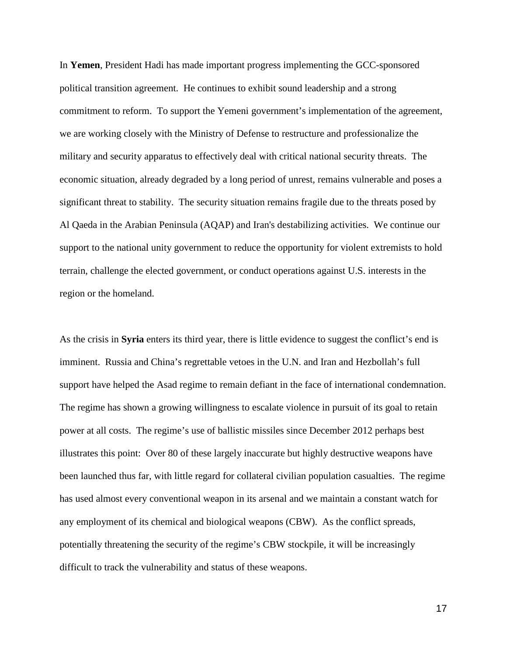In **Yemen**, President Hadi has made important progress implementing the GCC-sponsored political transition agreement. He continues to exhibit sound leadership and a strong commitment to reform. To support the Yemeni government's implementation of the agreement, we are working closely with the Ministry of Defense to restructure and professionalize the military and security apparatus to effectively deal with critical national security threats. The economic situation, already degraded by a long period of unrest, remains vulnerable and poses a significant threat to stability. The security situation remains fragile due to the threats posed by Al Qaeda in the Arabian Peninsula (AQAP) and Iran's destabilizing activities. We continue our support to the national unity government to reduce the opportunity for violent extremists to hold terrain, challenge the elected government, or conduct operations against U.S. interests in the region or the homeland.

As the crisis in **Syria** enters its third year, there is little evidence to suggest the conflict's end is imminent. Russia and China's regrettable vetoes in the U.N. and Iran and Hezbollah's full support have helped the Asad regime to remain defiant in the face of international condemnation. The regime has shown a growing willingness to escalate violence in pursuit of its goal to retain power at all costs. The regime's use of ballistic missiles since December 2012 perhaps best illustrates this point: Over 80 of these largely inaccurate but highly destructive weapons have been launched thus far, with little regard for collateral civilian population casualties. The regime has used almost every conventional weapon in its arsenal and we maintain a constant watch for any employment of its chemical and biological weapons (CBW). As the conflict spreads, potentially threatening the security of the regime's CBW stockpile, it will be increasingly difficult to track the vulnerability and status of these weapons.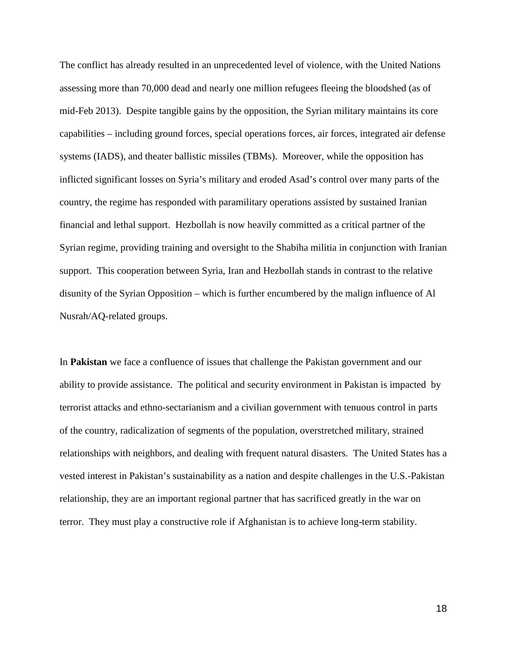The conflict has already resulted in an unprecedented level of violence, with the United Nations assessing more than 70,000 dead and nearly one million refugees fleeing the bloodshed (as of mid-Feb 2013). Despite tangible gains by the opposition, the Syrian military maintains its core capabilities – including ground forces, special operations forces, air forces, integrated air defense systems (IADS), and theater ballistic missiles (TBMs). Moreover, while the opposition has inflicted significant losses on Syria's military and eroded Asad's control over many parts of the country, the regime has responded with paramilitary operations assisted by sustained Iranian financial and lethal support. Hezbollah is now heavily committed as a critical partner of the Syrian regime, providing training and oversight to the Shabiha militia in conjunction with Iranian support. This cooperation between Syria, Iran and Hezbollah stands in contrast to the relative disunity of the Syrian Opposition – which is further encumbered by the malign influence of Al Nusrah/AQ-related groups.

In **Pakistan** we face a confluence of issues that challenge the Pakistan government and our ability to provide assistance. The political and security environment in Pakistan is impacted by terrorist attacks and ethno-sectarianism and a civilian government with tenuous control in parts of the country, radicalization of segments of the population, overstretched military, strained relationships with neighbors, and dealing with frequent natural disasters. The United States has a vested interest in Pakistan's sustainability as a nation and despite challenges in the U.S.-Pakistan relationship, they are an important regional partner that has sacrificed greatly in the war on terror. They must play a constructive role if Afghanistan is to achieve long-term stability.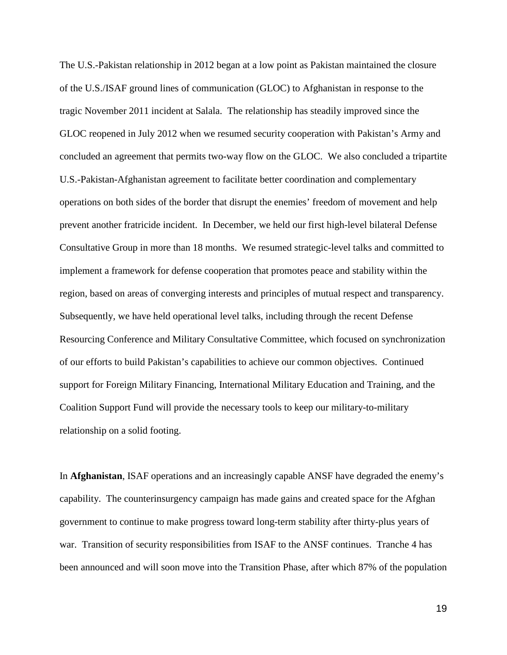The U.S.-Pakistan relationship in 2012 began at a low point as Pakistan maintained the closure of the U.S./ISAF ground lines of communication (GLOC) to Afghanistan in response to the tragic November 2011 incident at Salala. The relationship has steadily improved since the GLOC reopened in July 2012 when we resumed security cooperation with Pakistan's Army and concluded an agreement that permits two-way flow on the GLOC. We also concluded a tripartite U.S.-Pakistan-Afghanistan agreement to facilitate better coordination and complementary operations on both sides of the border that disrupt the enemies' freedom of movement and help prevent another fratricide incident. In December, we held our first high-level bilateral Defense Consultative Group in more than 18 months. We resumed strategic-level talks and committed to implement a framework for defense cooperation that promotes peace and stability within the region, based on areas of converging interests and principles of mutual respect and transparency. Subsequently, we have held operational level talks, including through the recent Defense Resourcing Conference and Military Consultative Committee, which focused on synchronization of our efforts to build Pakistan's capabilities to achieve our common objectives. Continued support for Foreign Military Financing, International Military Education and Training, and the Coalition Support Fund will provide the necessary tools to keep our military-to-military relationship on a solid footing.

In **Afghanistan**, ISAF operations and an increasingly capable ANSF have degraded the enemy's capability. The counterinsurgency campaign has made gains and created space for the Afghan government to continue to make progress toward long-term stability after thirty-plus years of war. Transition of security responsibilities from ISAF to the ANSF continues. Tranche 4 has been announced and will soon move into the Transition Phase, after which 87% of the population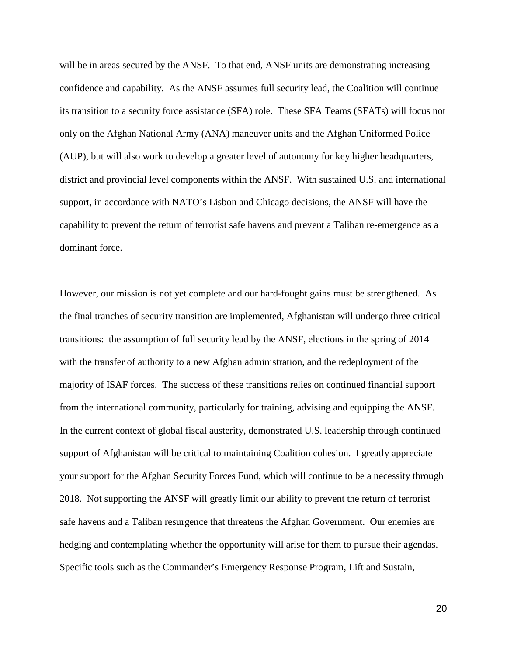will be in areas secured by the ANSF. To that end, ANSF units are demonstrating increasing confidence and capability. As the ANSF assumes full security lead, the Coalition will continue its transition to a security force assistance (SFA) role. These SFA Teams (SFATs) will focus not only on the Afghan National Army (ANA) maneuver units and the Afghan Uniformed Police (AUP), but will also work to develop a greater level of autonomy for key higher headquarters, district and provincial level components within the ANSF. With sustained U.S. and international support, in accordance with NATO's Lisbon and Chicago decisions, the ANSF will have the capability to prevent the return of terrorist safe havens and prevent a Taliban re-emergence as a dominant force.

However, our mission is not yet complete and our hard-fought gains must be strengthened. As the final tranches of security transition are implemented, Afghanistan will undergo three critical transitions: the assumption of full security lead by the ANSF, elections in the spring of 2014 with the transfer of authority to a new Afghan administration, and the redeployment of the majority of ISAF forces. The success of these transitions relies on continued financial support from the international community, particularly for training, advising and equipping the ANSF. In the current context of global fiscal austerity, demonstrated U.S. leadership through continued support of Afghanistan will be critical to maintaining Coalition cohesion. I greatly appreciate your support for the Afghan Security Forces Fund, which will continue to be a necessity through 2018. Not supporting the ANSF will greatly limit our ability to prevent the return of terrorist safe havens and a Taliban resurgence that threatens the Afghan Government. Our enemies are hedging and contemplating whether the opportunity will arise for them to pursue their agendas. Specific tools such as the Commander's Emergency Response Program, Lift and Sustain,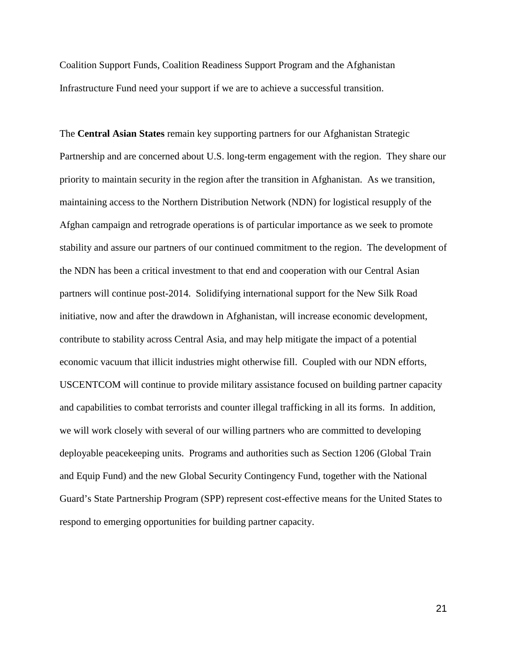Coalition Support Funds, Coalition Readiness Support Program and the Afghanistan Infrastructure Fund need your support if we are to achieve a successful transition.

The **Central Asian States** remain key supporting partners for our Afghanistan Strategic Partnership and are concerned about U.S. long-term engagement with the region. They share our priority to maintain security in the region after the transition in Afghanistan. As we transition, maintaining access to the Northern Distribution Network (NDN) for logistical resupply of the Afghan campaign and retrograde operations is of particular importance as we seek to promote stability and assure our partners of our continued commitment to the region. The development of the NDN has been a critical investment to that end and cooperation with our Central Asian partners will continue post-2014. Solidifying international support for the New Silk Road initiative, now and after the drawdown in Afghanistan, will increase economic development, contribute to stability across Central Asia, and may help mitigate the impact of a potential economic vacuum that illicit industries might otherwise fill. Coupled with our NDN efforts, USCENTCOM will continue to provide military assistance focused on building partner capacity and capabilities to combat terrorists and counter illegal trafficking in all its forms. In addition, we will work closely with several of our willing partners who are committed to developing deployable peacekeeping units. Programs and authorities such as Section 1206 (Global Train and Equip Fund) and the new Global Security Contingency Fund, together with the National Guard's State Partnership Program (SPP) represent cost-effective means for the United States to respond to emerging opportunities for building partner capacity.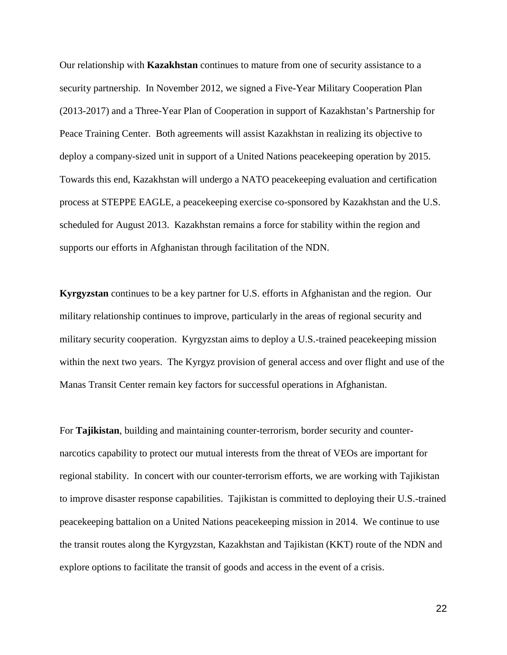Our relationship with **Kazakhstan** continues to mature from one of security assistance to a security partnership. In November 2012, we signed a Five-Year Military Cooperation Plan (2013-2017) and a Three-Year Plan of Cooperation in support of Kazakhstan's Partnership for Peace Training Center. Both agreements will assist Kazakhstan in realizing its objective to deploy a company-sized unit in support of a United Nations peacekeeping operation by 2015. Towards this end, Kazakhstan will undergo a NATO peacekeeping evaluation and certification process at STEPPE EAGLE, a peacekeeping exercise co-sponsored by Kazakhstan and the U.S. scheduled for August 2013. Kazakhstan remains a force for stability within the region and supports our efforts in Afghanistan through facilitation of the NDN.

**Kyrgyzstan** continues to be a key partner for U.S. efforts in Afghanistan and the region. Our military relationship continues to improve, particularly in the areas of regional security and military security cooperation. Kyrgyzstan aims to deploy a U.S.-trained peacekeeping mission within the next two years. The Kyrgyz provision of general access and over flight and use of the Manas Transit Center remain key factors for successful operations in Afghanistan.

For **Tajikistan**, building and maintaining counter-terrorism, border security and counternarcotics capability to protect our mutual interests from the threat of VEOs are important for regional stability. In concert with our counter-terrorism efforts, we are working with Tajikistan to improve disaster response capabilities. Tajikistan is committed to deploying their U.S.-trained peacekeeping battalion on a United Nations peacekeeping mission in 2014. We continue to use the transit routes along the Kyrgyzstan, Kazakhstan and Tajikistan (KKT) route of the NDN and explore options to facilitate the transit of goods and access in the event of a crisis.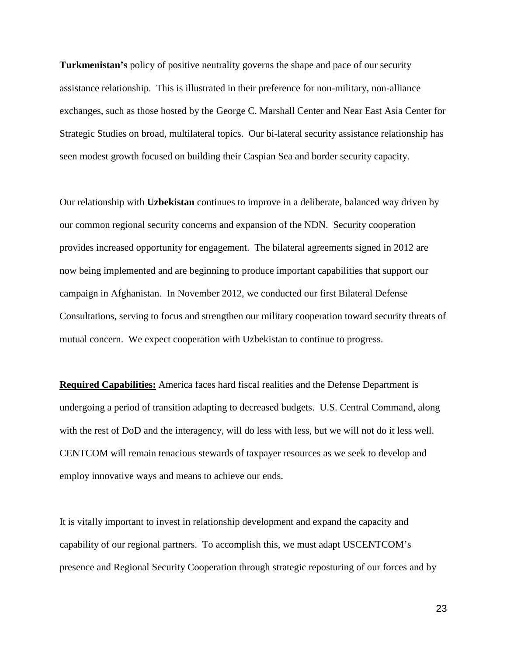**Turkmenistan's** policy of positive neutrality governs the shape and pace of our security assistance relationship. This is illustrated in their preference for non-military, non-alliance exchanges, such as those hosted by the George C. Marshall Center and Near East Asia Center for Strategic Studies on broad, multilateral topics. Our bi-lateral security assistance relationship has seen modest growth focused on building their Caspian Sea and border security capacity.

Our relationship with **Uzbekistan** continues to improve in a deliberate, balanced way driven by our common regional security concerns and expansion of the NDN. Security cooperation provides increased opportunity for engagement. The bilateral agreements signed in 2012 are now being implemented and are beginning to produce important capabilities that support our campaign in Afghanistan. In November 2012, we conducted our first Bilateral Defense Consultations, serving to focus and strengthen our military cooperation toward security threats of mutual concern. We expect cooperation with Uzbekistan to continue to progress.

**Required Capabilities:** America faces hard fiscal realities and the Defense Department is undergoing a period of transition adapting to decreased budgets. U.S. Central Command, along with the rest of DoD and the interagency, will do less with less, but we will not do it less well. CENTCOM will remain tenacious stewards of taxpayer resources as we seek to develop and employ innovative ways and means to achieve our ends.

It is vitally important to invest in relationship development and expand the capacity and capability of our regional partners. To accomplish this, we must adapt USCENTCOM's presence and Regional Security Cooperation through strategic reposturing of our forces and by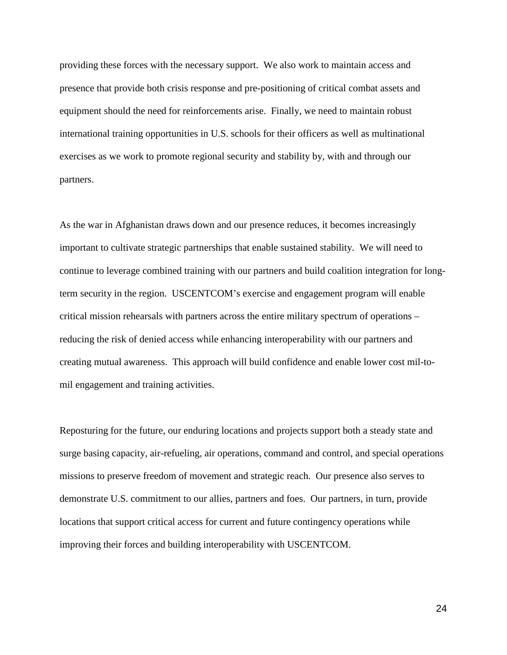providing these forces with the necessary support. We also work to maintain access and presence that provide both crisis response and pre-positioning of critical combat assets and equipment should the need for reinforcements arise. Finally, we need to maintain robust international training opportunities in U.S. schools for their officers as well as multinational exercises as we work to promote regional security and stability by, with and through our partners.

As the war in Afghanistan draws down and our presence reduces, it becomes increasingly important to cultivate strategic partnerships that enable sustained stability. We will need to continue to leverage combined training with our partners and build coalition integration for longterm security in the region. USCENTCOM's exercise and engagement program will enable critical mission rehearsals with partners across the entire military spectrum of operations – reducing the risk of denied access while enhancing interoperability with our partners and creating mutual awareness. This approach will build confidence and enable lower cost mil-tomil engagement and training activities.

Reposturing for the future, our enduring locations and projects support both a steady state and surge basing capacity, air-refueling, air operations, command and control, and special operations missions to preserve freedom of movement and strategic reach. Our presence also serves to demonstrate U.S. commitment to our allies, partners and foes. Our partners, in turn, provide locations that support critical access for current and future contingency operations while improving their forces and building interoperability with USCENTCOM.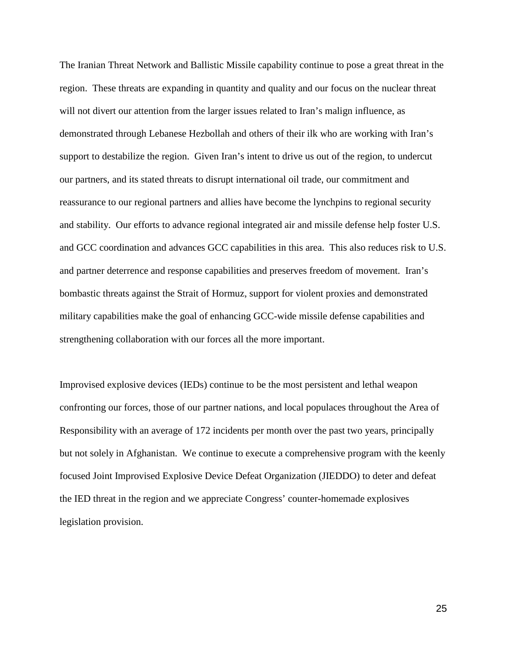The Iranian Threat Network and Ballistic Missile capability continue to pose a great threat in the region. These threats are expanding in quantity and quality and our focus on the nuclear threat will not divert our attention from the larger issues related to Iran's malign influence, as demonstrated through Lebanese Hezbollah and others of their ilk who are working with Iran's support to destabilize the region. Given Iran's intent to drive us out of the region, to undercut our partners, and its stated threats to disrupt international oil trade, our commitment and reassurance to our regional partners and allies have become the lynchpins to regional security and stability. Our efforts to advance regional integrated air and missile defense help foster U.S. and GCC coordination and advances GCC capabilities in this area. This also reduces risk to U.S. and partner deterrence and response capabilities and preserves freedom of movement. Iran's bombastic threats against the Strait of Hormuz, support for violent proxies and demonstrated military capabilities make the goal of enhancing GCC-wide missile defense capabilities and strengthening collaboration with our forces all the more important.

Improvised explosive devices (IEDs) continue to be the most persistent and lethal weapon confronting our forces, those of our partner nations, and local populaces throughout the Area of Responsibility with an average of 172 incidents per month over the past two years, principally but not solely in Afghanistan. We continue to execute a comprehensive program with the keenly focused Joint Improvised Explosive Device Defeat Organization (JIEDDO) to deter and defeat the IED threat in the region and we appreciate Congress' counter-homemade explosives legislation provision.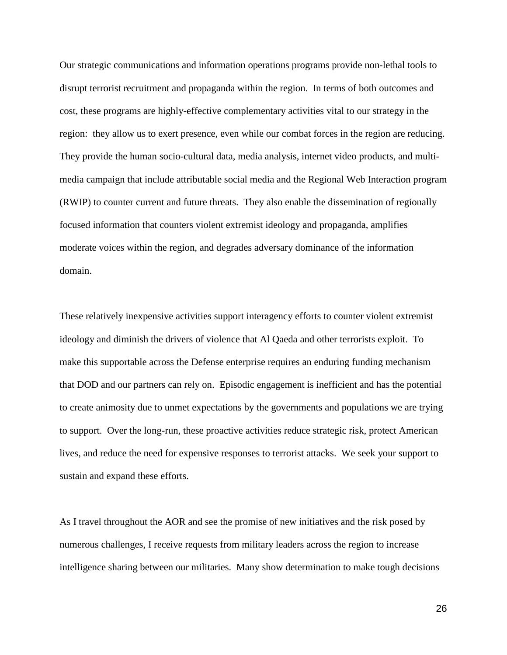Our strategic communications and information operations programs provide non-lethal tools to disrupt terrorist recruitment and propaganda within the region. In terms of both outcomes and cost, these programs are highly-effective complementary activities vital to our strategy in the region: they allow us to exert presence, even while our combat forces in the region are reducing. They provide the human socio-cultural data, media analysis, internet video products, and multimedia campaign that include attributable social media and the Regional Web Interaction program (RWIP) to counter current and future threats. They also enable the dissemination of regionally focused information that counters violent extremist ideology and propaganda, amplifies moderate voices within the region, and degrades adversary dominance of the information domain.

These relatively inexpensive activities support interagency efforts to counter violent extremist ideology and diminish the drivers of violence that Al Qaeda and other terrorists exploit. To make this supportable across the Defense enterprise requires an enduring funding mechanism that DOD and our partners can rely on. Episodic engagement is inefficient and has the potential to create animosity due to unmet expectations by the governments and populations we are trying to support. Over the long-run, these proactive activities reduce strategic risk, protect American lives, and reduce the need for expensive responses to terrorist attacks. We seek your support to sustain and expand these efforts.

As I travel throughout the AOR and see the promise of new initiatives and the risk posed by numerous challenges, I receive requests from military leaders across the region to increase intelligence sharing between our militaries. Many show determination to make tough decisions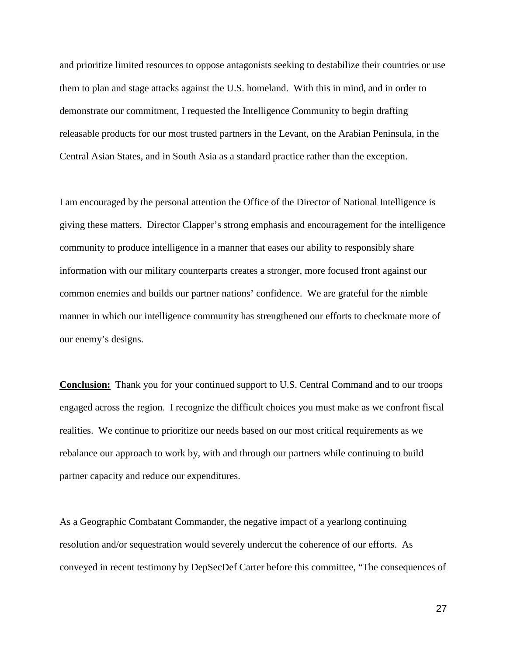and prioritize limited resources to oppose antagonists seeking to destabilize their countries or use them to plan and stage attacks against the U.S. homeland. With this in mind, and in order to demonstrate our commitment, I requested the Intelligence Community to begin drafting releasable products for our most trusted partners in the Levant, on the Arabian Peninsula, in the Central Asian States, and in South Asia as a standard practice rather than the exception.

I am encouraged by the personal attention the Office of the Director of National Intelligence is giving these matters. Director Clapper's strong emphasis and encouragement for the intelligence community to produce intelligence in a manner that eases our ability to responsibly share information with our military counterparts creates a stronger, more focused front against our common enemies and builds our partner nations' confidence. We are grateful for the nimble manner in which our intelligence community has strengthened our efforts to checkmate more of our enemy's designs.

**Conclusion:** Thank you for your continued support to U.S. Central Command and to our troops engaged across the region. I recognize the difficult choices you must make as we confront fiscal realities. We continue to prioritize our needs based on our most critical requirements as we rebalance our approach to work by, with and through our partners while continuing to build partner capacity and reduce our expenditures.

As a Geographic Combatant Commander, the negative impact of a yearlong continuing resolution and/or sequestration would severely undercut the coherence of our efforts. As conveyed in recent testimony by DepSecDef Carter before this committee, "The consequences of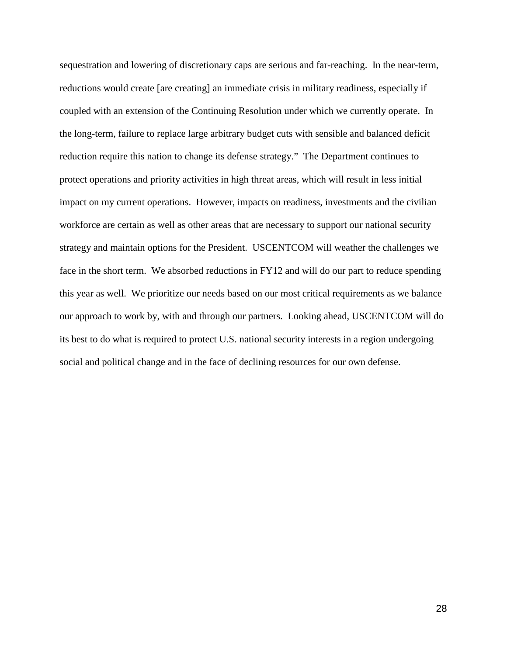sequestration and lowering of discretionary caps are serious and far-reaching. In the near-term, reductions would create [are creating] an immediate crisis in military readiness, especially if coupled with an extension of the Continuing Resolution under which we currently operate. In the long-term, failure to replace large arbitrary budget cuts with sensible and balanced deficit reduction require this nation to change its defense strategy." The Department continues to protect operations and priority activities in high threat areas, which will result in less initial impact on my current operations. However, impacts on readiness, investments and the civilian workforce are certain as well as other areas that are necessary to support our national security strategy and maintain options for the President. USCENTCOM will weather the challenges we face in the short term. We absorbed reductions in FY12 and will do our part to reduce spending this year as well. We prioritize our needs based on our most critical requirements as we balance our approach to work by, with and through our partners. Looking ahead, USCENTCOM will do its best to do what is required to protect U.S. national security interests in a region undergoing social and political change and in the face of declining resources for our own defense.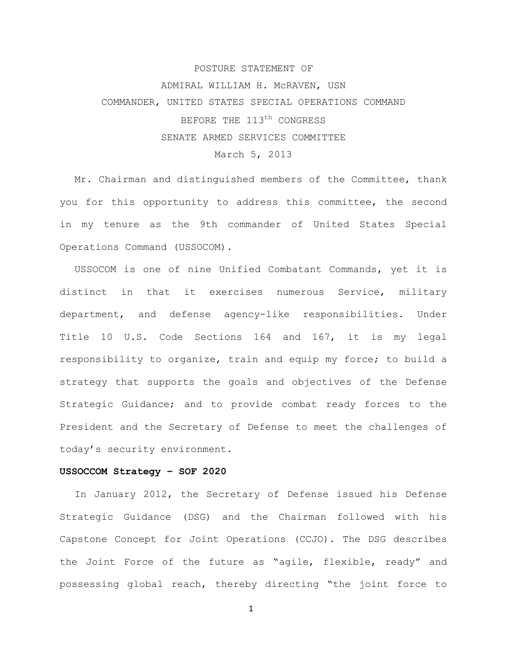# POSTURE STATEMENT OF ADMIRAL WILLIAM H. McRAVEN, USN COMMANDER, UNITED STATES SPECIAL OPERATIONS COMMAND BEFORE THE 113<sup>th</sup> CONGRESS SENATE ARMED SERVICES COMMITTEE March 5, 2013

Mr. Chairman and distinguished members of the Committee, thank you for this opportunity to address this committee, the second in my tenure as the 9th commander of United States Special Operations Command (USSOCOM).

USSOCOM is one of nine Unified Combatant Commands, yet it is distinct in that it exercises numerous Service, military department, and defense agency-like responsibilities. Under Title 10 U.S. Code Sections 164 and 167, it is my legal responsibility to organize, train and equip my force; to build a strategy that supports the goals and objectives of the Defense Strategic Guidance; and to provide combat ready forces to the President and the Secretary of Defense to meet the challenges of today's security environment.

### **USSOCCOM Strategy – SOF 2020**

In January 2012, the Secretary of Defense issued his Defense Strategic Guidance (DSG) and the Chairman followed with his Capstone Concept for Joint Operations (CCJO). The DSG describes the Joint Force of the future as "agile, flexible, ready" and possessing global reach, thereby directing "the joint force to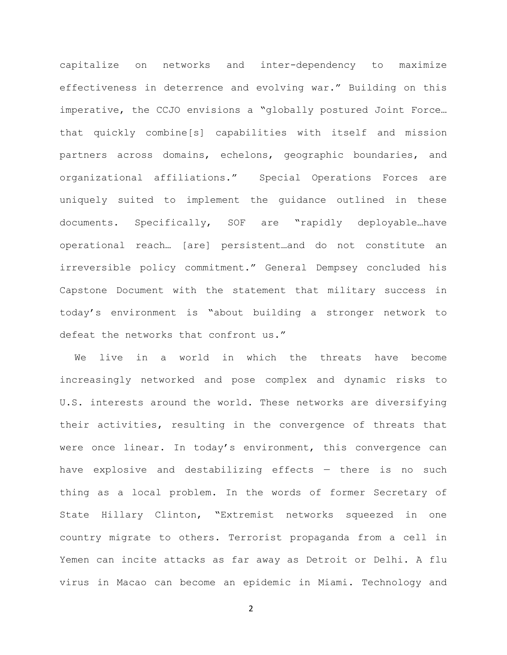capitalize on networks and inter-dependency to maximize effectiveness in deterrence and evolving war." Building on this imperative, the CCJO envisions a "globally postured Joint Force… that quickly combine[s] capabilities with itself and mission partners across domains, echelons, geographic boundaries, and organizational affiliations." Special Operations Forces are uniquely suited to implement the guidance outlined in these documents. Specifically, SOF are "rapidly deployable…have operational reach… [are] persistent…and do not constitute an irreversible policy commitment." General Dempsey concluded his Capstone Document with the statement that military success in today's environment is "about building a stronger network to defeat the networks that confront us."

We live in a world in which the threats have become increasingly networked and pose complex and dynamic risks to U.S. interests around the world. These networks are diversifying their activities, resulting in the convergence of threats that were once linear. In today's environment, this convergence can have explosive and destabilizing effects  $-$  there is no such thing as a local problem. In the words of former Secretary of State Hillary Clinton, "Extremist networks squeezed in one country migrate to others. Terrorist propaganda from a cell in Yemen can incite attacks as far away as Detroit or Delhi. A flu virus in Macao can become an epidemic in Miami. Technology and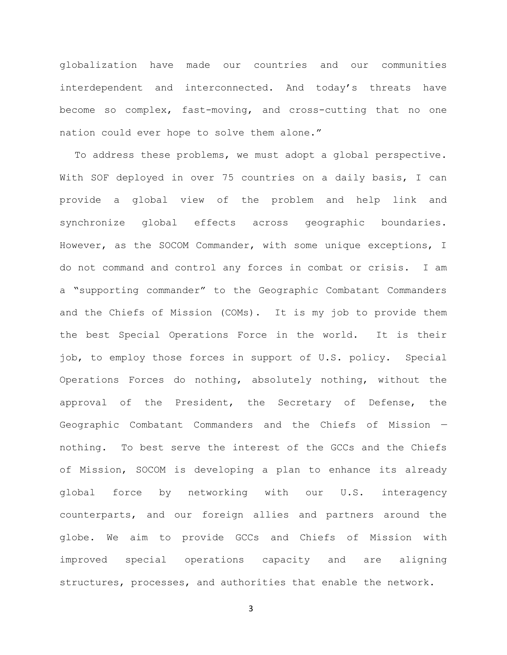globalization have made our countries and our communities interdependent and interconnected. And today's threats have become so complex, fast-moving, and cross-cutting that no one nation could ever hope to solve them alone."

To address these problems, we must adopt a global perspective. With SOF deployed in over 75 countries on a daily basis, I can provide a global view of the problem and help link and synchronize global effects across geographic boundaries. However, as the SOCOM Commander, with some unique exceptions, I do not command and control any forces in combat or crisis. I am a "supporting commander" to the Geographic Combatant Commanders and the Chiefs of Mission (COMs). It is my job to provide them the best Special Operations Force in the world. It is their job, to employ those forces in support of U.S. policy. Special Operations Forces do nothing, absolutely nothing, without the approval of the President, the Secretary of Defense, the Geographic Combatant Commanders and the Chiefs of Mission nothing. To best serve the interest of the GCCs and the Chiefs of Mission, SOCOM is developing a plan to enhance its already global force by networking with our U.S. interagency counterparts, and our foreign allies and partners around the globe. We aim to provide GCCs and Chiefs of Mission with improved special operations capacity and are aligning structures, processes, and authorities that enable the network.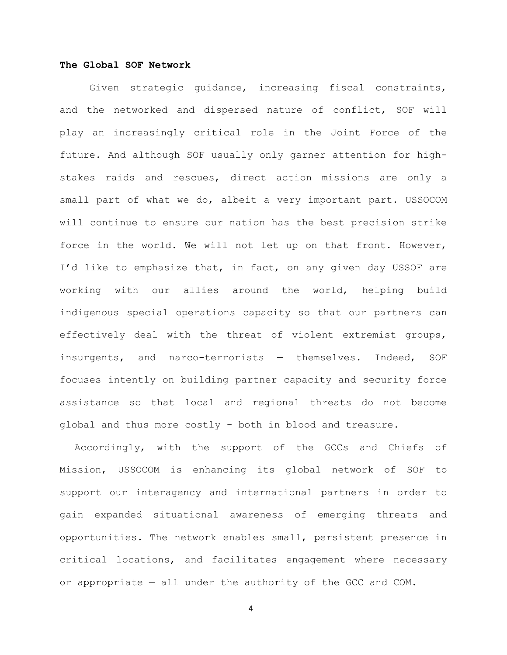## **The Global SOF Network**

 Given strategic guidance, increasing fiscal constraints, and the networked and dispersed nature of conflict, SOF will play an increasingly critical role in the Joint Force of the future. And although SOF usually only garner attention for highstakes raids and rescues, direct action missions are only a small part of what we do, albeit a very important part. USSOCOM will continue to ensure our nation has the best precision strike force in the world. We will not let up on that front. However, I'd like to emphasize that, in fact, on any given day USSOF are working with our allies around the world, helping build indigenous special operations capacity so that our partners can effectively deal with the threat of violent extremist groups, insurgents, and narco-terrorists — themselves. Indeed, SOF focuses intently on building partner capacity and security force assistance so that local and regional threats do not become global and thus more costly - both in blood and treasure.

 Accordingly, with the support of the GCCs and Chiefs of Mission, USSOCOM is enhancing its global network of SOF to support our interagency and international partners in order to gain expanded situational awareness of emerging threats and opportunities. The network enables small, persistent presence in critical locations, and facilitates engagement where necessary or appropriate — all under the authority of the GCC and COM.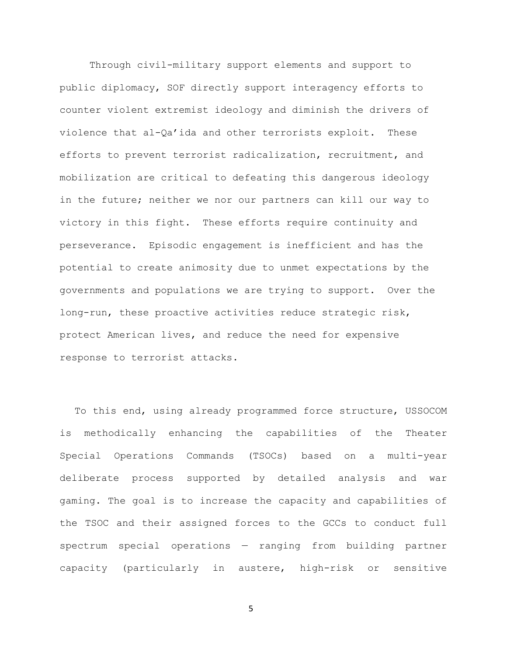Through civil-military support elements and support to public diplomacy, SOF directly support interagency efforts to counter violent extremist ideology and diminish the drivers of violence that al-Qa'ida and other terrorists exploit. These efforts to prevent terrorist radicalization, recruitment, and mobilization are critical to defeating this dangerous ideology in the future; neither we nor our partners can kill our way to victory in this fight. These efforts require continuity and perseverance. Episodic engagement is inefficient and has the potential to create animosity due to unmet expectations by the governments and populations we are trying to support. Over the long-run, these proactive activities reduce strategic risk, protect American lives, and reduce the need for expensive response to terrorist attacks.

 To this end, using already programmed force structure, USSOCOM is methodically enhancing the capabilities of the Theater Special Operations Commands (TSOCs) based on a multi-year deliberate process supported by detailed analysis and war gaming. The goal is to increase the capacity and capabilities of the TSOC and their assigned forces to the GCCs to conduct full spectrum special operations — ranging from building partner capacity (particularly in austere, high-risk or sensitive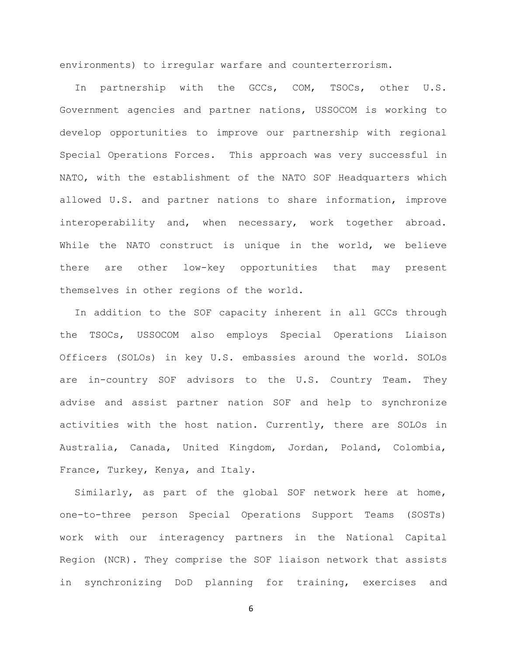environments) to irregular warfare and counterterrorism.

 In partnership with the GCCs, COM, TSOCs, other U.S. Government agencies and partner nations, USSOCOM is working to develop opportunities to improve our partnership with regional Special Operations Forces. This approach was very successful in NATO, with the establishment of the NATO SOF Headquarters which allowed U.S. and partner nations to share information, improve interoperability and, when necessary, work together abroad. While the NATO construct is unique in the world, we believe there are other low-key opportunities that may present themselves in other regions of the world.

In addition to the SOF capacity inherent in all GCCs through the TSOCs, USSOCOM also employs Special Operations Liaison Officers (SOLOs) in key U.S. embassies around the world. SOLOs are in-country SOF advisors to the U.S. Country Team. They advise and assist partner nation SOF and help to synchronize activities with the host nation. Currently, there are SOLOs in Australia, Canada, United Kingdom, Jordan, Poland, Colombia, France, Turkey, Kenya, and Italy.

Similarly, as part of the global SOF network here at home, one-to-three person Special Operations Support Teams (SOSTs) work with our interagency partners in the National Capital Region (NCR). They comprise the SOF liaison network that assists in synchronizing DoD planning for training, exercises and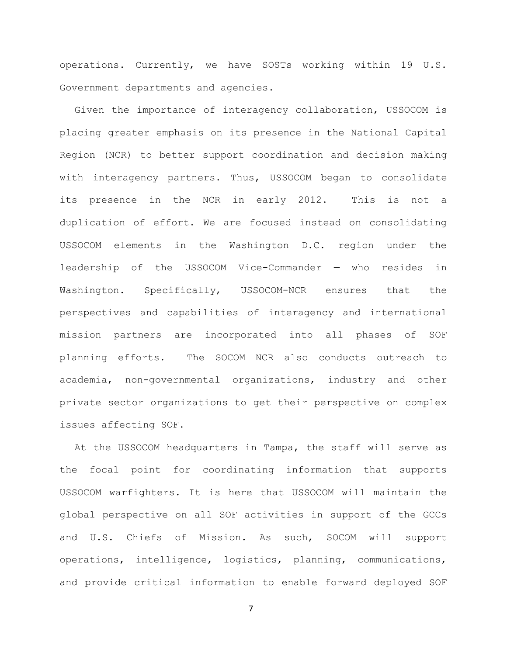operations. Currently, we have SOSTs working within 19 U.S. Government departments and agencies.

 Given the importance of interagency collaboration, USSOCOM is placing greater emphasis on its presence in the National Capital Region (NCR) to better support coordination and decision making with interagency partners. Thus, USSOCOM began to consolidate its presence in the NCR in early 2012. This is not a duplication of effort. We are focused instead on consolidating USSOCOM elements in the Washington D.C. region under the leadership of the USSOCOM Vice-Commander — who resides in Washington. Specifically, USSOCOM-NCR ensures that the perspectives and capabilities of interagency and international mission partners are incorporated into all phases of SOF planning efforts. The SOCOM NCR also conducts outreach to academia, non-governmental organizations, industry and other private sector organizations to get their perspective on complex issues affecting SOF.

 At the USSOCOM headquarters in Tampa, the staff will serve as the focal point for coordinating information that supports USSOCOM warfighters. It is here that USSOCOM will maintain the global perspective on all SOF activities in support of the GCCs and U.S. Chiefs of Mission. As such, SOCOM will support operations, intelligence, logistics, planning, communications, and provide critical information to enable forward deployed SOF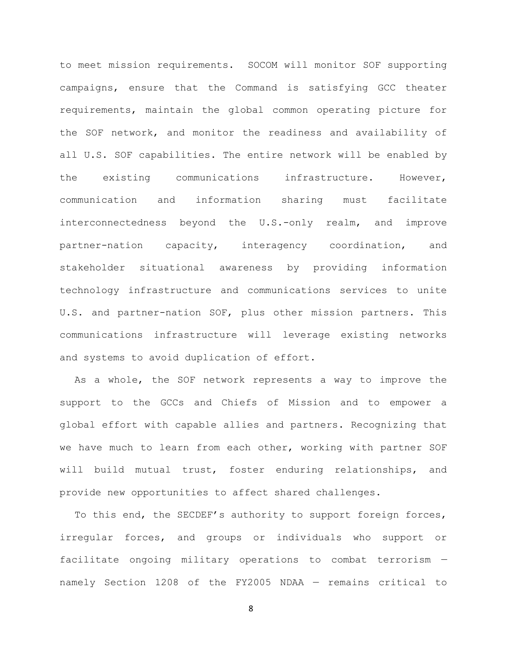to meet mission requirements. SOCOM will monitor SOF supporting campaigns, ensure that the Command is satisfying GCC theater requirements, maintain the global common operating picture for the SOF network, and monitor the readiness and availability of all U.S. SOF capabilities. The entire network will be enabled by the existing communications infrastructure. However, communication and information sharing must facilitate interconnectedness beyond the U.S.-only realm, and improve partner-nation capacity, interagency coordination, and stakeholder situational awareness by providing information technology infrastructure and communications services to unite U.S. and partner-nation SOF, plus other mission partners. This communications infrastructure will leverage existing networks and systems to avoid duplication of effort.

 As a whole, the SOF network represents a way to improve the support to the GCCs and Chiefs of Mission and to empower a global effort with capable allies and partners. Recognizing that we have much to learn from each other, working with partner SOF will build mutual trust, foster enduring relationships, and provide new opportunities to affect shared challenges.

To this end, the SECDEF's authority to support foreign forces, irregular forces, and groups or individuals who support or facilitate ongoing military operations to combat terrorism namely Section 1208 of the FY2005 NDAA — remains critical to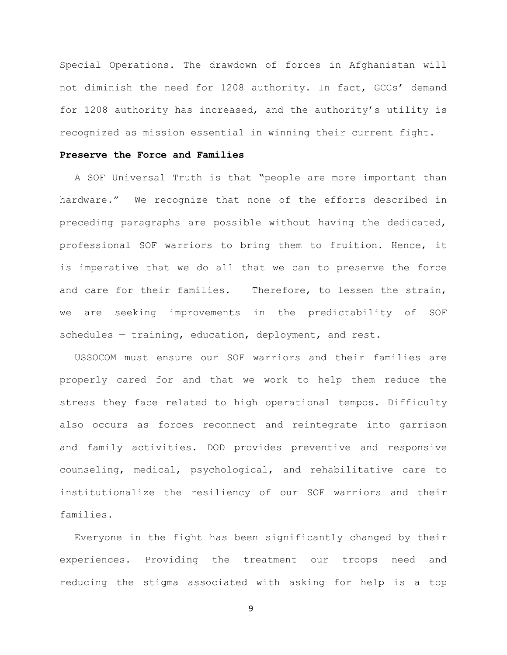Special Operations. The drawdown of forces in Afghanistan will not diminish the need for 1208 authority. In fact, GCCs' demand for 1208 authority has increased, and the authority's utility is recognized as mission essential in winning their current fight.

## **Preserve the Force and Families**

A SOF Universal Truth is that "people are more important than hardware." We recognize that none of the efforts described in preceding paragraphs are possible without having the dedicated, professional SOF warriors to bring them to fruition. Hence, it is imperative that we do all that we can to preserve the force and care for their families. Therefore, to lessen the strain, we are seeking improvements in the predictability of SOF schedules — training, education, deployment, and rest.

 USSOCOM must ensure our SOF warriors and their families are properly cared for and that we work to help them reduce the stress they face related to high operational tempos. Difficulty also occurs as forces reconnect and reintegrate into garrison and family activities. DOD provides preventive and responsive counseling, medical, psychological, and rehabilitative care to institutionalize the resiliency of our SOF warriors and their families.

 Everyone in the fight has been significantly changed by their experiences. Providing the treatment our troops need and reducing the stigma associated with asking for help is a top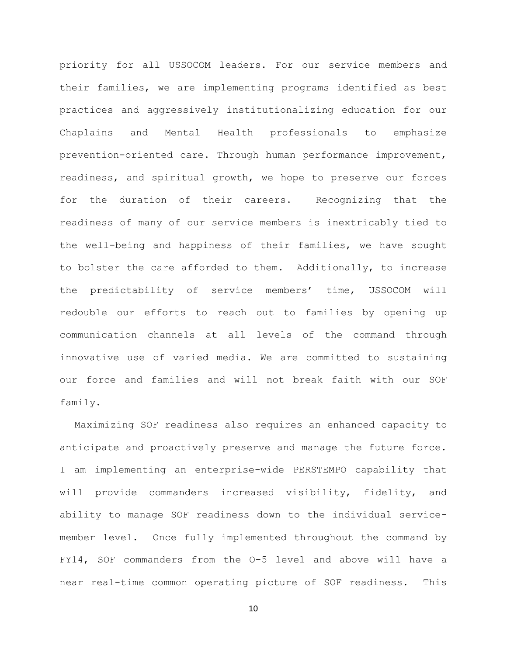priority for all USSOCOM leaders. For our service members and their families, we are implementing programs identified as best practices and aggressively institutionalizing education for our Chaplains and Mental Health professionals to emphasize prevention-oriented care. Through human performance improvement, readiness, and spiritual growth, we hope to preserve our forces for the duration of their careers. Recognizing that the readiness of many of our service members is inextricably tied to the well-being and happiness of their families, we have sought to bolster the care afforded to them. Additionally, to increase the predictability of service members' time, USSOCOM will redouble our efforts to reach out to families by opening up communication channels at all levels of the command through innovative use of varied media. We are committed to sustaining our force and families and will not break faith with our SOF family.

 Maximizing SOF readiness also requires an enhanced capacity to anticipate and proactively preserve and manage the future force. I am implementing an enterprise-wide PERSTEMPO capability that will provide commanders increased visibility, fidelity, and ability to manage SOF readiness down to the individual servicemember level. Once fully implemented throughout the command by FY14, SOF commanders from the O-5 level and above will have a near real-time common operating picture of SOF readiness. This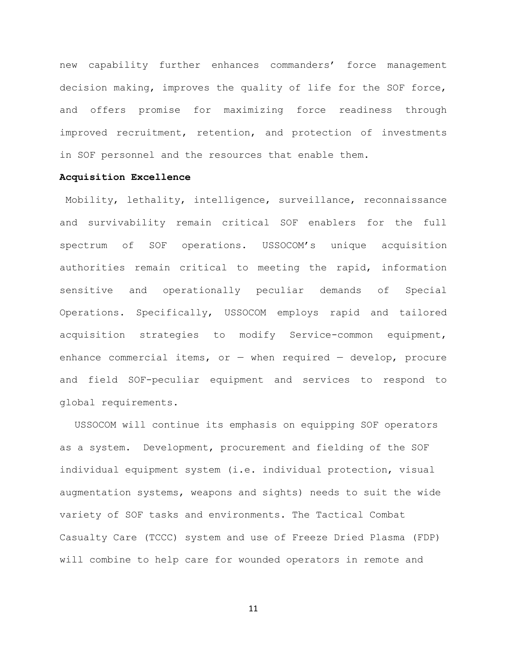new capability further enhances commanders' force management decision making, improves the quality of life for the SOF force, and offers promise for maximizing force readiness through improved recruitment, retention, and protection of investments in SOF personnel and the resources that enable them.

## **Acquisition Excellence**

Mobility, lethality, intelligence, surveillance, reconnaissance and survivability remain critical SOF enablers for the full spectrum of SOF operations. USSOCOM's unique acquisition authorities remain critical to meeting the rapid, information sensitive and operationally peculiar demands of Special Operations. Specifically, USSOCOM employs rapid and tailored acquisition strategies to modify Service-common equipment, enhance commercial items, or  $-$  when required  $-$  develop, procure and field SOF-peculiar equipment and services to respond to global requirements.

USSOCOM will continue its emphasis on equipping SOF operators as a system. Development, procurement and fielding of the SOF individual equipment system (i.e. individual protection, visual augmentation systems, weapons and sights) needs to suit the wide variety of SOF tasks and environments. The Tactical Combat Casualty Care (TCCC) system and use of Freeze Dried Plasma (FDP) will combine to help care for wounded operators in remote and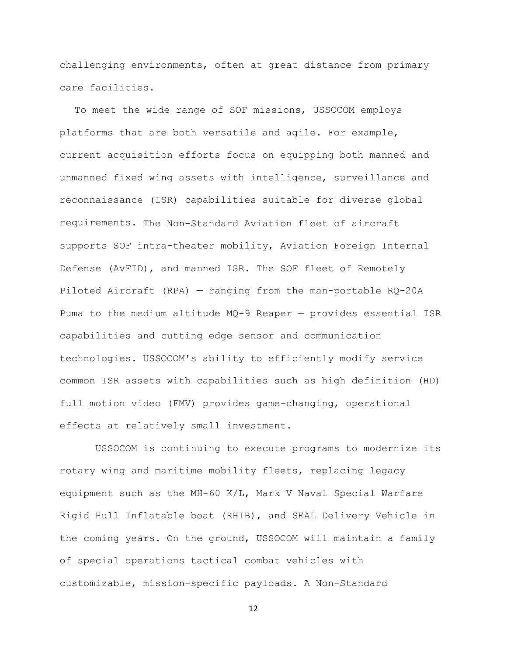challenging environments, often at great distance from primary care facilities.

To meet the wide range of SOF missions, USSOCOM employs platforms that are both versatile and agile. For example, current acquisition efforts focus on equipping both manned and unmanned fixed wing assets with intelligence, surveillance and reconnaissance (ISR) capabilities suitable for diverse global requirements. The Non-Standard Aviation fleet of aircraft supports SOF intra-theater mobility, Aviation Foreign Internal Defense (AvFID), and manned ISR. The SOF fleet of Remotely Piloted Aircraft (RPA) — ranging from the man-portable RQ-20A Puma to the medium altitude MQ-9 Reaper — provides essential ISR capabilities and cutting edge sensor and communication technologies. USSOCOM's ability to efficiently modify service common ISR assets with capabilities such as high definition (HD) full motion video (FMV) provides game-changing, operational effects at relatively small investment.

 USSOCOM is continuing to execute programs to modernize its rotary wing and maritime mobility fleets, replacing legacy equipment such as the MH-60 K/L, Mark V Naval Special Warfare Rigid Hull Inflatable boat (RHIB), and SEAL Delivery Vehicle in the coming years. On the ground, USSOCOM will maintain a family of special operations tactical combat vehicles with customizable, mission-specific payloads. A Non-Standard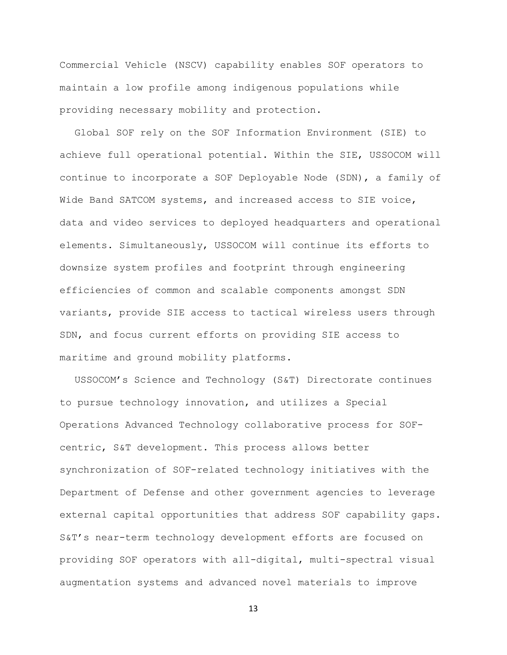Commercial Vehicle (NSCV) capability enables SOF operators to maintain a low profile among indigenous populations while providing necessary mobility and protection.

Global SOF rely on the SOF Information Environment (SIE) to achieve full operational potential. Within the SIE, USSOCOM will continue to incorporate a SOF Deployable Node (SDN), a family of Wide Band SATCOM systems, and increased access to SIE voice, data and video services to deployed headquarters and operational elements. Simultaneously, USSOCOM will continue its efforts to downsize system profiles and footprint through engineering efficiencies of common and scalable components amongst SDN variants, provide SIE access to tactical wireless users through SDN, and focus current efforts on providing SIE access to maritime and ground mobility platforms.

USSOCOM's Science and Technology (S&T) Directorate continues to pursue technology innovation, and utilizes a Special Operations Advanced Technology collaborative process for SOFcentric, S&T development. This process allows better synchronization of SOF-related technology initiatives with the Department of Defense and other government agencies to leverage external capital opportunities that address SOF capability gaps. S&T's near-term technology development efforts are focused on providing SOF operators with all-digital, multi-spectral visual augmentation systems and advanced novel materials to improve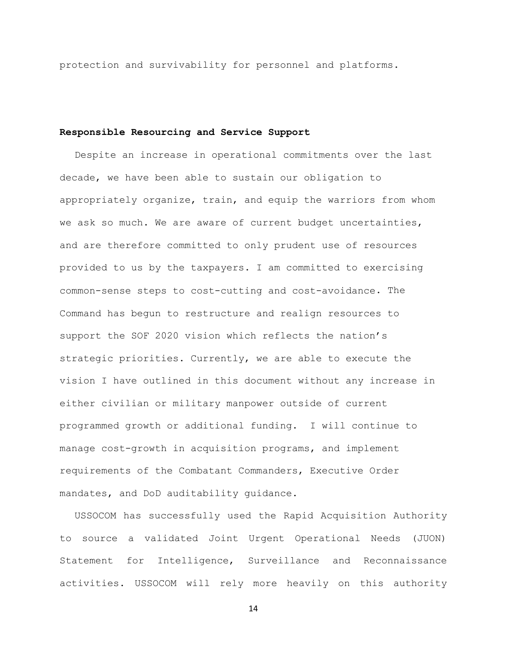protection and survivability for personnel and platforms.

# **Responsible Resourcing and Service Support**

Despite an increase in operational commitments over the last decade, we have been able to sustain our obligation to appropriately organize, train, and equip the warriors from whom we ask so much. We are aware of current budget uncertainties, and are therefore committed to only prudent use of resources provided to us by the taxpayers. I am committed to exercising common-sense steps to cost-cutting and cost-avoidance. The Command has begun to restructure and realign resources to support the SOF 2020 vision which reflects the nation's strategic priorities. Currently, we are able to execute the vision I have outlined in this document without any increase in either civilian or military manpower outside of current programmed growth or additional funding. I will continue to manage cost-growth in acquisition programs, and implement requirements of the Combatant Commanders, Executive Order mandates, and DoD auditability guidance.

USSOCOM has successfully used the Rapid Acquisition Authority to source a validated Joint Urgent Operational Needs (JUON) Statement for Intelligence, Surveillance and Reconnaissance activities. USSOCOM will rely more heavily on this authority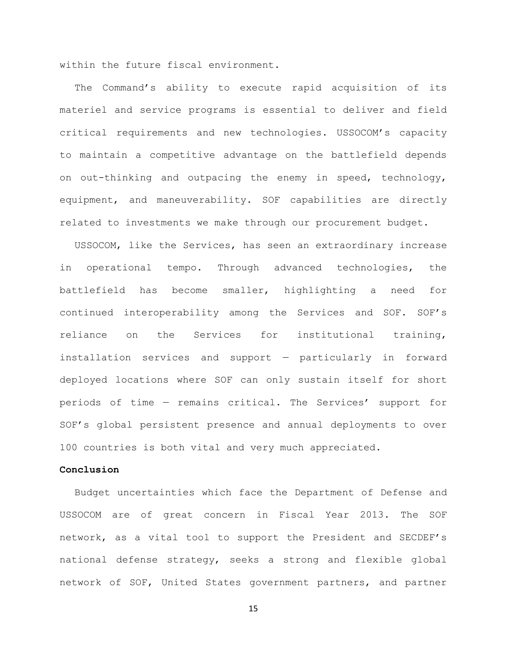within the future fiscal environment.

The Command's ability to execute rapid acquisition of its materiel and service programs is essential to deliver and field critical requirements and new technologies. USSOCOM's capacity to maintain a competitive advantage on the battlefield depends on out-thinking and outpacing the enemy in speed, technology, equipment, and maneuverability. SOF capabilities are directly related to investments we make through our procurement budget.

USSOCOM, like the Services, has seen an extraordinary increase in operational tempo. Through advanced technologies, the battlefield has become smaller, highlighting a need for continued interoperability among the Services and SOF. SOF's reliance on the Services for institutional training, installation services and support — particularly in forward deployed locations where SOF can only sustain itself for short periods of time — remains critical. The Services' support for SOF's global persistent presence and annual deployments to over 100 countries is both vital and very much appreciated.

### **Conclusion**

Budget uncertainties which face the Department of Defense and USSOCOM are of great concern in Fiscal Year 2013. The SOF network, as a vital tool to support the President and SECDEF's national defense strategy, seeks a strong and flexible global network of SOF, United States government partners, and partner